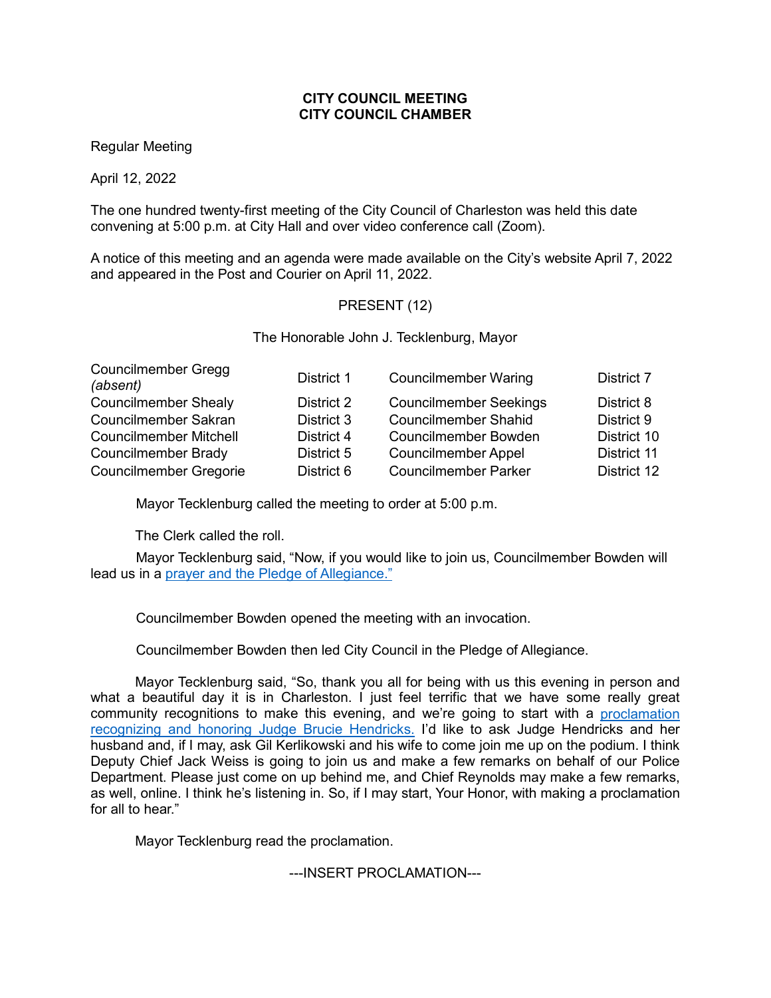## **CITY COUNCIL MEETING CITY COUNCIL CHAMBER**

Regular Meeting

April 12, 2022

The one hundred twenty-first meeting of the City Council of Charleston was held this date convening at 5:00 p.m. at City Hall and over video conference call (Zoom).

A notice of this meeting and an agenda were made available on the City's website April 7, 2022 and appeared in the Post and Courier on April 11, 2022.

# PRESENT (12)

The Honorable John J. Tecklenburg, Mayor

| District 1 | <b>Councilmember Waring</b>   | District 7  |
|------------|-------------------------------|-------------|
| District 2 | <b>Councilmember Seekings</b> | District 8  |
| District 3 | <b>Councilmember Shahid</b>   | District 9  |
| District 4 | <b>Councilmember Bowden</b>   | District 10 |
| District 5 | <b>Councilmember Appel</b>    | District 11 |
| District 6 | <b>Councilmember Parker</b>   | District 12 |
|            |                               |             |

Mayor Tecklenburg called the meeting to order at 5:00 p.m.

The Clerk called the roll.

Mayor Tecklenburg said, "Now, if you would like to join us, Councilmember Bowden will lead us in a prayer and the Pledge [of Allegiance."](https://youtu.be/9vYkYTqz1Vc?t=75)

Councilmember Bowden opened the meeting with an invocation.

Councilmember Bowden then led City Council in the Pledge of Allegiance.

Mayor Tecklenburg said, "So, thank you all for being with us this evening in person and what a beautiful day it is in Charleston. I just feel terrific that we have some really great community recognitions to make this evening, and we're going to start with a proclamation [recognizing and honoring Judge Brucie Hendricks.](https://youtu.be/9vYkYTqz1Vc?t=139) I'd like to ask Judge Hendricks and her husband and, if I may, ask Gil Kerlikowski and his wife to come join me up on the podium. I think Deputy Chief Jack Weiss is going to join us and make a few remarks on behalf of our Police Department. Please just come on up behind me, and Chief Reynolds may make a few remarks, as well, online. I think he's listening in. So, if I may start, Your Honor, with making a proclamation for all to hear."

Mayor Tecklenburg read the proclamation.

---INSERT PROCLAMATION---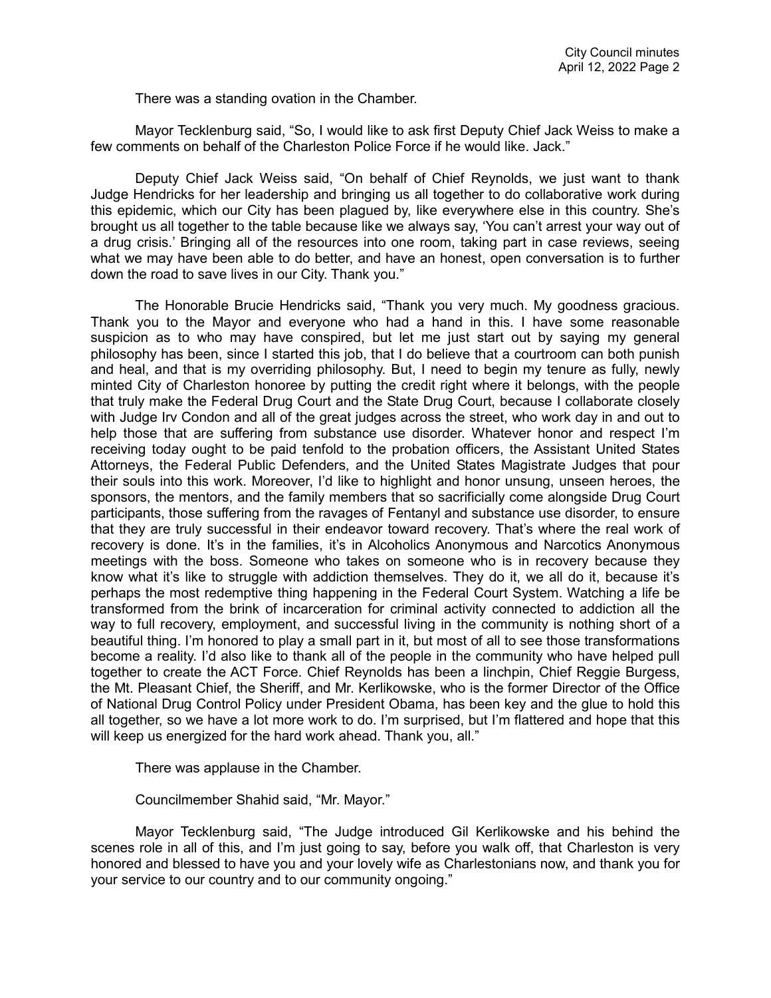There was a standing ovation in the Chamber.

Mayor Tecklenburg said, "So, I would like to ask first Deputy Chief Jack Weiss to make a few comments on behalf of the Charleston Police Force if he would like. Jack."

Deputy Chief Jack Weiss said, "On behalf of Chief Reynolds, we just want to thank Judge Hendricks for her leadership and bringing us all together to do collaborative work during this epidemic, which our City has been plagued by, like everywhere else in this country. She's brought us all together to the table because like we always say, 'You can't arrest your way out of a drug crisis.' Bringing all of the resources into one room, taking part in case reviews, seeing what we may have been able to do better, and have an honest, open conversation is to further down the road to save lives in our City. Thank you."

The Honorable Brucie Hendricks said, "Thank you very much. My goodness gracious. Thank you to the Mayor and everyone who had a hand in this. I have some reasonable suspicion as to who may have conspired, but let me just start out by saying my general philosophy has been, since I started this job, that I do believe that a courtroom can both punish and heal, and that is my overriding philosophy. But, I need to begin my tenure as fully, newly minted City of Charleston honoree by putting the credit right where it belongs, with the people that truly make the Federal Drug Court and the State Drug Court, because I collaborate closely with Judge Irv Condon and all of the great judges across the street, who work day in and out to help those that are suffering from substance use disorder. Whatever honor and respect I'm receiving today ought to be paid tenfold to the probation officers, the Assistant United States Attorneys, the Federal Public Defenders, and the United States Magistrate Judges that pour their souls into this work. Moreover, I'd like to highlight and honor unsung, unseen heroes, the sponsors, the mentors, and the family members that so sacrificially come alongside Drug Court participants, those suffering from the ravages of Fentanyl and substance use disorder, to ensure that they are truly successful in their endeavor toward recovery. That's where the real work of recovery is done. It's in the families, it's in Alcoholics Anonymous and Narcotics Anonymous meetings with the boss. Someone who takes on someone who is in recovery because they know what it's like to struggle with addiction themselves. They do it, we all do it, because it's perhaps the most redemptive thing happening in the Federal Court System. Watching a life be transformed from the brink of incarceration for criminal activity connected to addiction all the way to full recovery, employment, and successful living in the community is nothing short of a beautiful thing. I'm honored to play a small part in it, but most of all to see those transformations become a reality. I'd also like to thank all of the people in the community who have helped pull together to create the ACT Force. Chief Reynolds has been a linchpin, Chief Reggie Burgess, the Mt. Pleasant Chief, the Sheriff, and Mr. Kerlikowske, who is the former Director of the Office of National Drug Control Policy under President Obama, has been key and the glue to hold this all together, so we have a lot more work to do. I'm surprised, but I'm flattered and hope that this will keep us energized for the hard work ahead. Thank you, all."

There was applause in the Chamber.

Councilmember Shahid said, "Mr. Mayor."

Mayor Tecklenburg said, "The Judge introduced Gil Kerlikowske and his behind the scenes role in all of this, and I'm just going to say, before you walk off, that Charleston is very honored and blessed to have you and your lovely wife as Charlestonians now, and thank you for your service to our country and to our community ongoing."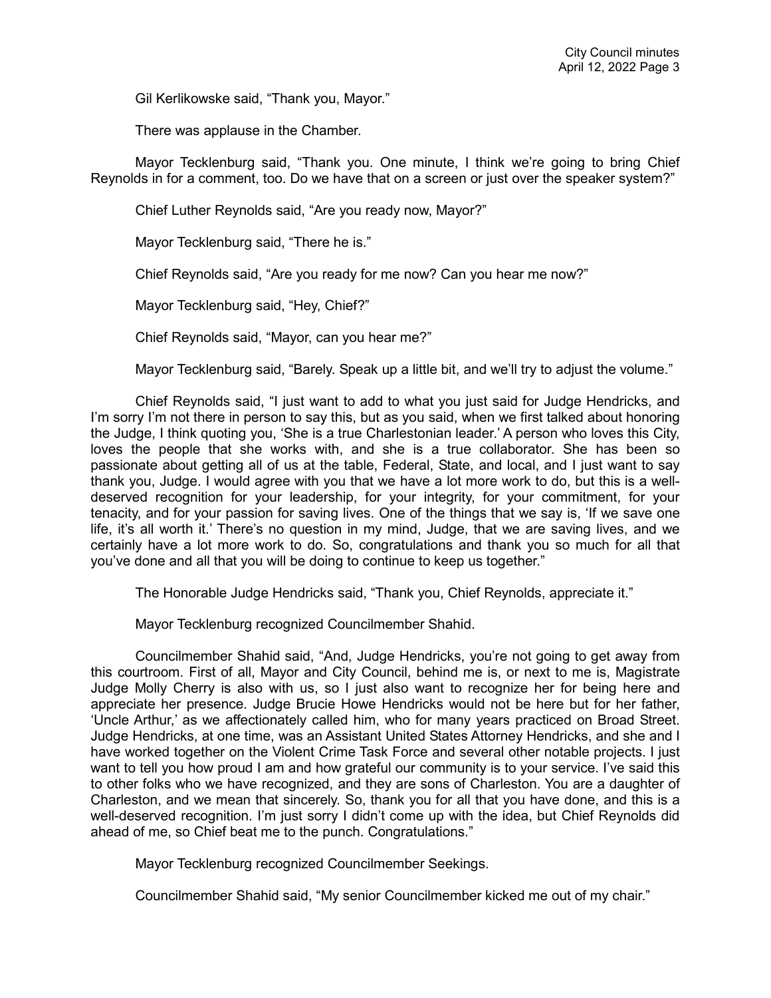Gil Kerlikowske said, "Thank you, Mayor."

There was applause in the Chamber.

Mayor Tecklenburg said, "Thank you. One minute, I think we're going to bring Chief Reynolds in for a comment, too. Do we have that on a screen or just over the speaker system?"

Chief Luther Reynolds said, "Are you ready now, Mayor?"

Mayor Tecklenburg said, "There he is."

Chief Reynolds said, "Are you ready for me now? Can you hear me now?"

Mayor Tecklenburg said, "Hey, Chief?"

Chief Reynolds said, "Mayor, can you hear me?"

Mayor Tecklenburg said, "Barely. Speak up a little bit, and we'll try to adjust the volume."

Chief Reynolds said, "I just want to add to what you just said for Judge Hendricks, and I'm sorry I'm not there in person to say this, but as you said, when we first talked about honoring the Judge, I think quoting you, 'She is a true Charlestonian leader.' A person who loves this City, loves the people that she works with, and she is a true collaborator. She has been so passionate about getting all of us at the table, Federal, State, and local, and I just want to say thank you, Judge. I would agree with you that we have a lot more work to do, but this is a welldeserved recognition for your leadership, for your integrity, for your commitment, for your tenacity, and for your passion for saving lives. One of the things that we say is, 'If we save one life, it's all worth it.' There's no question in my mind, Judge, that we are saving lives, and we certainly have a lot more work to do. So, congratulations and thank you so much for all that you've done and all that you will be doing to continue to keep us together."

The Honorable Judge Hendricks said, "Thank you, Chief Reynolds, appreciate it."

Mayor Tecklenburg recognized Councilmember Shahid.

Councilmember Shahid said, "And, Judge Hendricks, you're not going to get away from this courtroom. First of all, Mayor and City Council, behind me is, or next to me is, Magistrate Judge Molly Cherry is also with us, so I just also want to recognize her for being here and appreciate her presence. Judge Brucie Howe Hendricks would not be here but for her father, 'Uncle Arthur,' as we affectionately called him, who for many years practiced on Broad Street. Judge Hendricks, at one time, was an Assistant United States Attorney Hendricks, and she and I have worked together on the Violent Crime Task Force and several other notable projects. I just want to tell you how proud I am and how grateful our community is to your service. I've said this to other folks who we have recognized, and they are sons of Charleston. You are a daughter of Charleston, and we mean that sincerely. So, thank you for all that you have done, and this is a well-deserved recognition. I'm just sorry I didn't come up with the idea, but Chief Reynolds did ahead of me, so Chief beat me to the punch. Congratulations."

Mayor Tecklenburg recognized Councilmember Seekings.

Councilmember Shahid said, "My senior Councilmember kicked me out of my chair."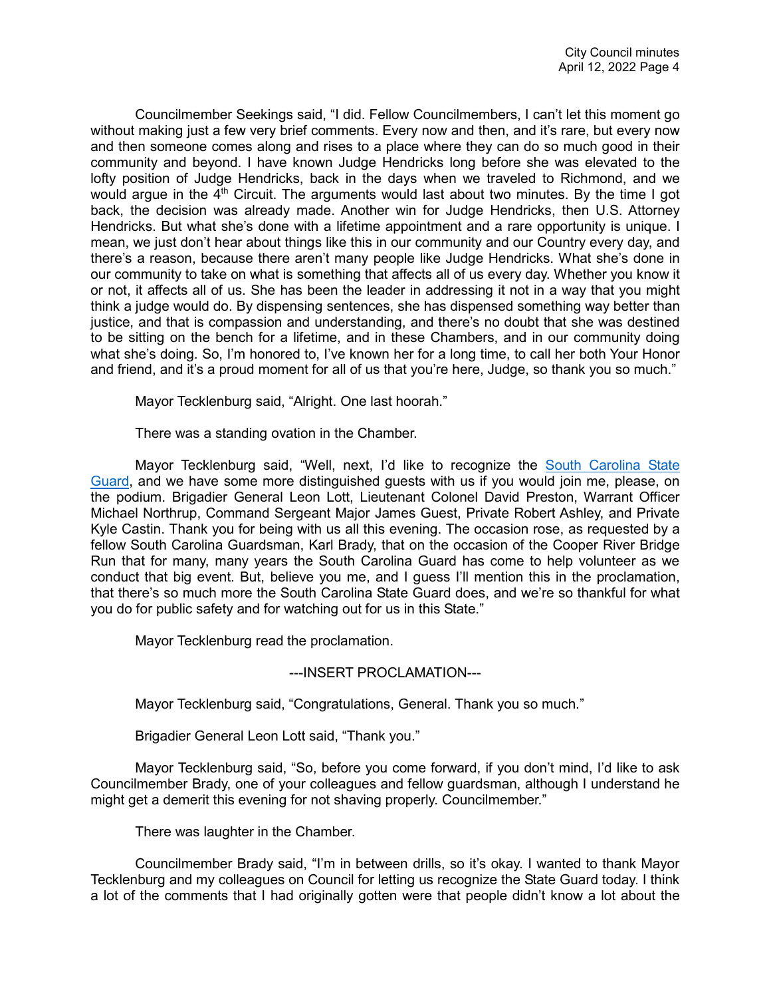Councilmember Seekings said, "I did. Fellow Councilmembers, I can't let this moment go without making just a few very brief comments. Every now and then, and it's rare, but every now and then someone comes along and rises to a place where they can do so much good in their community and beyond. I have known Judge Hendricks long before she was elevated to the lofty position of Judge Hendricks, back in the days when we traveled to Richmond, and we would argue in the  $4<sup>th</sup>$  Circuit. The arguments would last about two minutes. By the time I got back, the decision was already made. Another win for Judge Hendricks, then U.S. Attorney Hendricks. But what she's done with a lifetime appointment and a rare opportunity is unique. I mean, we just don't hear about things like this in our community and our Country every day, and there's a reason, because there aren't many people like Judge Hendricks. What she's done in our community to take on what is something that affects all of us every day. Whether you know it or not, it affects all of us. She has been the leader in addressing it not in a way that you might think a judge would do. By dispensing sentences, she has dispensed something way better than justice, and that is compassion and understanding, and there's no doubt that she was destined to be sitting on the bench for a lifetime, and in these Chambers, and in our community doing what she's doing. So, I'm honored to, I've known her for a long time, to call her both Your Honor and friend, and it's a proud moment for all of us that you're here, Judge, so thank you so much."

Mayor Tecklenburg said, "Alright. One last hoorah."

There was a standing ovation in the Chamber.

Mayor Tecklenburg said, "Well, next, I'd like to recognize the [South Carolina State](https://youtu.be/9vYkYTqz1Vc?t=945)  [Guard,](https://youtu.be/9vYkYTqz1Vc?t=945) and we have some more distinguished guests with us if you would join me, please, on the podium. Brigadier General Leon Lott, Lieutenant Colonel David Preston, Warrant Officer Michael Northrup, Command Sergeant Major James Guest, Private Robert Ashley, and Private Kyle Castin. Thank you for being with us all this evening. The occasion rose, as requested by a fellow South Carolina Guardsman, Karl Brady, that on the occasion of the Cooper River Bridge Run that for many, many years the South Carolina Guard has come to help volunteer as we conduct that big event. But, believe you me, and I guess I'll mention this in the proclamation, that there's so much more the South Carolina State Guard does, and we're so thankful for what you do for public safety and for watching out for us in this State."

Mayor Tecklenburg read the proclamation.

## ---INSERT PROCLAMATION---

Mayor Tecklenburg said, "Congratulations, General. Thank you so much."

Brigadier General Leon Lott said, "Thank you."

Mayor Tecklenburg said, "So, before you come forward, if you don't mind, I'd like to ask Councilmember Brady, one of your colleagues and fellow guardsman, although I understand he might get a demerit this evening for not shaving properly. Councilmember."

There was laughter in the Chamber.

Councilmember Brady said, "I'm in between drills, so it's okay. I wanted to thank Mayor Tecklenburg and my colleagues on Council for letting us recognize the State Guard today. I think a lot of the comments that I had originally gotten were that people didn't know a lot about the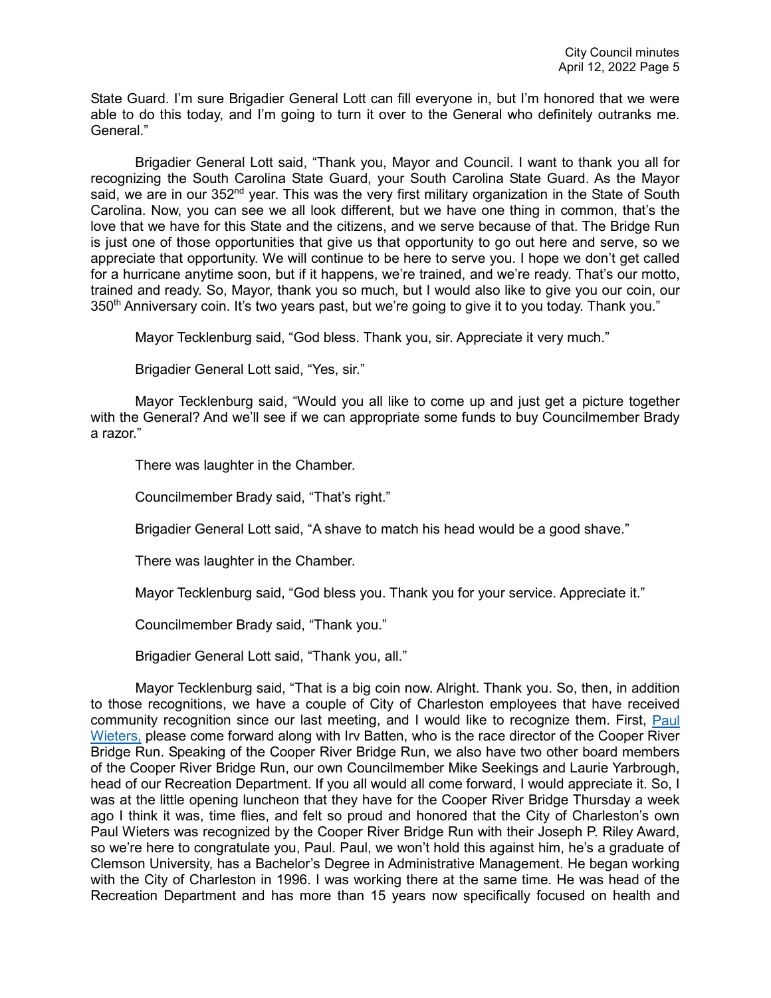State Guard. I'm sure Brigadier General Lott can fill everyone in, but I'm honored that we were able to do this today, and I'm going to turn it over to the General who definitely outranks me. General<sup>"</sup>

Brigadier General Lott said, "Thank you, Mayor and Council. I want to thank you all for recognizing the South Carolina State Guard, your South Carolina State Guard. As the Mayor said, we are in our 352<sup>nd</sup> year. This was the very first military organization in the State of South Carolina. Now, you can see we all look different, but we have one thing in common, that's the love that we have for this State and the citizens, and we serve because of that. The Bridge Run is just one of those opportunities that give us that opportunity to go out here and serve, so we appreciate that opportunity. We will continue to be here to serve you. I hope we don't get called for a hurricane anytime soon, but if it happens, we're trained, and we're ready. That's our motto, trained and ready. So, Mayor, thank you so much, but I would also like to give you our coin, our 350<sup>th</sup> Anniversary coin. It's two years past, but we're going to give it to you today. Thank you."

Mayor Tecklenburg said, "God bless. Thank you, sir. Appreciate it very much."

Brigadier General Lott said, "Yes, sir."

Mayor Tecklenburg said, "Would you all like to come up and just get a picture together with the General? And we'll see if we can appropriate some funds to buy Councilmember Brady a razor."

There was laughter in the Chamber.

Councilmember Brady said, "That's right."

Brigadier General Lott said, "A shave to match his head would be a good shave."

There was laughter in the Chamber.

Mayor Tecklenburg said, "God bless you. Thank you for your service. Appreciate it."

Councilmember Brady said, "Thank you."

Brigadier General Lott said, "Thank you, all."

Mayor Tecklenburg said, "That is a big coin now. Alright. Thank you. So, then, in addition to those recognitions, we have a couple of City of Charleston employees that have received community recognition since our last meeting, and I would like to recognize them. First, Paul [Wieters,](https://youtu.be/9vYkYTqz1Vc?t=1298) please come forward along with Irv Batten, who is the race director of the Cooper River Bridge Run. Speaking of the Cooper River Bridge Run, we also have two other board members of the Cooper River Bridge Run, our own Councilmember Mike Seekings and Laurie Yarbrough, head of our Recreation Department. If you all would all come forward, I would appreciate it. So, I was at the little opening luncheon that they have for the Cooper River Bridge Thursday a week ago I think it was, time flies, and felt so proud and honored that the City of Charleston's own Paul Wieters was recognized by the Cooper River Bridge Run with their Joseph P. Riley Award, so we're here to congratulate you, Paul. Paul, we won't hold this against him, he's a graduate of Clemson University, has a Bachelor's Degree in Administrative Management. He began working with the City of Charleston in 1996. I was working there at the same time. He was head of the Recreation Department and has more than 15 years now specifically focused on health and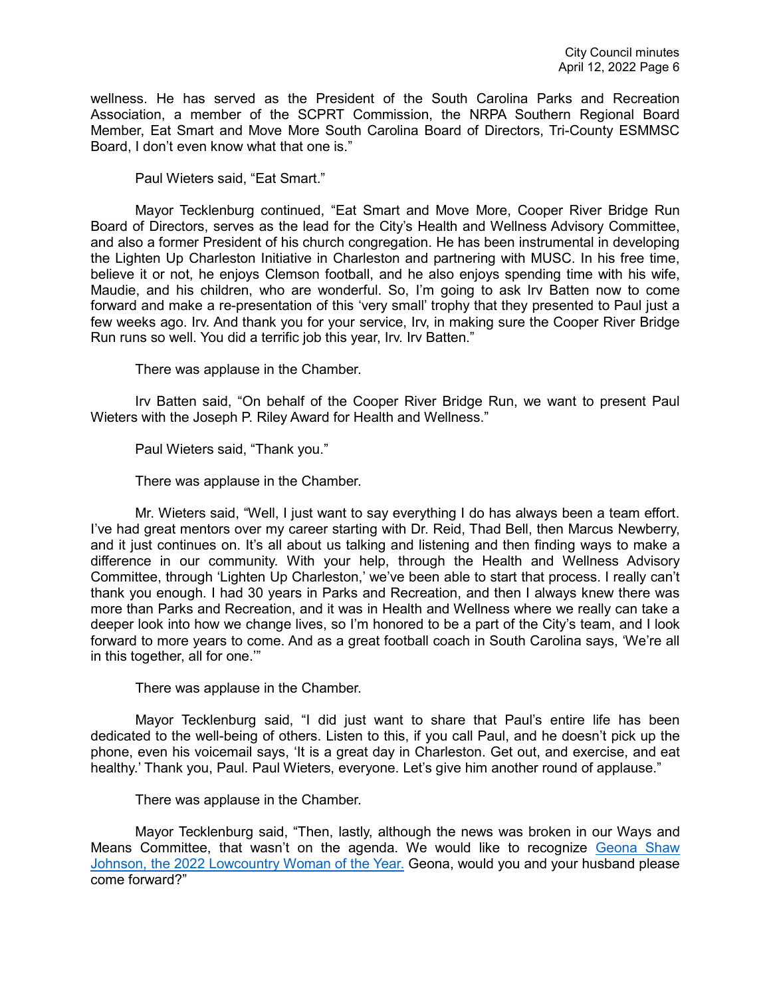wellness. He has served as the President of the South Carolina Parks and Recreation Association, a member of the SCPRT Commission, the NRPA Southern Regional Board Member, Eat Smart and Move More South Carolina Board of Directors, Tri-County ESMMSC Board, I don't even know what that one is."

Paul Wieters said, "Eat Smart."

Mayor Tecklenburg continued, "Eat Smart and Move More, Cooper River Bridge Run Board of Directors, serves as the lead for the City's Health and Wellness Advisory Committee, and also a former President of his church congregation. He has been instrumental in developing the Lighten Up Charleston Initiative in Charleston and partnering with MUSC. In his free time, believe it or not, he enjoys Clemson football, and he also enjoys spending time with his wife, Maudie, and his children, who are wonderful. So, I'm going to ask Irv Batten now to come forward and make a re-presentation of this 'very small' trophy that they presented to Paul just a few weeks ago. Irv. And thank you for your service, Irv, in making sure the Cooper River Bridge Run runs so well. You did a terrific job this year, Irv. Irv Batten."

There was applause in the Chamber.

Irv Batten said, "On behalf of the Cooper River Bridge Run, we want to present Paul Wieters with the Joseph P. Riley Award for Health and Wellness."

Paul Wieters said, "Thank you."

There was applause in the Chamber.

Mr. Wieters said, "Well, I just want to say everything I do has always been a team effort. I've had great mentors over my career starting with Dr. Reid, Thad Bell, then Marcus Newberry, and it just continues on. It's all about us talking and listening and then finding ways to make a difference in our community. With your help, through the Health and Wellness Advisory Committee, through 'Lighten Up Charleston,' we've been able to start that process. I really can't thank you enough. I had 30 years in Parks and Recreation, and then I always knew there was more than Parks and Recreation, and it was in Health and Wellness where we really can take a deeper look into how we change lives, so I'm honored to be a part of the City's team, and I look forward to more years to come. And as a great football coach in South Carolina says, 'We're all in this together, all for one.'"

There was applause in the Chamber.

Mayor Tecklenburg said, "I did just want to share that Paul's entire life has been dedicated to the well-being of others. Listen to this, if you call Paul, and he doesn't pick up the phone, even his voicemail says, 'It is a great day in Charleston. Get out, and exercise, and eat healthy.' Thank you, Paul. Paul Wieters, everyone. Let's give him another round of applause."

There was applause in the Chamber.

Mayor Tecklenburg said, "Then, lastly, although the news was broken in our Ways and Means Committee, that wasn't on the agenda. We would like to recognize [Geona Shaw](https://youtu.be/9vYkYTqz1Vc?t=1594)  [Johnson, the 2022 Lowcountry Woman of the Year.](https://youtu.be/9vYkYTqz1Vc?t=1594) Geona, would you and your husband please come forward?"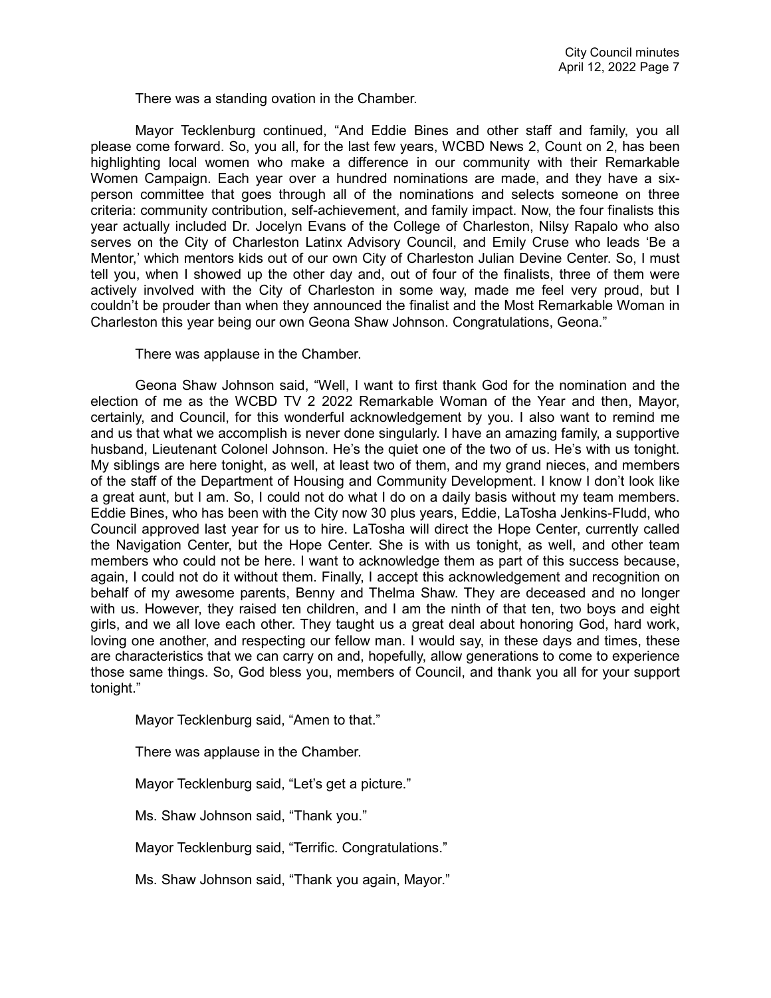There was a standing ovation in the Chamber.

Mayor Tecklenburg continued, "And Eddie Bines and other staff and family, you all please come forward. So, you all, for the last few years, WCBD News 2, Count on 2, has been highlighting local women who make a difference in our community with their Remarkable Women Campaign. Each year over a hundred nominations are made, and they have a sixperson committee that goes through all of the nominations and selects someone on three criteria: community contribution, self-achievement, and family impact. Now, the four finalists this year actually included Dr. Jocelyn Evans of the College of Charleston, Nilsy Rapalo who also serves on the City of Charleston Latinx Advisory Council, and Emily Cruse who leads 'Be a Mentor,' which mentors kids out of our own City of Charleston Julian Devine Center. So, I must tell you, when I showed up the other day and, out of four of the finalists, three of them were actively involved with the City of Charleston in some way, made me feel very proud, but I couldn't be prouder than when they announced the finalist and the Most Remarkable Woman in Charleston this year being our own Geona Shaw Johnson. Congratulations, Geona."

There was applause in the Chamber.

Geona Shaw Johnson said, "Well, I want to first thank God for the nomination and the election of me as the WCBD TV 2 2022 Remarkable Woman of the Year and then, Mayor, certainly, and Council, for this wonderful acknowledgement by you. I also want to remind me and us that what we accomplish is never done singularly. I have an amazing family, a supportive husband, Lieutenant Colonel Johnson. He's the quiet one of the two of us. He's with us tonight. My siblings are here tonight, as well, at least two of them, and my grand nieces, and members of the staff of the Department of Housing and Community Development. I know I don't look like a great aunt, but I am. So, I could not do what I do on a daily basis without my team members. Eddie Bines, who has been with the City now 30 plus years, Eddie, LaTosha Jenkins-Fludd, who Council approved last year for us to hire. LaTosha will direct the Hope Center, currently called the Navigation Center, but the Hope Center. She is with us tonight, as well, and other team members who could not be here. I want to acknowledge them as part of this success because, again, I could not do it without them. Finally, I accept this acknowledgement and recognition on behalf of my awesome parents, Benny and Thelma Shaw. They are deceased and no longer with us. However, they raised ten children, and I am the ninth of that ten, two boys and eight girls, and we all love each other. They taught us a great deal about honoring God, hard work, loving one another, and respecting our fellow man. I would say, in these days and times, these are characteristics that we can carry on and, hopefully, allow generations to come to experience those same things. So, God bless you, members of Council, and thank you all for your support tonight."

Mayor Tecklenburg said, "Amen to that."

There was applause in the Chamber.

Mayor Tecklenburg said, "Let's get a picture."

Ms. Shaw Johnson said, "Thank you."

Mayor Tecklenburg said, "Terrific. Congratulations."

Ms. Shaw Johnson said, "Thank you again, Mayor."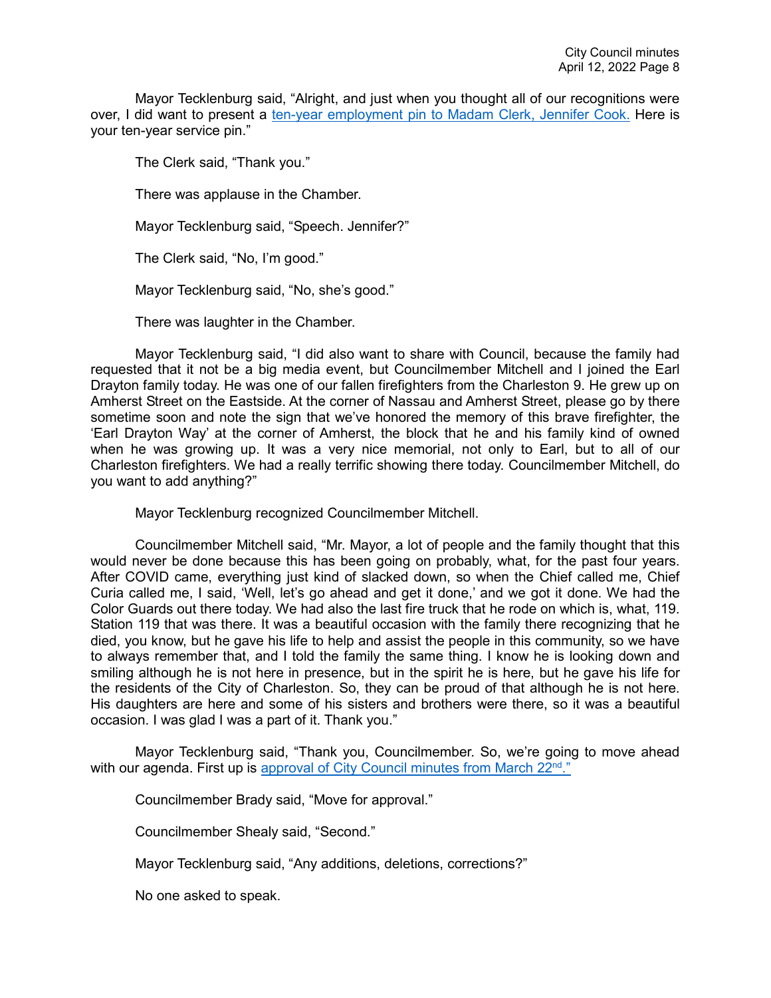Mayor Tecklenburg said, "Alright, and just when you thought all of our recognitions were over, I did want to present a [ten-year employment pin to Madam Clerk, Jennifer Cook.](https://youtu.be/9vYkYTqz1Vc?t=1895) Here is your ten-year service pin."

The Clerk said, "Thank you."

There was applause in the Chamber.

Mayor Tecklenburg said, "Speech. Jennifer?"

The Clerk said, "No, I'm good."

Mayor Tecklenburg said, "No, she's good."

There was laughter in the Chamber.

Mayor Tecklenburg said, "I did also want to share with Council, because the family had requested that it not be a big media event, but Councilmember Mitchell and I joined the Earl Drayton family today. He was one of our fallen firefighters from the Charleston 9. He grew up on Amherst Street on the Eastside. At the corner of Nassau and Amherst Street, please go by there sometime soon and note the sign that we've honored the memory of this brave firefighter, the 'Earl Drayton Way' at the corner of Amherst, the block that he and his family kind of owned when he was growing up. It was a very nice memorial, not only to Earl, but to all of our Charleston firefighters. We had a really terrific showing there today. Councilmember Mitchell, do you want to add anything?"

Mayor Tecklenburg recognized Councilmember Mitchell.

Councilmember Mitchell said, "Mr. Mayor, a lot of people and the family thought that this would never be done because this has been going on probably, what, for the past four years. After COVID came, everything just kind of slacked down, so when the Chief called me, Chief Curia called me, I said, 'Well, let's go ahead and get it done,' and we got it done. We had the Color Guards out there today. We had also the last fire truck that he rode on which is, what, 119. Station 119 that was there. It was a beautiful occasion with the family there recognizing that he died, you know, but he gave his life to help and assist the people in this community, so we have to always remember that, and I told the family the same thing. I know he is looking down and smiling although he is not here in presence, but in the spirit he is here, but he gave his life for the residents of the City of Charleston. So, they can be proud of that although he is not here. His daughters are here and some of his sisters and brothers were there, so it was a beautiful occasion. I was glad I was a part of it. Thank you."

Mayor Tecklenburg said, "Thank you, Councilmember. So, we're going to move ahead with our agenda. First up is approval of [City Council minutes](https://youtu.be/9vYkYTqz1Vc?t=2064) from March 22<sup>nd</sup>."

Councilmember Brady said, "Move for approval."

Councilmember Shealy said, "Second."

Mayor Tecklenburg said, "Any additions, deletions, corrections?"

No one asked to speak.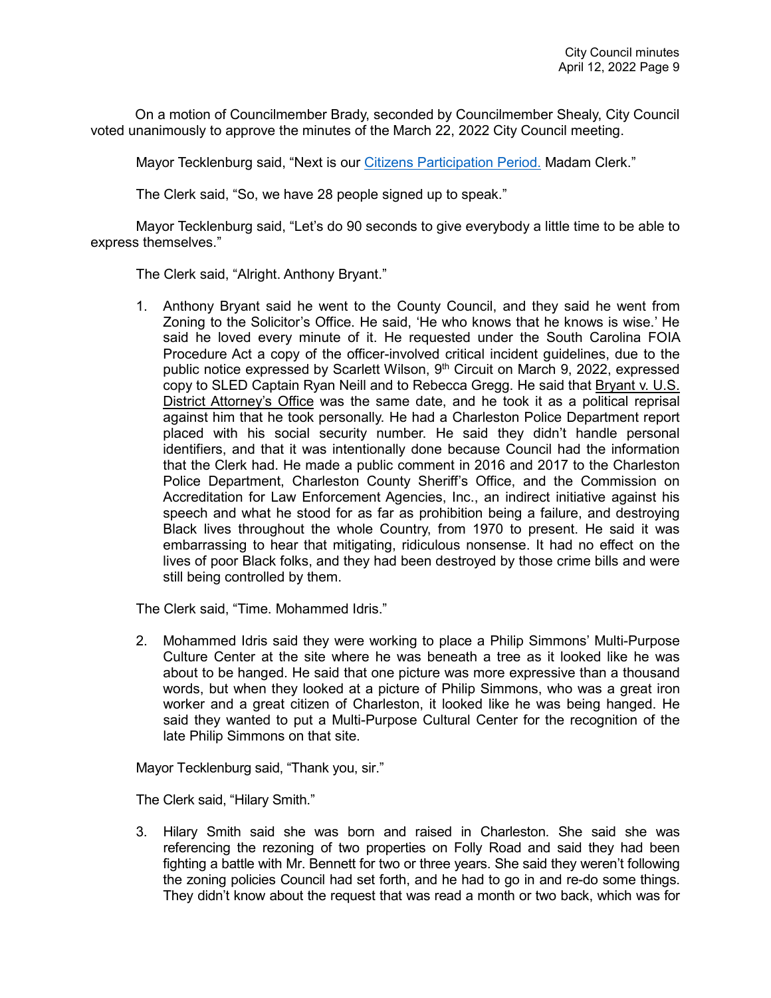On a motion of Councilmember Brady, seconded by Councilmember Shealy, City Council voted unanimously to approve the minutes of the March 22, 2022 City Council meeting.

Mayor Tecklenburg said, "Next is our [Citizens Participation Period.](https://youtu.be/9vYkYTqz1Vc?t=2075) Madam Clerk."

The Clerk said, "So, we have 28 people signed up to speak."

Mayor Tecklenburg said, "Let's do 90 seconds to give everybody a little time to be able to express themselves."

The Clerk said, "Alright. Anthony Bryant."

1. Anthony Bryant said he went to the County Council, and they said he went from Zoning to the Solicitor's Office. He said, 'He who knows that he knows is wise.' He said he loved every minute of it. He requested under the South Carolina FOIA Procedure Act a copy of the officer-involved critical incident guidelines, due to the public notice expressed by Scarlett Wilson, 9th Circuit on March 9, 2022, expressed copy to SLED Captain Ryan Neill and to Rebecca Gregg. He said that Bryant v. U.S. District Attorney's Office was the same date, and he took it as a political reprisal against him that he took personally. He had a Charleston Police Department report placed with his social security number. He said they didn't handle personal identifiers, and that it was intentionally done because Council had the information that the Clerk had. He made a public comment in 2016 and 2017 to the Charleston Police Department, Charleston County Sheriff's Office, and the Commission on Accreditation for Law Enforcement Agencies, Inc., an indirect initiative against his speech and what he stood for as far as prohibition being a failure, and destroying Black lives throughout the whole Country, from 1970 to present. He said it was embarrassing to hear that mitigating, ridiculous nonsense. It had no effect on the lives of poor Black folks, and they had been destroyed by those crime bills and were still being controlled by them.

The Clerk said, "Time. Mohammed Idris."

2. Mohammed Idris said they were working to place a Philip Simmons' Multi-Purpose Culture Center at the site where he was beneath a tree as it looked like he was about to be hanged. He said that one picture was more expressive than a thousand words, but when they looked at a picture of Philip Simmons, who was a great iron worker and a great citizen of Charleston, it looked like he was being hanged. He said they wanted to put a Multi-Purpose Cultural Center for the recognition of the late Philip Simmons on that site.

Mayor Tecklenburg said, "Thank you, sir."

The Clerk said, "Hilary Smith."

3. Hilary Smith said she was born and raised in Charleston. She said she was referencing the rezoning of two properties on Folly Road and said they had been fighting a battle with Mr. Bennett for two or three years. She said they weren't following the zoning policies Council had set forth, and he had to go in and re-do some things. They didn't know about the request that was read a month or two back, which was for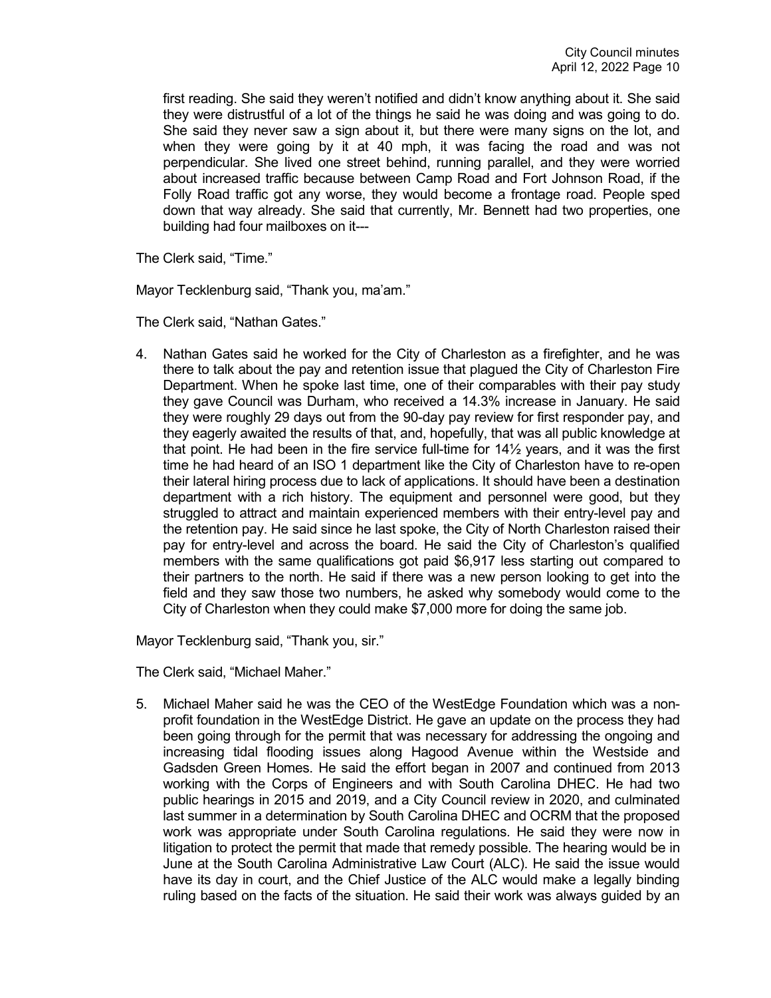first reading. She said they weren't notified and didn't know anything about it. She said they were distrustful of a lot of the things he said he was doing and was going to do. She said they never saw a sign about it, but there were many signs on the lot, and when they were going by it at 40 mph, it was facing the road and was not perpendicular. She lived one street behind, running parallel, and they were worried about increased traffic because between Camp Road and Fort Johnson Road, if the Folly Road traffic got any worse, they would become a frontage road. People sped down that way already. She said that currently, Mr. Bennett had two properties, one building had four mailboxes on it---

The Clerk said, "Time."

Mayor Tecklenburg said, "Thank you, ma'am."

The Clerk said, "Nathan Gates."

4. Nathan Gates said he worked for the City of Charleston as a firefighter, and he was there to talk about the pay and retention issue that plagued the City of Charleston Fire Department. When he spoke last time, one of their comparables with their pay study they gave Council was Durham, who received a 14.3% increase in January. He said they were roughly 29 days out from the 90-day pay review for first responder pay, and they eagerly awaited the results of that, and, hopefully, that was all public knowledge at that point. He had been in the fire service full-time for 14½ years, and it was the first time he had heard of an ISO 1 department like the City of Charleston have to re-open their lateral hiring process due to lack of applications. It should have been a destination department with a rich history. The equipment and personnel were good, but they struggled to attract and maintain experienced members with their entry-level pay and the retention pay. He said since he last spoke, the City of North Charleston raised their pay for entry-level and across the board. He said the City of Charleston's qualified members with the same qualifications got paid \$6,917 less starting out compared to their partners to the north. He said if there was a new person looking to get into the field and they saw those two numbers, he asked why somebody would come to the City of Charleston when they could make \$7,000 more for doing the same job.

Mayor Tecklenburg said, "Thank you, sir."

The Clerk said, "Michael Maher."

5. Michael Maher said he was the CEO of the WestEdge Foundation which was a nonprofit foundation in the WestEdge District. He gave an update on the process they had been going through for the permit that was necessary for addressing the ongoing and increasing tidal flooding issues along Hagood Avenue within the Westside and Gadsden Green Homes. He said the effort began in 2007 and continued from 2013 working with the Corps of Engineers and with South Carolina DHEC. He had two public hearings in 2015 and 2019, and a City Council review in 2020, and culminated last summer in a determination by South Carolina DHEC and OCRM that the proposed work was appropriate under South Carolina regulations. He said they were now in litigation to protect the permit that made that remedy possible. The hearing would be in June at the South Carolina Administrative Law Court (ALC). He said the issue would have its day in court, and the Chief Justice of the ALC would make a legally binding ruling based on the facts of the situation. He said their work was always guided by an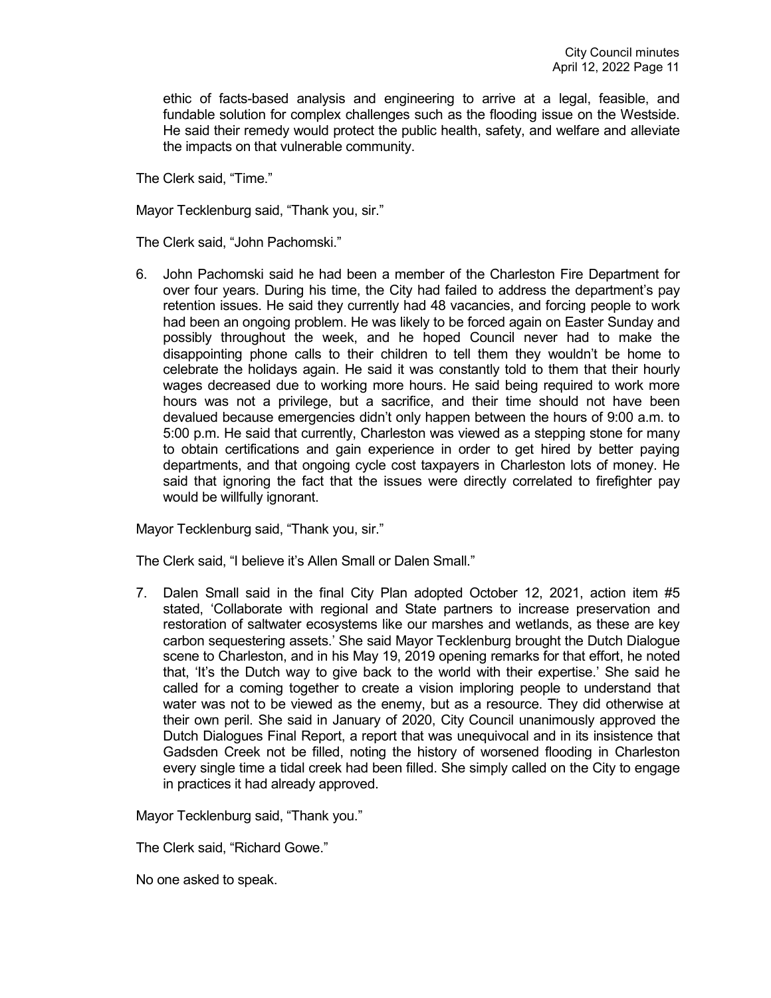ethic of facts-based analysis and engineering to arrive at a legal, feasible, and fundable solution for complex challenges such as the flooding issue on the Westside. He said their remedy would protect the public health, safety, and welfare and alleviate the impacts on that vulnerable community.

The Clerk said, "Time."

Mayor Tecklenburg said, "Thank you, sir."

The Clerk said, "John Pachomski."

6. John Pachomski said he had been a member of the Charleston Fire Department for over four years. During his time, the City had failed to address the department's pay retention issues. He said they currently had 48 vacancies, and forcing people to work had been an ongoing problem. He was likely to be forced again on Easter Sunday and possibly throughout the week, and he hoped Council never had to make the disappointing phone calls to their children to tell them they wouldn't be home to celebrate the holidays again. He said it was constantly told to them that their hourly wages decreased due to working more hours. He said being required to work more hours was not a privilege, but a sacrifice, and their time should not have been devalued because emergencies didn't only happen between the hours of 9:00 a.m. to 5:00 p.m. He said that currently, Charleston was viewed as a stepping stone for many to obtain certifications and gain experience in order to get hired by better paying departments, and that ongoing cycle cost taxpayers in Charleston lots of money. He said that ignoring the fact that the issues were directly correlated to firefighter pay would be willfully ignorant.

Mayor Tecklenburg said, "Thank you, sir."

The Clerk said, "I believe it's Allen Small or Dalen Small."

7. Dalen Small said in the final City Plan adopted October 12, 2021, action item #5 stated, 'Collaborate with regional and State partners to increase preservation and restoration of saltwater ecosystems like our marshes and wetlands, as these are key carbon sequestering assets.' She said Mayor Tecklenburg brought the Dutch Dialogue scene to Charleston, and in his May 19, 2019 opening remarks for that effort, he noted that, 'It's the Dutch way to give back to the world with their expertise.' She said he called for a coming together to create a vision imploring people to understand that water was not to be viewed as the enemy, but as a resource. They did otherwise at their own peril. She said in January of 2020, City Council unanimously approved the Dutch Dialogues Final Report, a report that was unequivocal and in its insistence that Gadsden Creek not be filled, noting the history of worsened flooding in Charleston every single time a tidal creek had been filled. She simply called on the City to engage in practices it had already approved.

Mayor Tecklenburg said, "Thank you."

The Clerk said, "Richard Gowe."

No one asked to speak.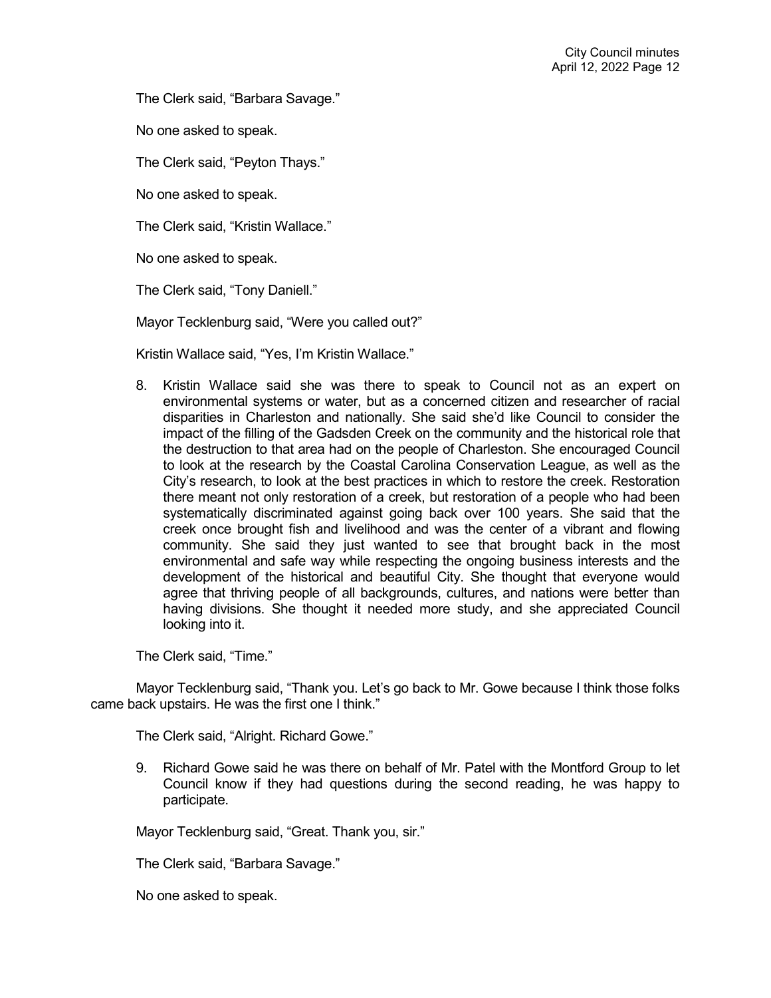The Clerk said, "Barbara Savage."

No one asked to speak.

The Clerk said, "Peyton Thays."

No one asked to speak.

The Clerk said, "Kristin Wallace."

No one asked to speak.

The Clerk said, "Tony Daniell."

Mayor Tecklenburg said, "Were you called out?"

Kristin Wallace said, "Yes, I'm Kristin Wallace."

8. Kristin Wallace said she was there to speak to Council not as an expert on environmental systems or water, but as a concerned citizen and researcher of racial disparities in Charleston and nationally. She said she'd like Council to consider the impact of the filling of the Gadsden Creek on the community and the historical role that the destruction to that area had on the people of Charleston. She encouraged Council to look at the research by the Coastal Carolina Conservation League, as well as the City's research, to look at the best practices in which to restore the creek. Restoration there meant not only restoration of a creek, but restoration of a people who had been systematically discriminated against going back over 100 years. She said that the creek once brought fish and livelihood and was the center of a vibrant and flowing community. She said they just wanted to see that brought back in the most environmental and safe way while respecting the ongoing business interests and the development of the historical and beautiful City. She thought that everyone would agree that thriving people of all backgrounds, cultures, and nations were better than having divisions. She thought it needed more study, and she appreciated Council looking into it.

The Clerk said, "Time."

Mayor Tecklenburg said, "Thank you. Let's go back to Mr. Gowe because I think those folks came back upstairs. He was the first one I think."

The Clerk said, "Alright. Richard Gowe."

9. Richard Gowe said he was there on behalf of Mr. Patel with the Montford Group to let Council know if they had questions during the second reading, he was happy to participate.

Mayor Tecklenburg said, "Great. Thank you, sir."

The Clerk said, "Barbara Savage."

No one asked to speak.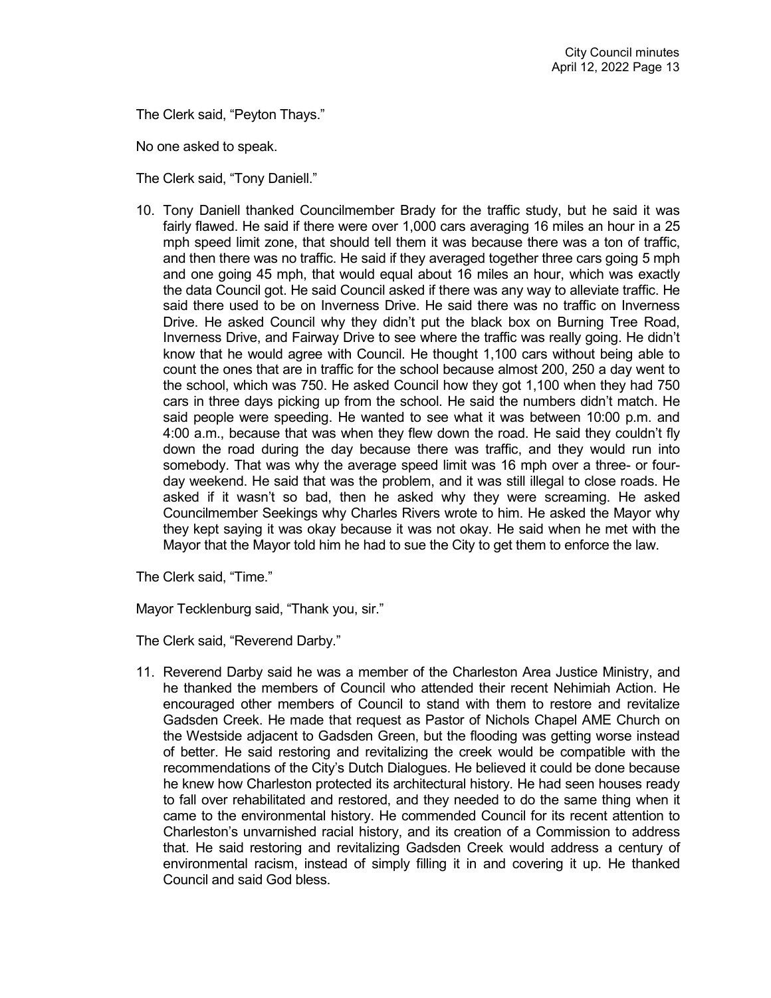The Clerk said, "Peyton Thays."

No one asked to speak.

The Clerk said, "Tony Daniell."

10. Tony Daniell thanked Councilmember Brady for the traffic study, but he said it was fairly flawed. He said if there were over 1,000 cars averaging 16 miles an hour in a 25 mph speed limit zone, that should tell them it was because there was a ton of traffic, and then there was no traffic. He said if they averaged together three cars going 5 mph and one going 45 mph, that would equal about 16 miles an hour, which was exactly the data Council got. He said Council asked if there was any way to alleviate traffic. He said there used to be on Inverness Drive. He said there was no traffic on Inverness Drive. He asked Council why they didn't put the black box on Burning Tree Road, Inverness Drive, and Fairway Drive to see where the traffic was really going. He didn't know that he would agree with Council. He thought 1,100 cars without being able to count the ones that are in traffic for the school because almost 200, 250 a day went to the school, which was 750. He asked Council how they got 1,100 when they had 750 cars in three days picking up from the school. He said the numbers didn't match. He said people were speeding. He wanted to see what it was between 10:00 p.m. and 4:00 a.m., because that was when they flew down the road. He said they couldn't fly down the road during the day because there was traffic, and they would run into somebody. That was why the average speed limit was 16 mph over a three- or fourday weekend. He said that was the problem, and it was still illegal to close roads. He asked if it wasn't so bad, then he asked why they were screaming. He asked Councilmember Seekings why Charles Rivers wrote to him. He asked the Mayor why they kept saying it was okay because it was not okay. He said when he met with the Mayor that the Mayor told him he had to sue the City to get them to enforce the law.

The Clerk said, "Time."

Mayor Tecklenburg said, "Thank you, sir."

The Clerk said, "Reverend Darby."

11. Reverend Darby said he was a member of the Charleston Area Justice Ministry, and he thanked the members of Council who attended their recent Nehimiah Action. He encouraged other members of Council to stand with them to restore and revitalize Gadsden Creek. He made that request as Pastor of Nichols Chapel AME Church on the Westside adjacent to Gadsden Green, but the flooding was getting worse instead of better. He said restoring and revitalizing the creek would be compatible with the recommendations of the City's Dutch Dialogues. He believed it could be done because he knew how Charleston protected its architectural history. He had seen houses ready to fall over rehabilitated and restored, and they needed to do the same thing when it came to the environmental history. He commended Council for its recent attention to Charleston's unvarnished racial history, and its creation of a Commission to address that. He said restoring and revitalizing Gadsden Creek would address a century of environmental racism, instead of simply filling it in and covering it up. He thanked Council and said God bless.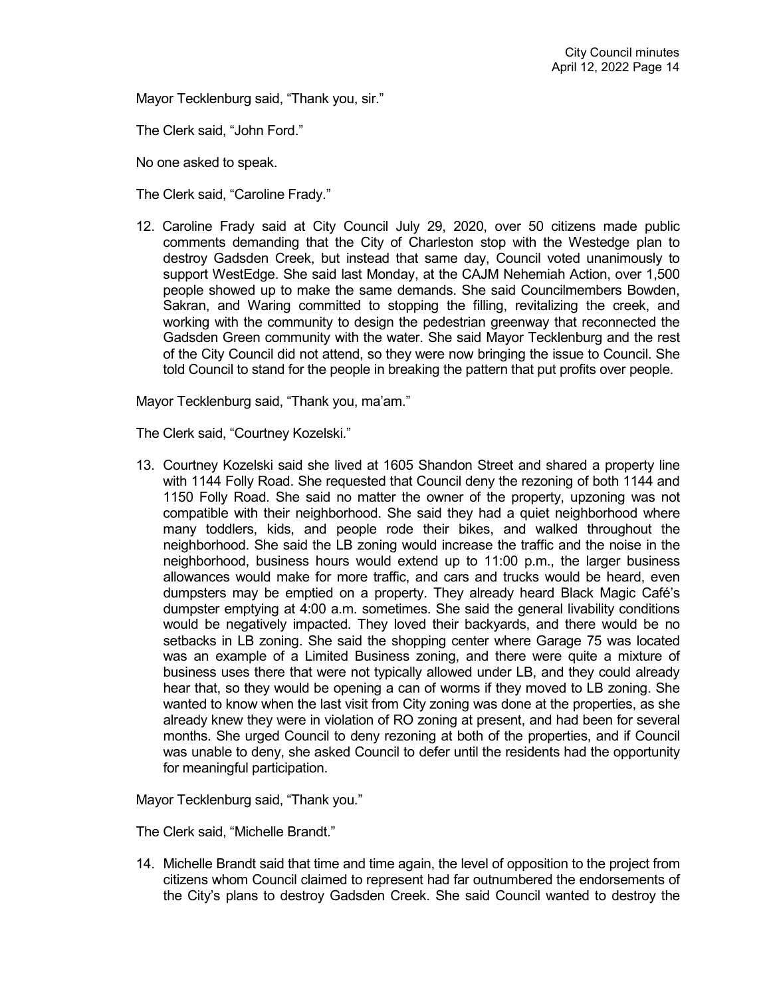Mayor Tecklenburg said, "Thank you, sir."

The Clerk said, "John Ford."

No one asked to speak.

The Clerk said, "Caroline Frady."

12. Caroline Frady said at City Council July 29, 2020, over 50 citizens made public comments demanding that the City of Charleston stop with the Westedge plan to destroy Gadsden Creek, but instead that same day, Council voted unanimously to support WestEdge. She said last Monday, at the CAJM Nehemiah Action, over 1,500 people showed up to make the same demands. She said Councilmembers Bowden, Sakran, and Waring committed to stopping the filling, revitalizing the creek, and working with the community to design the pedestrian greenway that reconnected the Gadsden Green community with the water. She said Mayor Tecklenburg and the rest of the City Council did not attend, so they were now bringing the issue to Council. She told Council to stand for the people in breaking the pattern that put profits over people.

Mayor Tecklenburg said, "Thank you, ma'am."

The Clerk said, "Courtney Kozelski."

13. Courtney Kozelski said she lived at 1605 Shandon Street and shared a property line with 1144 Folly Road. She requested that Council deny the rezoning of both 1144 and 1150 Folly Road. She said no matter the owner of the property, upzoning was not compatible with their neighborhood. She said they had a quiet neighborhood where many toddlers, kids, and people rode their bikes, and walked throughout the neighborhood. She said the LB zoning would increase the traffic and the noise in the neighborhood, business hours would extend up to 11:00 p.m., the larger business allowances would make for more traffic, and cars and trucks would be heard, even dumpsters may be emptied on a property. They already heard Black Magic Café's dumpster emptying at 4:00 a.m. sometimes. She said the general livability conditions would be negatively impacted. They loved their backyards, and there would be no setbacks in LB zoning. She said the shopping center where Garage 75 was located was an example of a Limited Business zoning, and there were quite a mixture of business uses there that were not typically allowed under LB, and they could already hear that, so they would be opening a can of worms if they moved to LB zoning. She wanted to know when the last visit from City zoning was done at the properties, as she already knew they were in violation of RO zoning at present, and had been for several months. She urged Council to deny rezoning at both of the properties, and if Council was unable to deny, she asked Council to defer until the residents had the opportunity for meaningful participation.

Mayor Tecklenburg said, "Thank you."

The Clerk said, "Michelle Brandt."

14. Michelle Brandt said that time and time again, the level of opposition to the project from citizens whom Council claimed to represent had far outnumbered the endorsements of the City's plans to destroy Gadsden Creek. She said Council wanted to destroy the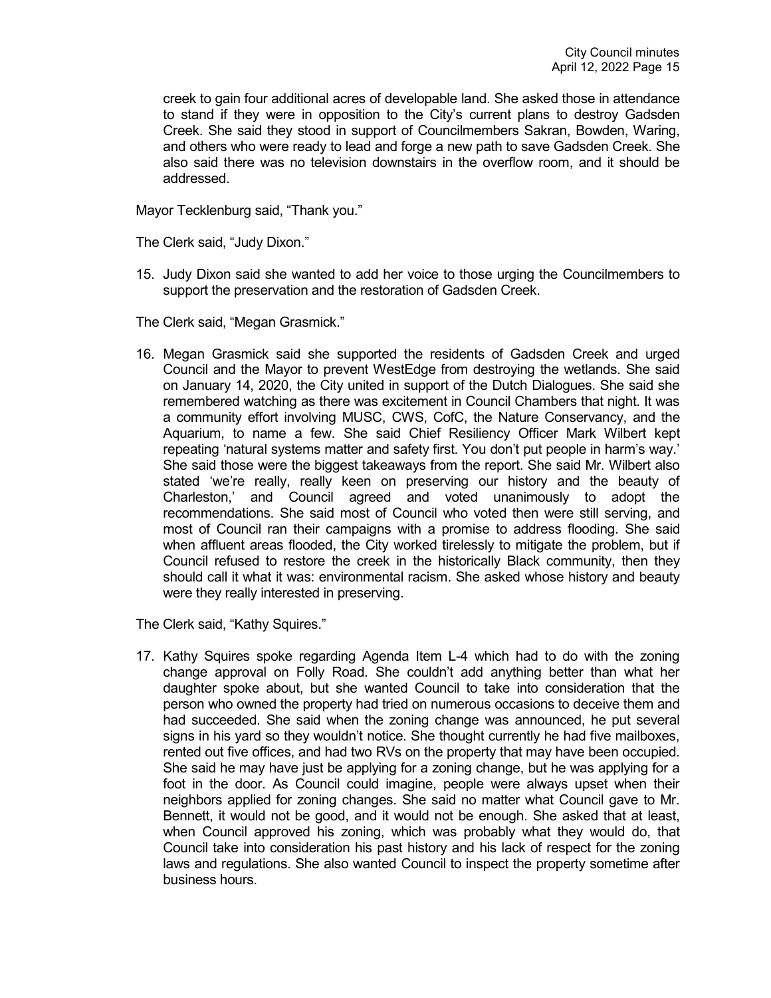creek to gain four additional acres of developable land. She asked those in attendance to stand if they were in opposition to the City's current plans to destroy Gadsden Creek. She said they stood in support of Councilmembers Sakran, Bowden, Waring, and others who were ready to lead and forge a new path to save Gadsden Creek. She also said there was no television downstairs in the overflow room, and it should be addressed.

Mayor Tecklenburg said, "Thank you."

The Clerk said, "Judy Dixon."

15. Judy Dixon said she wanted to add her voice to those urging the Councilmembers to support the preservation and the restoration of Gadsden Creek.

The Clerk said, "Megan Grasmick."

16. Megan Grasmick said she supported the residents of Gadsden Creek and urged Council and the Mayor to prevent WestEdge from destroying the wetlands. She said on January 14, 2020, the City united in support of the Dutch Dialogues. She said she remembered watching as there was excitement in Council Chambers that night. It was a community effort involving MUSC, CWS, CofC, the Nature Conservancy, and the Aquarium, to name a few. She said Chief Resiliency Officer Mark Wilbert kept repeating 'natural systems matter and safety first. You don't put people in harm's way.' She said those were the biggest takeaways from the report. She said Mr. Wilbert also stated 'we're really, really keen on preserving our history and the beauty of Charleston,' and Council agreed and voted unanimously to adopt the recommendations. She said most of Council who voted then were still serving, and most of Council ran their campaigns with a promise to address flooding. She said when affluent areas flooded, the City worked tirelessly to mitigate the problem, but if Council refused to restore the creek in the historically Black community, then they should call it what it was: environmental racism. She asked whose history and beauty were they really interested in preserving.

The Clerk said, "Kathy Squires."

17. Kathy Squires spoke regarding Agenda Item L-4 which had to do with the zoning change approval on Folly Road. She couldn't add anything better than what her daughter spoke about, but she wanted Council to take into consideration that the person who owned the property had tried on numerous occasions to deceive them and had succeeded. She said when the zoning change was announced, he put several signs in his yard so they wouldn't notice. She thought currently he had five mailboxes, rented out five offices, and had two RVs on the property that may have been occupied. She said he may have just be applying for a zoning change, but he was applying for a foot in the door. As Council could imagine, people were always upset when their neighbors applied for zoning changes. She said no matter what Council gave to Mr. Bennett, it would not be good, and it would not be enough. She asked that at least, when Council approved his zoning, which was probably what they would do, that Council take into consideration his past history and his lack of respect for the zoning laws and regulations. She also wanted Council to inspect the property sometime after business hours.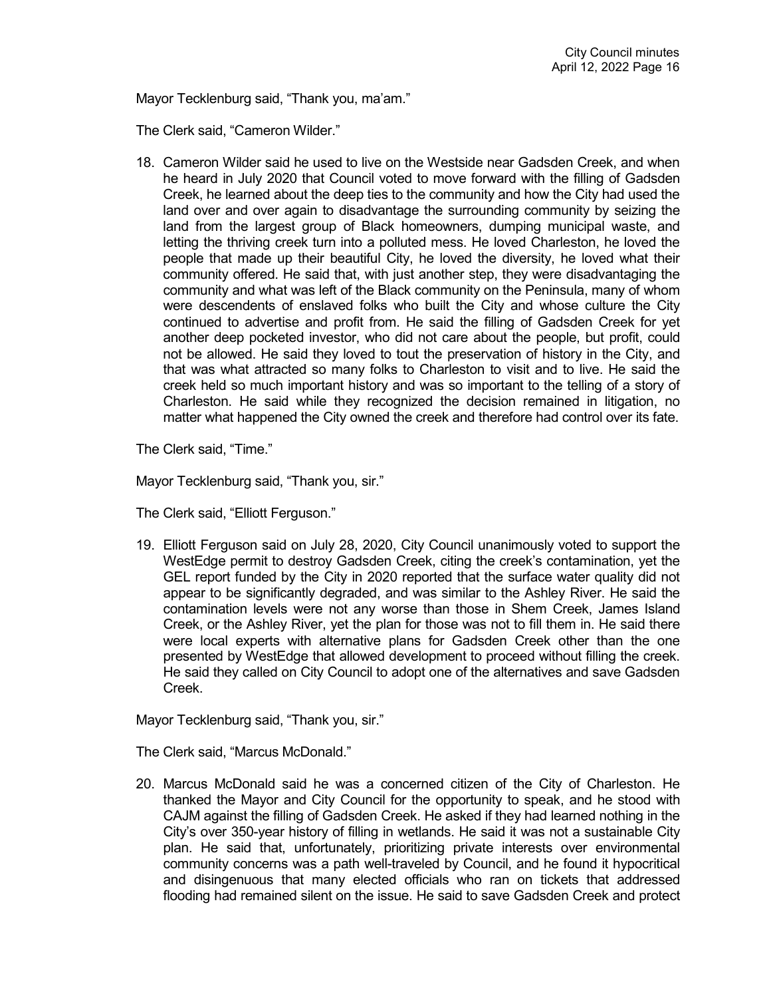Mayor Tecklenburg said, "Thank you, ma'am."

The Clerk said, "Cameron Wilder."

18. Cameron Wilder said he used to live on the Westside near Gadsden Creek, and when he heard in July 2020 that Council voted to move forward with the filling of Gadsden Creek, he learned about the deep ties to the community and how the City had used the land over and over again to disadvantage the surrounding community by seizing the land from the largest group of Black homeowners, dumping municipal waste, and letting the thriving creek turn into a polluted mess. He loved Charleston, he loved the people that made up their beautiful City, he loved the diversity, he loved what their community offered. He said that, with just another step, they were disadvantaging the community and what was left of the Black community on the Peninsula, many of whom were descendents of enslaved folks who built the City and whose culture the City continued to advertise and profit from. He said the filling of Gadsden Creek for yet another deep pocketed investor, who did not care about the people, but profit, could not be allowed. He said they loved to tout the preservation of history in the City, and that was what attracted so many folks to Charleston to visit and to live. He said the creek held so much important history and was so important to the telling of a story of Charleston. He said while they recognized the decision remained in litigation, no matter what happened the City owned the creek and therefore had control over its fate.

The Clerk said, "Time."

Mayor Tecklenburg said, "Thank you, sir."

The Clerk said, "Elliott Ferguson."

19. Elliott Ferguson said on July 28, 2020, City Council unanimously voted to support the WestEdge permit to destroy Gadsden Creek, citing the creek's contamination, yet the GEL report funded by the City in 2020 reported that the surface water quality did not appear to be significantly degraded, and was similar to the Ashley River. He said the contamination levels were not any worse than those in Shem Creek, James Island Creek, or the Ashley River, yet the plan for those was not to fill them in. He said there were local experts with alternative plans for Gadsden Creek other than the one presented by WestEdge that allowed development to proceed without filling the creek. He said they called on City Council to adopt one of the alternatives and save Gadsden Creek.

Mayor Tecklenburg said, "Thank you, sir."

The Clerk said, "Marcus McDonald."

20. Marcus McDonald said he was a concerned citizen of the City of Charleston. He thanked the Mayor and City Council for the opportunity to speak, and he stood with CAJM against the filling of Gadsden Creek. He asked if they had learned nothing in the City's over 350-year history of filling in wetlands. He said it was not a sustainable City plan. He said that, unfortunately, prioritizing private interests over environmental community concerns was a path well-traveled by Council, and he found it hypocritical and disingenuous that many elected officials who ran on tickets that addressed flooding had remained silent on the issue. He said to save Gadsden Creek and protect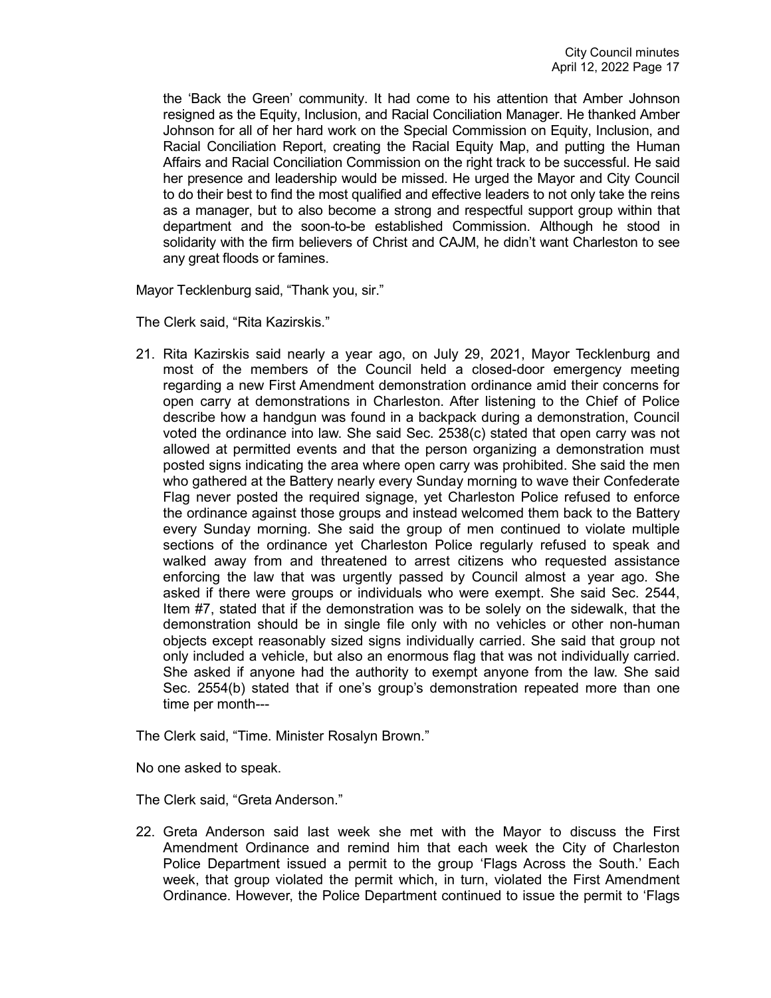the 'Back the Green' community. It had come to his attention that Amber Johnson resigned as the Equity, Inclusion, and Racial Conciliation Manager. He thanked Amber Johnson for all of her hard work on the Special Commission on Equity, Inclusion, and Racial Conciliation Report, creating the Racial Equity Map, and putting the Human Affairs and Racial Conciliation Commission on the right track to be successful. He said her presence and leadership would be missed. He urged the Mayor and City Council to do their best to find the most qualified and effective leaders to not only take the reins as a manager, but to also become a strong and respectful support group within that department and the soon-to-be established Commission. Although he stood in solidarity with the firm believers of Christ and CAJM, he didn't want Charleston to see any great floods or famines.

Mayor Tecklenburg said, "Thank you, sir."

The Clerk said, "Rita Kazirskis."

21. Rita Kazirskis said nearly a year ago, on July 29, 2021, Mayor Tecklenburg and most of the members of the Council held a closed-door emergency meeting regarding a new First Amendment demonstration ordinance amid their concerns for open carry at demonstrations in Charleston. After listening to the Chief of Police describe how a handgun was found in a backpack during a demonstration, Council voted the ordinance into law. She said Sec. 2538(c) stated that open carry was not allowed at permitted events and that the person organizing a demonstration must posted signs indicating the area where open carry was prohibited. She said the men who gathered at the Battery nearly every Sunday morning to wave their Confederate Flag never posted the required signage, yet Charleston Police refused to enforce the ordinance against those groups and instead welcomed them back to the Battery every Sunday morning. She said the group of men continued to violate multiple sections of the ordinance yet Charleston Police regularly refused to speak and walked away from and threatened to arrest citizens who requested assistance enforcing the law that was urgently passed by Council almost a year ago. She asked if there were groups or individuals who were exempt. She said Sec. 2544, Item #7, stated that if the demonstration was to be solely on the sidewalk, that the demonstration should be in single file only with no vehicles or other non-human objects except reasonably sized signs individually carried. She said that group not only included a vehicle, but also an enormous flag that was not individually carried. She asked if anyone had the authority to exempt anyone from the law. She said Sec. 2554(b) stated that if one's group's demonstration repeated more than one time per month---

The Clerk said, "Time. Minister Rosalyn Brown."

No one asked to speak.

The Clerk said, "Greta Anderson."

22. Greta Anderson said last week she met with the Mayor to discuss the First Amendment Ordinance and remind him that each week the City of Charleston Police Department issued a permit to the group 'Flags Across the South.' Each week, that group violated the permit which, in turn, violated the First Amendment Ordinance. However, the Police Department continued to issue the permit to 'Flags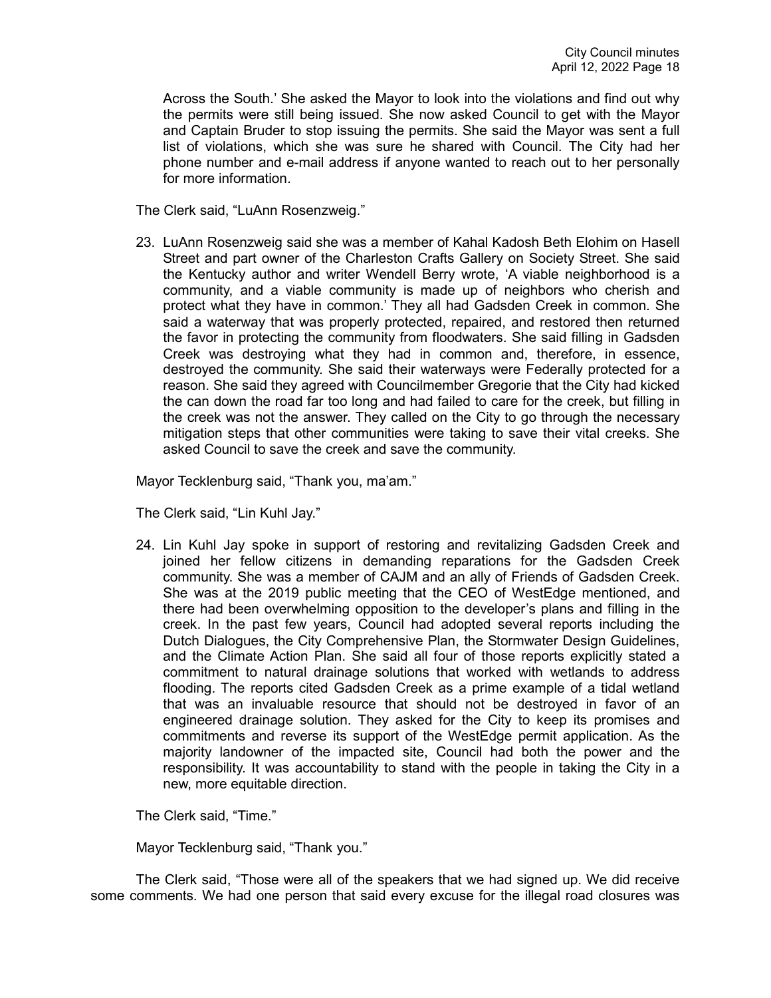Across the South.' She asked the Mayor to look into the violations and find out why the permits were still being issued. She now asked Council to get with the Mayor and Captain Bruder to stop issuing the permits. She said the Mayor was sent a full list of violations, which she was sure he shared with Council. The City had her phone number and e-mail address if anyone wanted to reach out to her personally for more information.

The Clerk said, "LuAnn Rosenzweig."

23. LuAnn Rosenzweig said she was a member of Kahal Kadosh Beth Elohim on Hasell Street and part owner of the Charleston Crafts Gallery on Society Street. She said the Kentucky author and writer Wendell Berry wrote, 'A viable neighborhood is a community, and a viable community is made up of neighbors who cherish and protect what they have in common.' They all had Gadsden Creek in common. She said a waterway that was properly protected, repaired, and restored then returned the favor in protecting the community from floodwaters. She said filling in Gadsden Creek was destroying what they had in common and, therefore, in essence, destroyed the community. She said their waterways were Federally protected for a reason. She said they agreed with Councilmember Gregorie that the City had kicked the can down the road far too long and had failed to care for the creek, but filling in the creek was not the answer. They called on the City to go through the necessary mitigation steps that other communities were taking to save their vital creeks. She asked Council to save the creek and save the community.

Mayor Tecklenburg said, "Thank you, ma'am."

The Clerk said, "Lin Kuhl Jay."

24. Lin Kuhl Jay spoke in support of restoring and revitalizing Gadsden Creek and joined her fellow citizens in demanding reparations for the Gadsden Creek community. She was a member of CAJM and an ally of Friends of Gadsden Creek. She was at the 2019 public meeting that the CEO of WestEdge mentioned, and there had been overwhelming opposition to the developer's plans and filling in the creek. In the past few years, Council had adopted several reports including the Dutch Dialogues, the City Comprehensive Plan, the Stormwater Design Guidelines, and the Climate Action Plan. She said all four of those reports explicitly stated a commitment to natural drainage solutions that worked with wetlands to address flooding. The reports cited Gadsden Creek as a prime example of a tidal wetland that was an invaluable resource that should not be destroyed in favor of an engineered drainage solution. They asked for the City to keep its promises and commitments and reverse its support of the WestEdge permit application. As the majority landowner of the impacted site, Council had both the power and the responsibility. It was accountability to stand with the people in taking the City in a new, more equitable direction.

The Clerk said, "Time."

Mayor Tecklenburg said, "Thank you."

The Clerk said, "Those were all of the speakers that we had signed up. We did receive some comments. We had one person that said every excuse for the illegal road closures was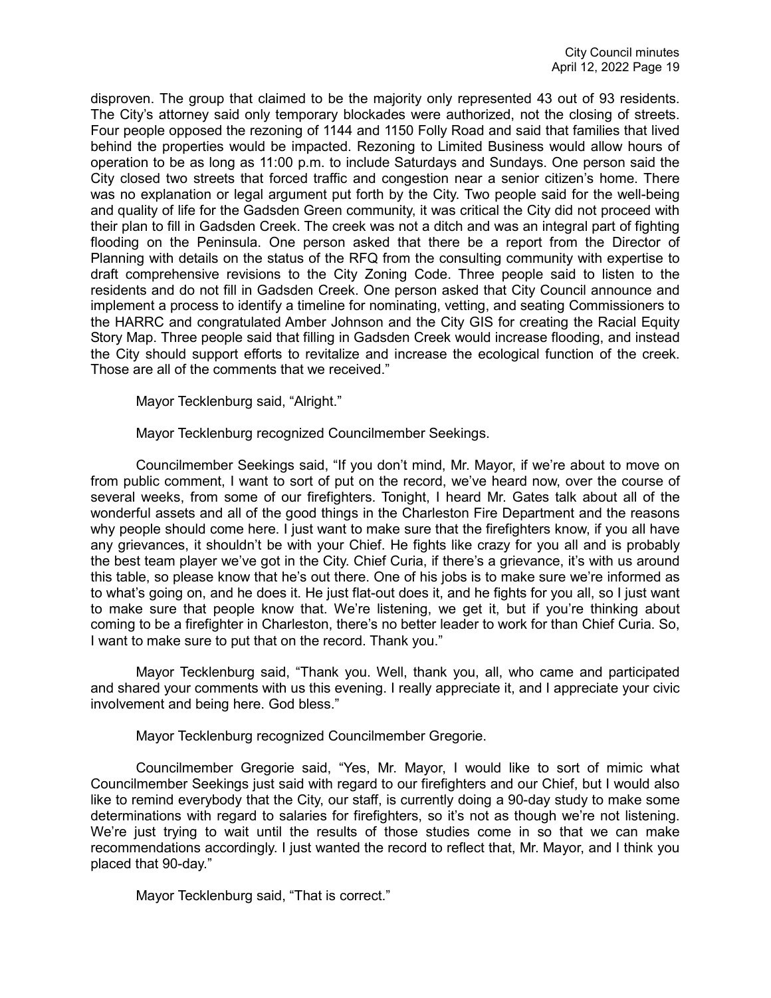disproven. The group that claimed to be the majority only represented 43 out of 93 residents. The City's attorney said only temporary blockades were authorized, not the closing of streets. Four people opposed the rezoning of 1144 and 1150 Folly Road and said that families that lived behind the properties would be impacted. Rezoning to Limited Business would allow hours of operation to be as long as 11:00 p.m. to include Saturdays and Sundays. One person said the City closed two streets that forced traffic and congestion near a senior citizen's home. There was no explanation or legal argument put forth by the City. Two people said for the well-being and quality of life for the Gadsden Green community, it was critical the City did not proceed with their plan to fill in Gadsden Creek. The creek was not a ditch and was an integral part of fighting flooding on the Peninsula. One person asked that there be a report from the Director of Planning with details on the status of the RFQ from the consulting community with expertise to draft comprehensive revisions to the City Zoning Code. Three people said to listen to the residents and do not fill in Gadsden Creek. One person asked that City Council announce and implement a process to identify a timeline for nominating, vetting, and seating Commissioners to the HARRC and congratulated Amber Johnson and the City GIS for creating the Racial Equity Story Map. Three people said that filling in Gadsden Creek would increase flooding, and instead the City should support efforts to revitalize and increase the ecological function of the creek. Those are all of the comments that we received."

Mayor Tecklenburg said, "Alright."

Mayor Tecklenburg recognized Councilmember Seekings.

Councilmember Seekings said, "If you don't mind, Mr. Mayor, if we're about to move on from public comment, I want to sort of put on the record, we've heard now, over the course of several weeks, from some of our firefighters. Tonight, I heard Mr. Gates talk about all of the wonderful assets and all of the good things in the Charleston Fire Department and the reasons why people should come here. I just want to make sure that the firefighters know, if you all have any grievances, it shouldn't be with your Chief. He fights like crazy for you all and is probably the best team player we've got in the City. Chief Curia, if there's a grievance, it's with us around this table, so please know that he's out there. One of his jobs is to make sure we're informed as to what's going on, and he does it. He just flat-out does it, and he fights for you all, so I just want to make sure that people know that. We're listening, we get it, but if you're thinking about coming to be a firefighter in Charleston, there's no better leader to work for than Chief Curia. So, I want to make sure to put that on the record. Thank you."

Mayor Tecklenburg said, "Thank you. Well, thank you, all, who came and participated and shared your comments with us this evening. I really appreciate it, and I appreciate your civic involvement and being here. God bless."

Mayor Tecklenburg recognized Councilmember Gregorie.

Councilmember Gregorie said, "Yes, Mr. Mayor, I would like to sort of mimic what Councilmember Seekings just said with regard to our firefighters and our Chief, but I would also like to remind everybody that the City, our staff, is currently doing a 90-day study to make some determinations with regard to salaries for firefighters, so it's not as though we're not listening. We're just trying to wait until the results of those studies come in so that we can make recommendations accordingly. I just wanted the record to reflect that, Mr. Mayor, and I think you placed that 90-day."

Mayor Tecklenburg said, "That is correct."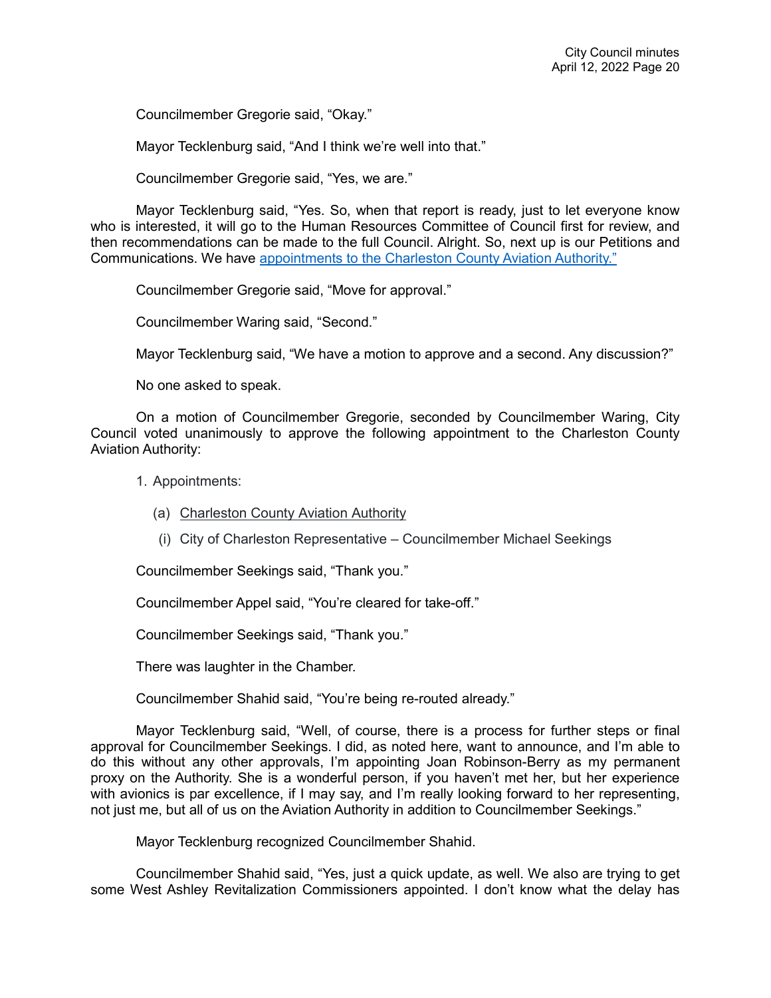Councilmember Gregorie said, "Okay."

Mayor Tecklenburg said, "And I think we're well into that."

Councilmember Gregorie said, "Yes, we are."

Mayor Tecklenburg said, "Yes. So, when that report is ready, just to let everyone know who is interested, it will go to the Human Resources Committee of Council first for review, and then recommendations can be made to the full Council. Alright. So, next up is our Petitions and Communications. We have [appointments to the Charleston County Aviation Authority."](https://youtu.be/9vYkYTqz1Vc?t=4423)

Councilmember Gregorie said, "Move for approval."

Councilmember Waring said, "Second."

Mayor Tecklenburg said, "We have a motion to approve and a second. Any discussion?"

No one asked to speak.

On a motion of Councilmember Gregorie, seconded by Councilmember Waring, City Council voted unanimously to approve the following appointment to the Charleston County Aviation Authority:

- 1. Appointments:
	- (a) Charleston County Aviation Authority
	- (i) City of Charleston Representative Councilmember Michael Seekings

Councilmember Seekings said, "Thank you."

Councilmember Appel said, "You're cleared for take-off."

Councilmember Seekings said, "Thank you."

There was laughter in the Chamber.

Councilmember Shahid said, "You're being re-routed already."

Mayor Tecklenburg said, "Well, of course, there is a process for further steps or final approval for Councilmember Seekings. I did, as noted here, want to announce, and I'm able to do this without any other approvals, I'm appointing Joan Robinson-Berry as my permanent proxy on the Authority. She is a wonderful person, if you haven't met her, but her experience with avionics is par excellence, if I may say, and I'm really looking forward to her representing, not just me, but all of us on the Aviation Authority in addition to Councilmember Seekings."

Mayor Tecklenburg recognized Councilmember Shahid.

Councilmember Shahid said, "Yes, just a quick update, as well. We also are trying to get some West Ashley Revitalization Commissioners appointed. I don't know what the delay has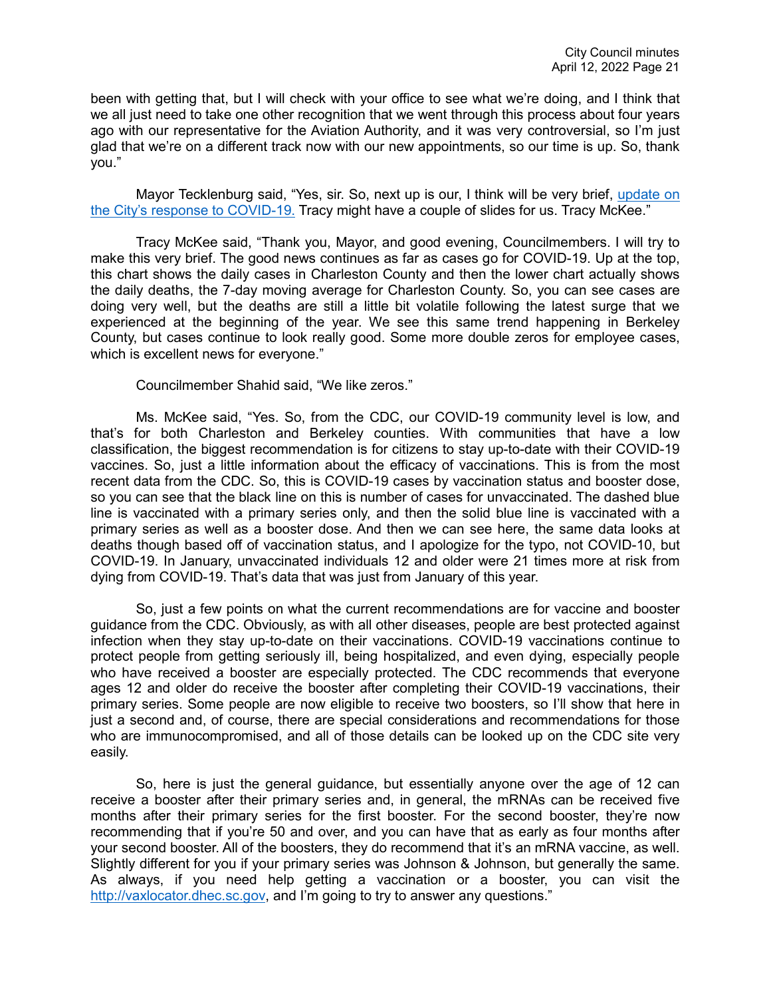been with getting that, but I will check with your office to see what we're doing, and I think that we all just need to take one other recognition that we went through this process about four years ago with our representative for the Aviation Authority, and it was very controversial, so I'm just glad that we're on a different track now with our new appointments, so our time is up. So, thank you."

Mayor Tecklenburg said, "Yes, sir. So, next up is our, I think will be very brief, [update on](https://youtu.be/9vYkYTqz1Vc?t=4527)  [the City's response to COVID-19.](https://youtu.be/9vYkYTqz1Vc?t=4527) Tracy might have a couple of slides for us. Tracy McKee."

Tracy McKee said, "Thank you, Mayor, and good evening, Councilmembers. I will try to make this very brief. The good news continues as far as cases go for COVID-19. Up at the top, this chart shows the daily cases in Charleston County and then the lower chart actually shows the daily deaths, the 7-day moving average for Charleston County. So, you can see cases are doing very well, but the deaths are still a little bit volatile following the latest surge that we experienced at the beginning of the year. We see this same trend happening in Berkeley County, but cases continue to look really good. Some more double zeros for employee cases, which is excellent news for everyone."

Councilmember Shahid said, "We like zeros."

Ms. McKee said, "Yes. So, from the CDC, our COVID-19 community level is low, and that's for both Charleston and Berkeley counties. With communities that have a low classification, the biggest recommendation is for citizens to stay up-to-date with their COVID-19 vaccines. So, just a little information about the efficacy of vaccinations. This is from the most recent data from the CDC. So, this is COVID-19 cases by vaccination status and booster dose, so you can see that the black line on this is number of cases for unvaccinated. The dashed blue line is vaccinated with a primary series only, and then the solid blue line is vaccinated with a primary series as well as a booster dose. And then we can see here, the same data looks at deaths though based off of vaccination status, and I apologize for the typo, not COVID-10, but COVID-19. In January, unvaccinated individuals 12 and older were 21 times more at risk from dying from COVID-19. That's data that was just from January of this year.

So, just a few points on what the current recommendations are for vaccine and booster guidance from the CDC. Obviously, as with all other diseases, people are best protected against infection when they stay up-to-date on their vaccinations. COVID-19 vaccinations continue to protect people from getting seriously ill, being hospitalized, and even dying, especially people who have received a booster are especially protected. The CDC recommends that everyone ages 12 and older do receive the booster after completing their COVID-19 vaccinations, their primary series. Some people are now eligible to receive two boosters, so I'll show that here in just a second and, of course, there are special considerations and recommendations for those who are immunocompromised, and all of those details can be looked up on the CDC site very easily.

So, here is just the general guidance, but essentially anyone over the age of 12 can receive a booster after their primary series and, in general, the mRNAs can be received five months after their primary series for the first booster. For the second booster, they're now recommending that if you're 50 and over, and you can have that as early as four months after your second booster. All of the boosters, they do recommend that it's an mRNA vaccine, as well. Slightly different for you if your primary series was Johnson & Johnson, but generally the same. As always, if you need help getting a vaccination or a booster, you can visit the [http://vaxlocator.dhec.sc.gov,](http://vaxlocator.dhec.sc.gov/) and I'm going to try to answer any questions."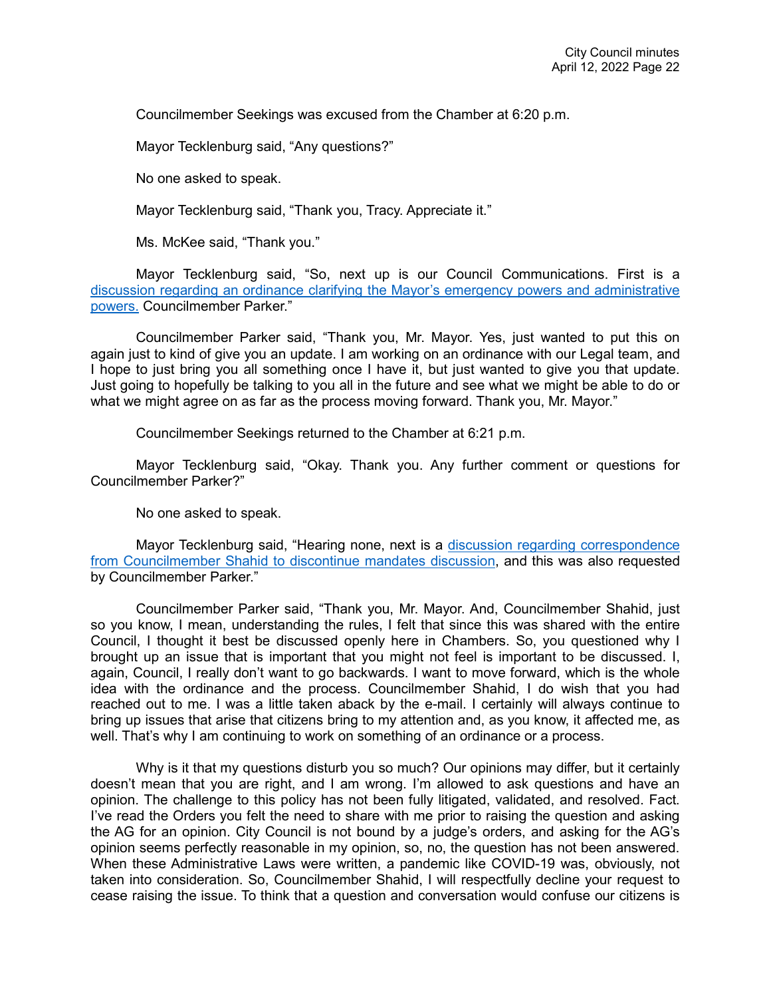Councilmember Seekings was excused from the Chamber at 6:20 p.m.

Mayor Tecklenburg said, "Any questions?"

No one asked to speak.

Mayor Tecklenburg said, "Thank you, Tracy. Appreciate it."

Ms. McKee said, "Thank you."

Mayor Tecklenburg said, "So, next up is our Council Communications. First is a [discussion regarding an ordinance clarifying the Mayor's emergency powers and administrative](https://youtu.be/9vYkYTqz1Vc?t=4817)  [powers.](https://youtu.be/9vYkYTqz1Vc?t=4817) Councilmember Parker."

Councilmember Parker said, "Thank you, Mr. Mayor. Yes, just wanted to put this on again just to kind of give you an update. I am working on an ordinance with our Legal team, and I hope to just bring you all something once I have it, but just wanted to give you that update. Just going to hopefully be talking to you all in the future and see what we might be able to do or what we might agree on as far as the process moving forward. Thank you, Mr. Mayor."

Councilmember Seekings returned to the Chamber at 6:21 p.m.

Mayor Tecklenburg said, "Okay. Thank you. Any further comment or questions for Councilmember Parker?"

No one asked to speak.

Mayor Tecklenburg said, "Hearing none, next is a [discussion regarding correspondence](https://youtu.be/9vYkYTqz1Vc?t=4859)  [from Councilmember Shahid to discontinue mandates discussion,](https://youtu.be/9vYkYTqz1Vc?t=4859) and this was also requested by Councilmember Parker."

Councilmember Parker said, "Thank you, Mr. Mayor. And, Councilmember Shahid, just so you know, I mean, understanding the rules, I felt that since this was shared with the entire Council, I thought it best be discussed openly here in Chambers. So, you questioned why I brought up an issue that is important that you might not feel is important to be discussed. I, again, Council, I really don't want to go backwards. I want to move forward, which is the whole idea with the ordinance and the process. Councilmember Shahid, I do wish that you had reached out to me. I was a little taken aback by the e-mail. I certainly will always continue to bring up issues that arise that citizens bring to my attention and, as you know, it affected me, as well. That's why I am continuing to work on something of an ordinance or a process.

Why is it that my questions disturb you so much? Our opinions may differ, but it certainly doesn't mean that you are right, and I am wrong. I'm allowed to ask questions and have an opinion. The challenge to this policy has not been fully litigated, validated, and resolved. Fact. I've read the Orders you felt the need to share with me prior to raising the question and asking the AG for an opinion. City Council is not bound by a judge's orders, and asking for the AG's opinion seems perfectly reasonable in my opinion, so, no, the question has not been answered. When these Administrative Laws were written, a pandemic like COVID-19 was, obviously, not taken into consideration. So, Councilmember Shahid, I will respectfully decline your request to cease raising the issue. To think that a question and conversation would confuse our citizens is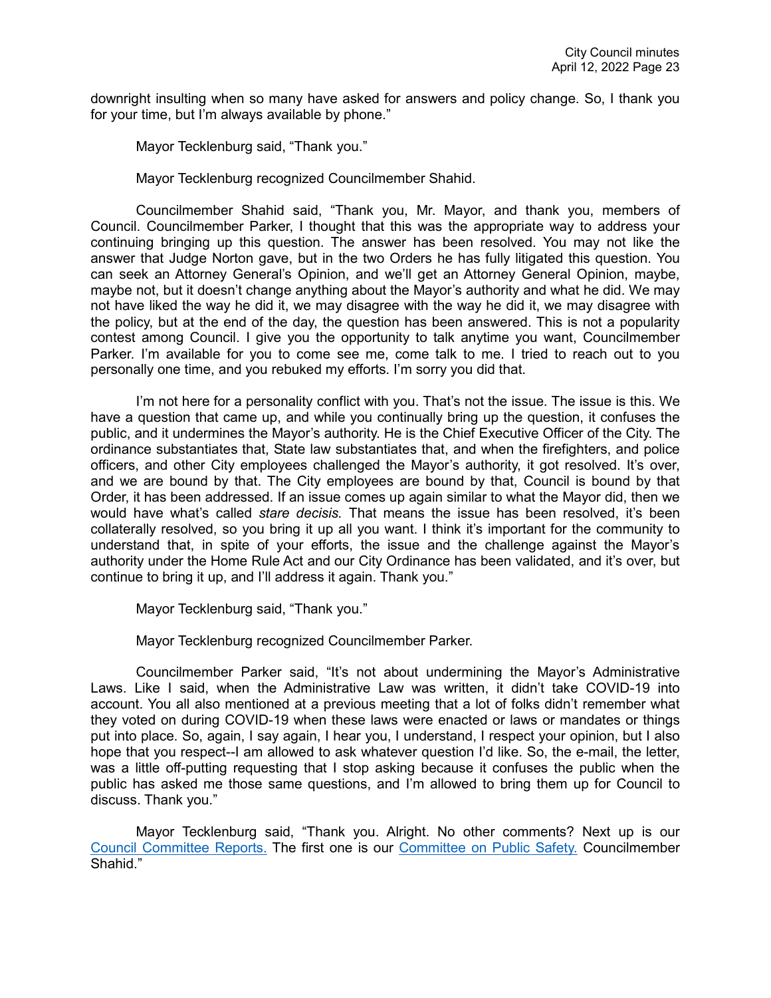downright insulting when so many have asked for answers and policy change. So, I thank you for your time, but I'm always available by phone."

Mayor Tecklenburg said, "Thank you."

Mayor Tecklenburg recognized Councilmember Shahid.

Councilmember Shahid said, "Thank you, Mr. Mayor, and thank you, members of Council. Councilmember Parker, I thought that this was the appropriate way to address your continuing bringing up this question. The answer has been resolved. You may not like the answer that Judge Norton gave, but in the two Orders he has fully litigated this question. You can seek an Attorney General's Opinion, and we'll get an Attorney General Opinion, maybe, maybe not, but it doesn't change anything about the Mayor's authority and what he did. We may not have liked the way he did it, we may disagree with the way he did it, we may disagree with the policy, but at the end of the day, the question has been answered. This is not a popularity contest among Council. I give you the opportunity to talk anytime you want, Councilmember Parker. I'm available for you to come see me, come talk to me. I tried to reach out to you personally one time, and you rebuked my efforts. I'm sorry you did that.

I'm not here for a personality conflict with you. That's not the issue. The issue is this. We have a question that came up, and while you continually bring up the question, it confuses the public, and it undermines the Mayor's authority. He is the Chief Executive Officer of the City. The ordinance substantiates that, State law substantiates that, and when the firefighters, and police officers, and other City employees challenged the Mayor's authority, it got resolved. It's over, and we are bound by that. The City employees are bound by that, Council is bound by that Order, it has been addressed. If an issue comes up again similar to what the Mayor did, then we would have what's called *stare decisis.* That means the issue has been resolved, it's been collaterally resolved, so you bring it up all you want. I think it's important for the community to understand that, in spite of your efforts, the issue and the challenge against the Mayor's authority under the Home Rule Act and our City Ordinance has been validated, and it's over, but continue to bring it up, and I'll address it again. Thank you."

Mayor Tecklenburg said, "Thank you."

Mayor Tecklenburg recognized Councilmember Parker.

Councilmember Parker said, "It's not about undermining the Mayor's Administrative Laws. Like I said, when the Administrative Law was written, it didn't take COVID-19 into account. You all also mentioned at a previous meeting that a lot of folks didn't remember what they voted on during COVID-19 when these laws were enacted or laws or mandates or things put into place. So, again, I say again, I hear you, I understand, I respect your opinion, but I also hope that you respect--I am allowed to ask whatever question I'd like. So, the e-mail, the letter, was a little off-putting requesting that I stop asking because it confuses the public when the public has asked me those same questions, and I'm allowed to bring them up for Council to discuss. Thank you."

Mayor Tecklenburg said, "Thank you. Alright. No other comments? Next up is our [Council Committee Reports.](https://youtu.be/9vYkYTqz1Vc?t=5175) The first one is our [Committee on Public Safety.](https://youtu.be/9vYkYTqz1Vc?t=5178) Councilmember Shahid."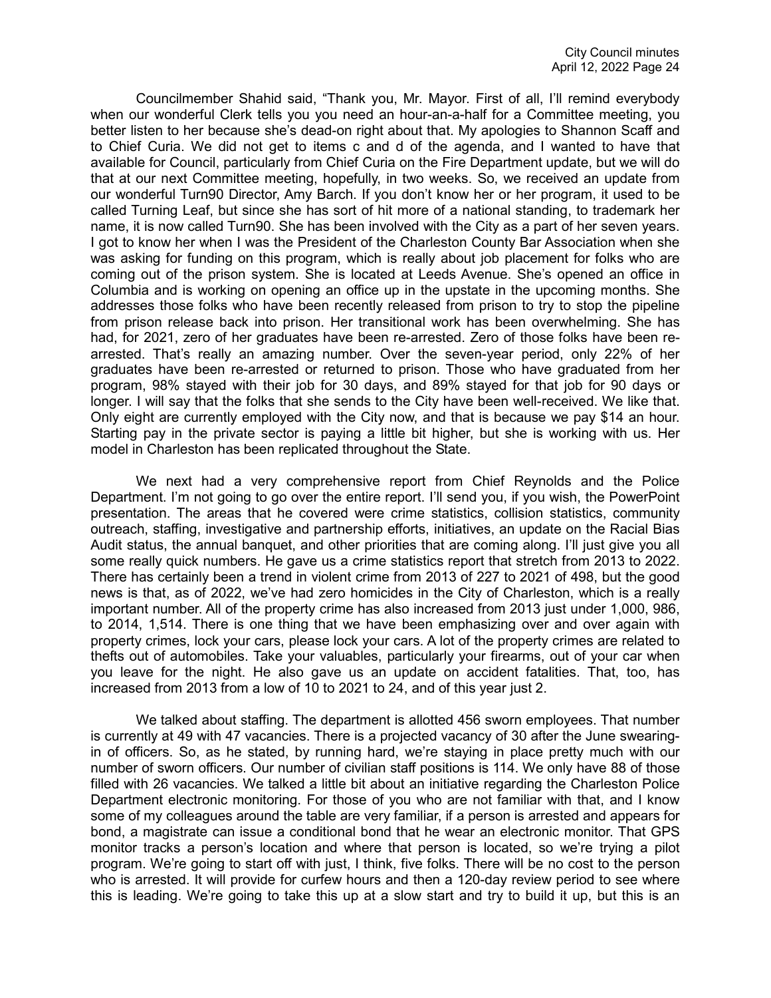Councilmember Shahid said, "Thank you, Mr. Mayor. First of all, I'll remind everybody when our wonderful Clerk tells you you need an hour-an-a-half for a Committee meeting, you better listen to her because she's dead-on right about that. My apologies to Shannon Scaff and to Chief Curia. We did not get to items c and d of the agenda, and I wanted to have that available for Council, particularly from Chief Curia on the Fire Department update, but we will do that at our next Committee meeting, hopefully, in two weeks. So, we received an update from our wonderful Turn90 Director, Amy Barch. If you don't know her or her program, it used to be called Turning Leaf, but since she has sort of hit more of a national standing, to trademark her name, it is now called Turn90. She has been involved with the City as a part of her seven years. I got to know her when I was the President of the Charleston County Bar Association when she was asking for funding on this program, which is really about job placement for folks who are coming out of the prison system. She is located at Leeds Avenue. She's opened an office in Columbia and is working on opening an office up in the upstate in the upcoming months. She addresses those folks who have been recently released from prison to try to stop the pipeline from prison release back into prison. Her transitional work has been overwhelming. She has had, for 2021, zero of her graduates have been re-arrested. Zero of those folks have been rearrested. That's really an amazing number. Over the seven-year period, only 22% of her graduates have been re-arrested or returned to prison. Those who have graduated from her program, 98% stayed with their job for 30 days, and 89% stayed for that job for 90 days or longer. I will say that the folks that she sends to the City have been well-received. We like that. Only eight are currently employed with the City now, and that is because we pay \$14 an hour. Starting pay in the private sector is paying a little bit higher, but she is working with us. Her model in Charleston has been replicated throughout the State.

We next had a very comprehensive report from Chief Reynolds and the Police Department. I'm not going to go over the entire report. I'll send you, if you wish, the PowerPoint presentation. The areas that he covered were crime statistics, collision statistics, community outreach, staffing, investigative and partnership efforts, initiatives, an update on the Racial Bias Audit status, the annual banquet, and other priorities that are coming along. I'll just give you all some really quick numbers. He gave us a crime statistics report that stretch from 2013 to 2022. There has certainly been a trend in violent crime from 2013 of 227 to 2021 of 498, but the good news is that, as of 2022, we've had zero homicides in the City of Charleston, which is a really important number. All of the property crime has also increased from 2013 just under 1,000, 986, to 2014, 1,514. There is one thing that we have been emphasizing over and over again with property crimes, lock your cars, please lock your cars. A lot of the property crimes are related to thefts out of automobiles. Take your valuables, particularly your firearms, out of your car when you leave for the night. He also gave us an update on accident fatalities. That, too, has increased from 2013 from a low of 10 to 2021 to 24, and of this year just 2.

We talked about staffing. The department is allotted 456 sworn employees. That number is currently at 49 with 47 vacancies. There is a projected vacancy of 30 after the June swearingin of officers. So, as he stated, by running hard, we're staying in place pretty much with our number of sworn officers. Our number of civilian staff positions is 114. We only have 88 of those filled with 26 vacancies. We talked a little bit about an initiative regarding the Charleston Police Department electronic monitoring. For those of you who are not familiar with that, and I know some of my colleagues around the table are very familiar, if a person is arrested and appears for bond, a magistrate can issue a conditional bond that he wear an electronic monitor. That GPS monitor tracks a person's location and where that person is located, so we're trying a pilot program. We're going to start off with just, I think, five folks. There will be no cost to the person who is arrested. It will provide for curfew hours and then a 120-day review period to see where this is leading. We're going to take this up at a slow start and try to build it up, but this is an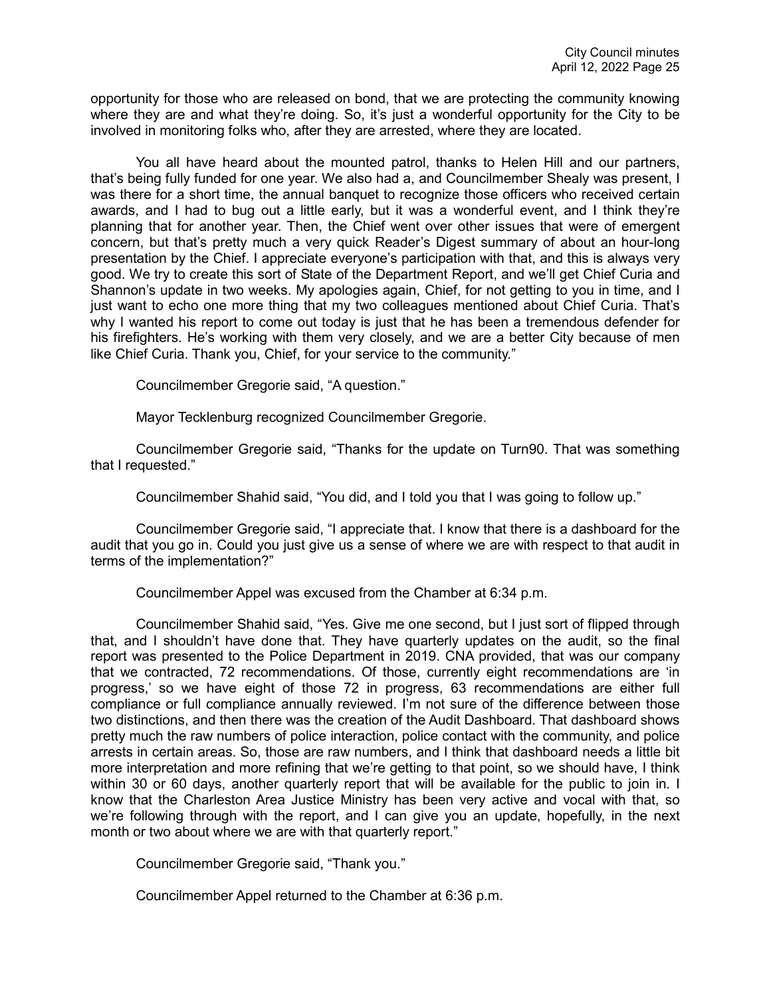opportunity for those who are released on bond, that we are protecting the community knowing where they are and what they're doing. So, it's just a wonderful opportunity for the City to be involved in monitoring folks who, after they are arrested, where they are located.

You all have heard about the mounted patrol, thanks to Helen Hill and our partners, that's being fully funded for one year. We also had a, and Councilmember Shealy was present, I was there for a short time, the annual banquet to recognize those officers who received certain awards, and I had to bug out a little early, but it was a wonderful event, and I think they're planning that for another year. Then, the Chief went over other issues that were of emergent concern, but that's pretty much a very quick Reader's Digest summary of about an hour-long presentation by the Chief. I appreciate everyone's participation with that, and this is always very good. We try to create this sort of State of the Department Report, and we'll get Chief Curia and Shannon's update in two weeks. My apologies again, Chief, for not getting to you in time, and I just want to echo one more thing that my two colleagues mentioned about Chief Curia. That's why I wanted his report to come out today is just that he has been a tremendous defender for his firefighters. He's working with them very closely, and we are a better City because of men like Chief Curia. Thank you, Chief, for your service to the community."

Councilmember Gregorie said, "A question."

Mayor Tecklenburg recognized Councilmember Gregorie.

Councilmember Gregorie said, "Thanks for the update on Turn90. That was something that I requested."

Councilmember Shahid said, "You did, and I told you that I was going to follow up."

Councilmember Gregorie said, "I appreciate that. I know that there is a dashboard for the audit that you go in. Could you just give us a sense of where we are with respect to that audit in terms of the implementation?"

Councilmember Appel was excused from the Chamber at 6:34 p.m.

Councilmember Shahid said, "Yes. Give me one second, but I just sort of flipped through that, and I shouldn't have done that. They have quarterly updates on the audit, so the final report was presented to the Police Department in 2019. CNA provided, that was our company that we contracted, 72 recommendations. Of those, currently eight recommendations are 'in progress,' so we have eight of those 72 in progress, 63 recommendations are either full compliance or full compliance annually reviewed. I'm not sure of the difference between those two distinctions, and then there was the creation of the Audit Dashboard. That dashboard shows pretty much the raw numbers of police interaction, police contact with the community, and police arrests in certain areas. So, those are raw numbers, and I think that dashboard needs a little bit more interpretation and more refining that we're getting to that point, so we should have, I think within 30 or 60 days, another quarterly report that will be available for the public to join in. I know that the Charleston Area Justice Ministry has been very active and vocal with that, so we're following through with the report, and I can give you an update, hopefully, in the next month or two about where we are with that quarterly report."

Councilmember Gregorie said, "Thank you."

Councilmember Appel returned to the Chamber at 6:36 p.m.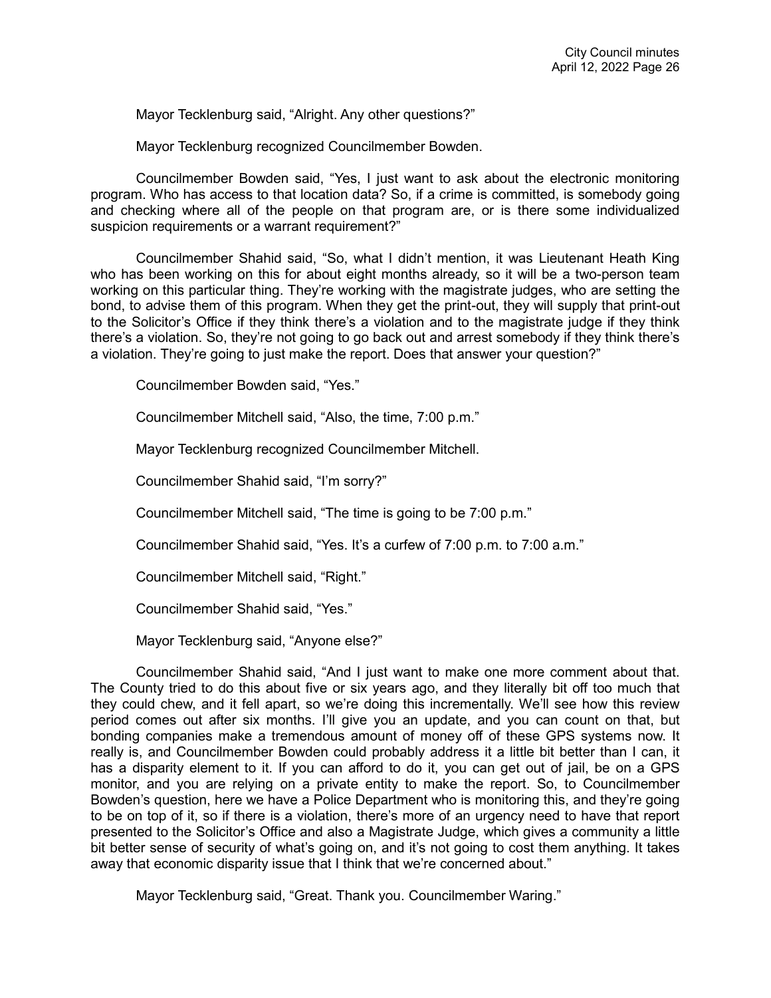Mayor Tecklenburg said, "Alright. Any other questions?"

Mayor Tecklenburg recognized Councilmember Bowden.

Councilmember Bowden said, "Yes, I just want to ask about the electronic monitoring program. Who has access to that location data? So, if a crime is committed, is somebody going and checking where all of the people on that program are, or is there some individualized suspicion requirements or a warrant requirement?"

Councilmember Shahid said, "So, what I didn't mention, it was Lieutenant Heath King who has been working on this for about eight months already, so it will be a two-person team working on this particular thing. They're working with the magistrate judges, who are setting the bond, to advise them of this program. When they get the print-out, they will supply that print-out to the Solicitor's Office if they think there's a violation and to the magistrate judge if they think there's a violation. So, they're not going to go back out and arrest somebody if they think there's a violation. They're going to just make the report. Does that answer your question?"

Councilmember Bowden said, "Yes."

Councilmember Mitchell said, "Also, the time, 7:00 p.m."

Mayor Tecklenburg recognized Councilmember Mitchell.

Councilmember Shahid said, "I'm sorry?"

Councilmember Mitchell said, "The time is going to be 7:00 p.m."

Councilmember Shahid said, "Yes. It's a curfew of 7:00 p.m. to 7:00 a.m."

Councilmember Mitchell said, "Right."

Councilmember Shahid said, "Yes."

Mayor Tecklenburg said, "Anyone else?"

Councilmember Shahid said, "And I just want to make one more comment about that. The County tried to do this about five or six years ago, and they literally bit off too much that they could chew, and it fell apart, so we're doing this incrementally. We'll see how this review period comes out after six months. I'll give you an update, and you can count on that, but bonding companies make a tremendous amount of money off of these GPS systems now. It really is, and Councilmember Bowden could probably address it a little bit better than I can, it has a disparity element to it. If you can afford to do it, you can get out of jail, be on a GPS monitor, and you are relying on a private entity to make the report. So, to Councilmember Bowden's question, here we have a Police Department who is monitoring this, and they're going to be on top of it, so if there is a violation, there's more of an urgency need to have that report presented to the Solicitor's Office and also a Magistrate Judge, which gives a community a little bit better sense of security of what's going on, and it's not going to cost them anything. It takes away that economic disparity issue that I think that we're concerned about."

Mayor Tecklenburg said, "Great. Thank you. Councilmember Waring."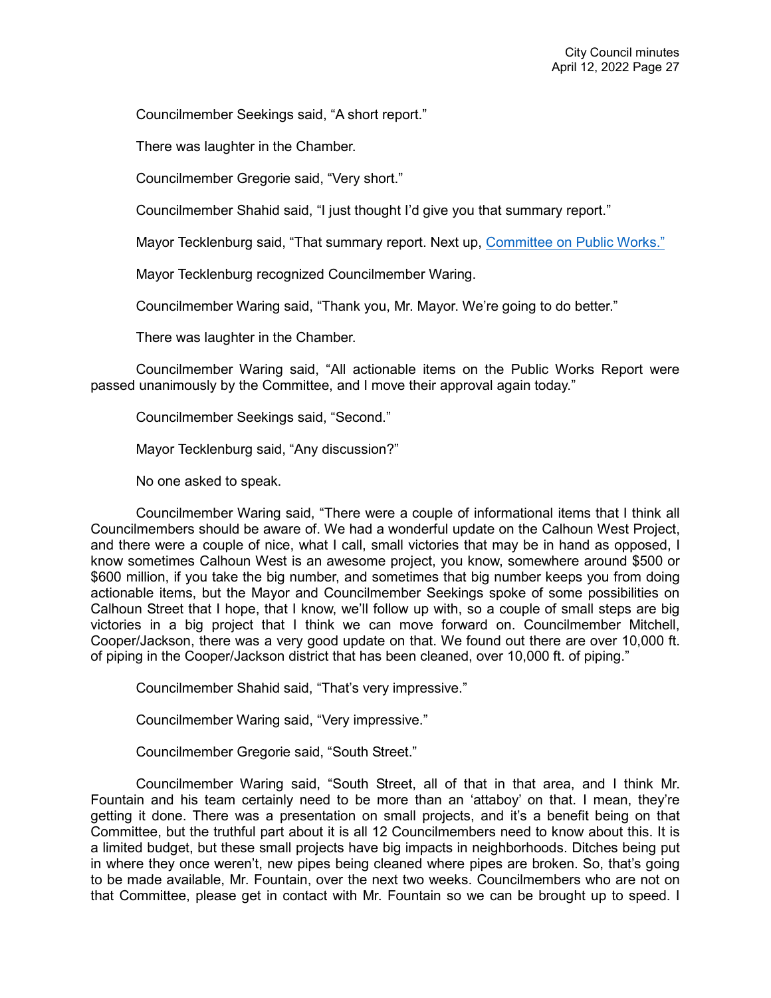Councilmember Seekings said, "A short report."

There was laughter in the Chamber.

Councilmember Gregorie said, "Very short."

Councilmember Shahid said, "I just thought I'd give you that summary report."

Mayor Tecklenburg said, "That summary report. Next up, [Committee on Public Works."](https://youtu.be/9vYkYTqz1Vc?t=5901)

Mayor Tecklenburg recognized Councilmember Waring.

Councilmember Waring said, "Thank you, Mr. Mayor. We're going to do better."

There was laughter in the Chamber.

Councilmember Waring said, "All actionable items on the Public Works Report were passed unanimously by the Committee, and I move their approval again today."

Councilmember Seekings said, "Second."

Mayor Tecklenburg said, "Any discussion?"

No one asked to speak.

Councilmember Waring said, "There were a couple of informational items that I think all Councilmembers should be aware of. We had a wonderful update on the Calhoun West Project, and there were a couple of nice, what I call, small victories that may be in hand as opposed, I know sometimes Calhoun West is an awesome project, you know, somewhere around \$500 or \$600 million, if you take the big number, and sometimes that big number keeps you from doing actionable items, but the Mayor and Councilmember Seekings spoke of some possibilities on Calhoun Street that I hope, that I know, we'll follow up with, so a couple of small steps are big victories in a big project that I think we can move forward on. Councilmember Mitchell, Cooper/Jackson, there was a very good update on that. We found out there are over 10,000 ft. of piping in the Cooper/Jackson district that has been cleaned, over 10,000 ft. of piping."

Councilmember Shahid said, "That's very impressive."

Councilmember Waring said, "Very impressive."

Councilmember Gregorie said, "South Street."

Councilmember Waring said, "South Street, all of that in that area, and I think Mr. Fountain and his team certainly need to be more than an 'attaboy' on that. I mean, they're getting it done. There was a presentation on small projects, and it's a benefit being on that Committee, but the truthful part about it is all 12 Councilmembers need to know about this. It is a limited budget, but these small projects have big impacts in neighborhoods. Ditches being put in where they once weren't, new pipes being cleaned where pipes are broken. So, that's going to be made available, Mr. Fountain, over the next two weeks. Councilmembers who are not on that Committee, please get in contact with Mr. Fountain so we can be brought up to speed. I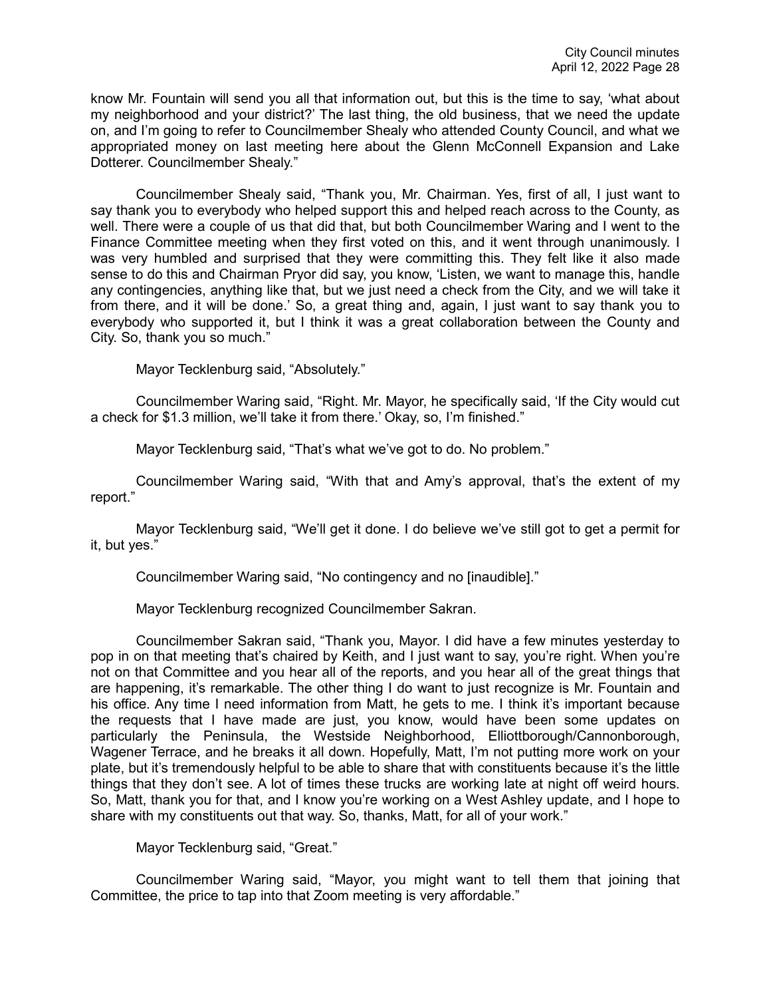know Mr. Fountain will send you all that information out, but this is the time to say, 'what about my neighborhood and your district?' The last thing, the old business, that we need the update on, and I'm going to refer to Councilmember Shealy who attended County Council, and what we appropriated money on last meeting here about the Glenn McConnell Expansion and Lake Dotterer. Councilmember Shealy."

Councilmember Shealy said, "Thank you, Mr. Chairman. Yes, first of all, I just want to say thank you to everybody who helped support this and helped reach across to the County, as well. There were a couple of us that did that, but both Councilmember Waring and I went to the Finance Committee meeting when they first voted on this, and it went through unanimously. I was very humbled and surprised that they were committing this. They felt like it also made sense to do this and Chairman Pryor did say, you know, 'Listen, we want to manage this, handle any contingencies, anything like that, but we just need a check from the City, and we will take it from there, and it will be done.' So, a great thing and, again, I just want to say thank you to everybody who supported it, but I think it was a great collaboration between the County and City. So, thank you so much."

Mayor Tecklenburg said, "Absolutely."

Councilmember Waring said, "Right. Mr. Mayor, he specifically said, 'If the City would cut a check for \$1.3 million, we'll take it from there.' Okay, so, I'm finished."

Mayor Tecklenburg said, "That's what we've got to do. No problem."

Councilmember Waring said, "With that and Amy's approval, that's the extent of my report."

Mayor Tecklenburg said, "We'll get it done. I do believe we've still got to get a permit for it, but yes."

Councilmember Waring said, "No contingency and no [inaudible]."

Mayor Tecklenburg recognized Councilmember Sakran.

Councilmember Sakran said, "Thank you, Mayor. I did have a few minutes yesterday to pop in on that meeting that's chaired by Keith, and I just want to say, you're right. When you're not on that Committee and you hear all of the reports, and you hear all of the great things that are happening, it's remarkable. The other thing I do want to just recognize is Mr. Fountain and his office. Any time I need information from Matt, he gets to me. I think it's important because the requests that I have made are just, you know, would have been some updates on particularly the Peninsula, the Westside Neighborhood, Elliottborough/Cannonborough, Wagener Terrace, and he breaks it all down. Hopefully, Matt, I'm not putting more work on your plate, but it's tremendously helpful to be able to share that with constituents because it's the little things that they don't see. A lot of times these trucks are working late at night off weird hours. So, Matt, thank you for that, and I know you're working on a West Ashley update, and I hope to share with my constituents out that way. So, thanks, Matt, for all of your work."

Mayor Tecklenburg said, "Great."

Councilmember Waring said, "Mayor, you might want to tell them that joining that Committee, the price to tap into that Zoom meeting is very affordable."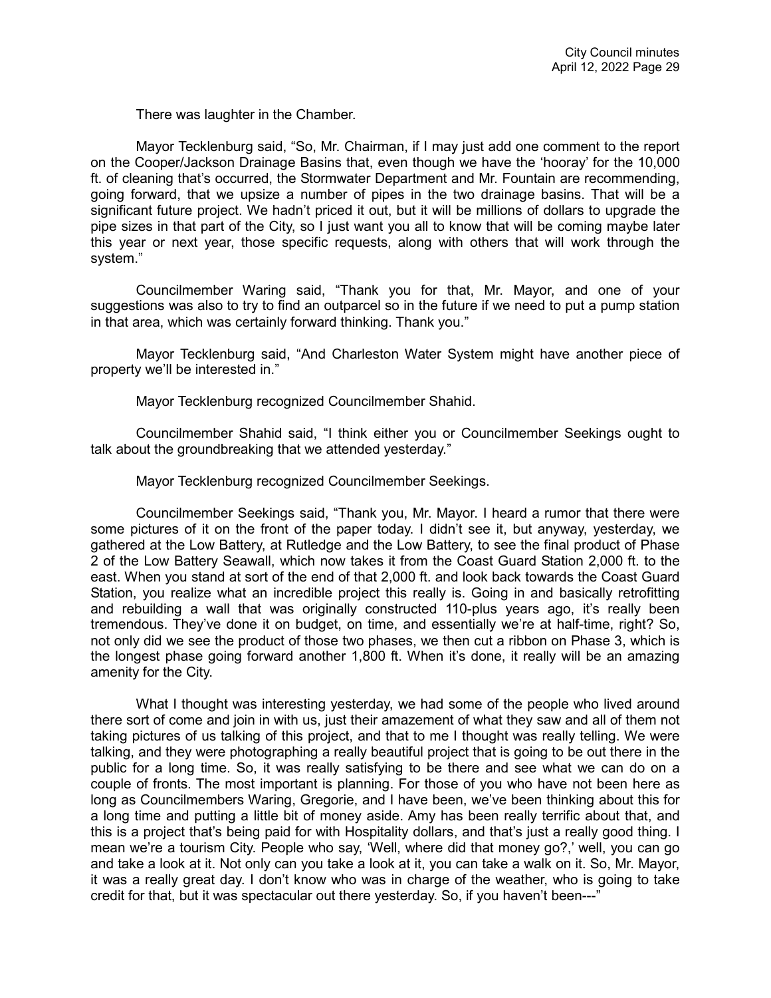There was laughter in the Chamber.

Mayor Tecklenburg said, "So, Mr. Chairman, if I may just add one comment to the report on the Cooper/Jackson Drainage Basins that, even though we have the 'hooray' for the 10,000 ft. of cleaning that's occurred, the Stormwater Department and Mr. Fountain are recommending, going forward, that we upsize a number of pipes in the two drainage basins. That will be a significant future project. We hadn't priced it out, but it will be millions of dollars to upgrade the pipe sizes in that part of the City, so I just want you all to know that will be coming maybe later this year or next year, those specific requests, along with others that will work through the system."

Councilmember Waring said, "Thank you for that, Mr. Mayor, and one of your suggestions was also to try to find an outparcel so in the future if we need to put a pump station in that area, which was certainly forward thinking. Thank you."

Mayor Tecklenburg said, "And Charleston Water System might have another piece of property we'll be interested in."

Mayor Tecklenburg recognized Councilmember Shahid.

Councilmember Shahid said, "I think either you or Councilmember Seekings ought to talk about the groundbreaking that we attended yesterday."

Mayor Tecklenburg recognized Councilmember Seekings.

Councilmember Seekings said, "Thank you, Mr. Mayor. I heard a rumor that there were some pictures of it on the front of the paper today. I didn't see it, but anyway, yesterday, we gathered at the Low Battery, at Rutledge and the Low Battery, to see the final product of Phase 2 of the Low Battery Seawall, which now takes it from the Coast Guard Station 2,000 ft. to the east. When you stand at sort of the end of that 2,000 ft. and look back towards the Coast Guard Station, you realize what an incredible project this really is. Going in and basically retrofitting and rebuilding a wall that was originally constructed 110-plus years ago, it's really been tremendous. They've done it on budget, on time, and essentially we're at half-time, right? So, not only did we see the product of those two phases, we then cut a ribbon on Phase 3, which is the longest phase going forward another 1,800 ft. When it's done, it really will be an amazing amenity for the City.

What I thought was interesting yesterday, we had some of the people who lived around there sort of come and join in with us, just their amazement of what they saw and all of them not taking pictures of us talking of this project, and that to me I thought was really telling. We were talking, and they were photographing a really beautiful project that is going to be out there in the public for a long time. So, it was really satisfying to be there and see what we can do on a couple of fronts. The most important is planning. For those of you who have not been here as long as Councilmembers Waring, Gregorie, and I have been, we've been thinking about this for a long time and putting a little bit of money aside. Amy has been really terrific about that, and this is a project that's being paid for with Hospitality dollars, and that's just a really good thing. I mean we're a tourism City. People who say, 'Well, where did that money go?,' well, you can go and take a look at it. Not only can you take a look at it, you can take a walk on it. So, Mr. Mayor, it was a really great day. I don't know who was in charge of the weather, who is going to take credit for that, but it was spectacular out there yesterday. So, if you haven't been---"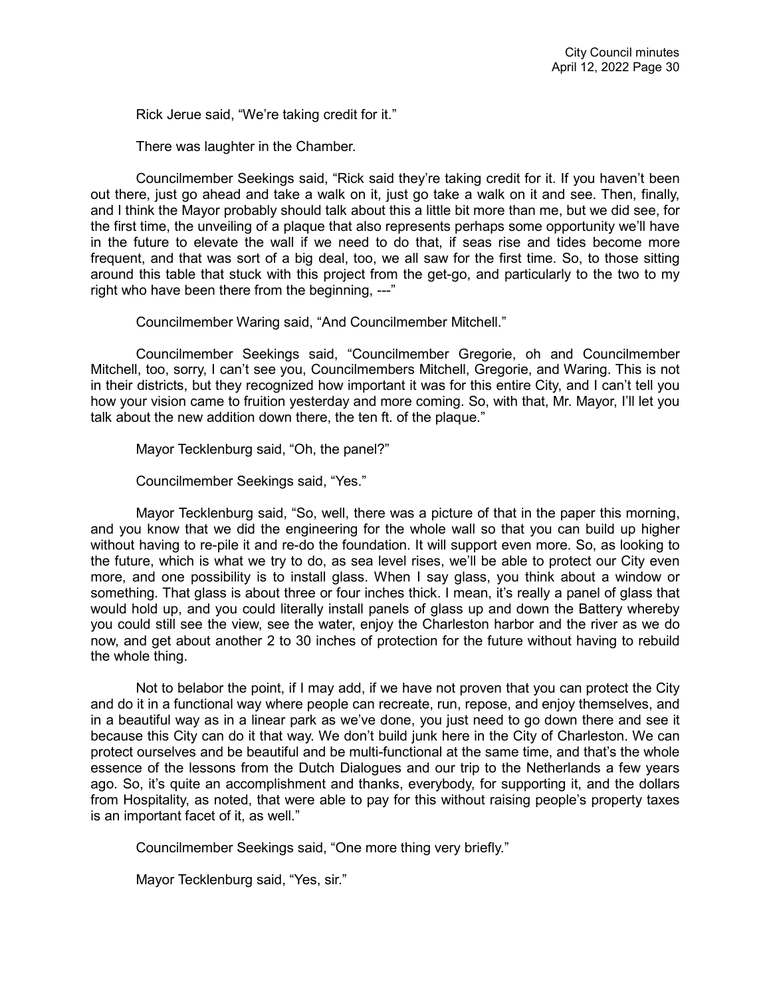Rick Jerue said, "We're taking credit for it."

There was laughter in the Chamber.

Councilmember Seekings said, "Rick said they're taking credit for it. If you haven't been out there, just go ahead and take a walk on it, just go take a walk on it and see. Then, finally, and I think the Mayor probably should talk about this a little bit more than me, but we did see, for the first time, the unveiling of a plaque that also represents perhaps some opportunity we'll have in the future to elevate the wall if we need to do that, if seas rise and tides become more frequent, and that was sort of a big deal, too, we all saw for the first time. So, to those sitting around this table that stuck with this project from the get-go, and particularly to the two to my right who have been there from the beginning, ---"

Councilmember Waring said, "And Councilmember Mitchell."

Councilmember Seekings said, "Councilmember Gregorie, oh and Councilmember Mitchell, too, sorry, I can't see you, Councilmembers Mitchell, Gregorie, and Waring. This is not in their districts, but they recognized how important it was for this entire City, and I can't tell you how your vision came to fruition yesterday and more coming. So, with that, Mr. Mayor, I'll let you talk about the new addition down there, the ten ft. of the plaque."

Mayor Tecklenburg said, "Oh, the panel?"

Councilmember Seekings said, "Yes."

Mayor Tecklenburg said, "So, well, there was a picture of that in the paper this morning, and you know that we did the engineering for the whole wall so that you can build up higher without having to re-pile it and re-do the foundation. It will support even more. So, as looking to the future, which is what we try to do, as sea level rises, we'll be able to protect our City even more, and one possibility is to install glass. When I say glass, you think about a window or something. That glass is about three or four inches thick. I mean, it's really a panel of glass that would hold up, and you could literally install panels of glass up and down the Battery whereby you could still see the view, see the water, enjoy the Charleston harbor and the river as we do now, and get about another 2 to 30 inches of protection for the future without having to rebuild the whole thing.

Not to belabor the point, if I may add, if we have not proven that you can protect the City and do it in a functional way where people can recreate, run, repose, and enjoy themselves, and in a beautiful way as in a linear park as we've done, you just need to go down there and see it because this City can do it that way. We don't build junk here in the City of Charleston. We can protect ourselves and be beautiful and be multi-functional at the same time, and that's the whole essence of the lessons from the Dutch Dialogues and our trip to the Netherlands a few years ago. So, it's quite an accomplishment and thanks, everybody, for supporting it, and the dollars from Hospitality, as noted, that were able to pay for this without raising people's property taxes is an important facet of it, as well."

Councilmember Seekings said, "One more thing very briefly."

Mayor Tecklenburg said, "Yes, sir."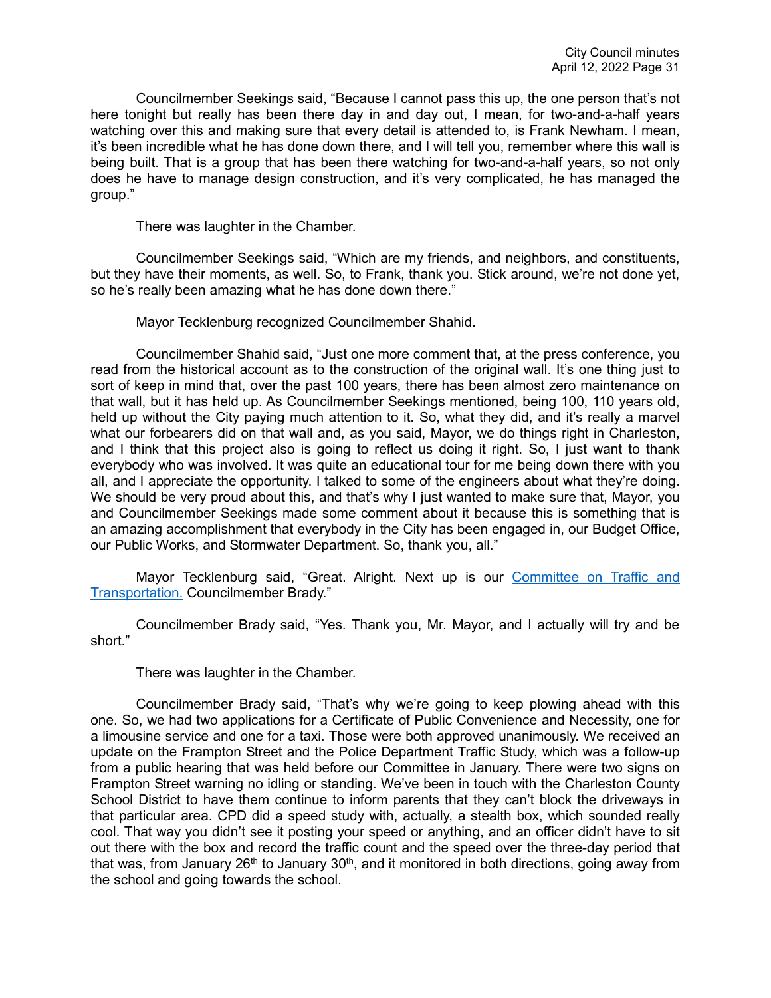Councilmember Seekings said, "Because I cannot pass this up, the one person that's not here tonight but really has been there day in and day out, I mean, for two-and-a-half years watching over this and making sure that every detail is attended to, is Frank Newham. I mean, it's been incredible what he has done down there, and I will tell you, remember where this wall is being built. That is a group that has been there watching for two-and-a-half years, so not only does he have to manage design construction, and it's very complicated, he has managed the group."

There was laughter in the Chamber.

Councilmember Seekings said, "Which are my friends, and neighbors, and constituents, but they have their moments, as well. So, to Frank, thank you. Stick around, we're not done yet, so he's really been amazing what he has done down there."

Mayor Tecklenburg recognized Councilmember Shahid.

Councilmember Shahid said, "Just one more comment that, at the press conference, you read from the historical account as to the construction of the original wall. It's one thing just to sort of keep in mind that, over the past 100 years, there has been almost zero maintenance on that wall, but it has held up. As Councilmember Seekings mentioned, being 100, 110 years old, held up without the City paying much attention to it. So, what they did, and it's really a marvel what our forbearers did on that wall and, as you said, Mayor, we do things right in Charleston, and I think that this project also is going to reflect us doing it right. So, I just want to thank everybody who was involved. It was quite an educational tour for me being down there with you all, and I appreciate the opportunity. I talked to some of the engineers about what they're doing. We should be very proud about this, and that's why I just wanted to make sure that, Mayor, you and Councilmember Seekings made some comment about it because this is something that is an amazing accomplishment that everybody in the City has been engaged in, our Budget Office, our Public Works, and Stormwater Department. So, thank you, all."

Mayor Tecklenburg said, "Great. Alright. Next up is our [Committee on Traffic and](https://youtu.be/9vYkYTqz1Vc?t=6759)  [Transportation.](https://youtu.be/9vYkYTqz1Vc?t=6759) Councilmember Brady."

Councilmember Brady said, "Yes. Thank you, Mr. Mayor, and I actually will try and be short."

There was laughter in the Chamber.

Councilmember Brady said, "That's why we're going to keep plowing ahead with this one. So, we had two applications for a Certificate of Public Convenience and Necessity, one for a limousine service and one for a taxi. Those were both approved unanimously. We received an update on the Frampton Street and the Police Department Traffic Study, which was a follow-up from a public hearing that was held before our Committee in January. There were two signs on Frampton Street warning no idling or standing. We've been in touch with the Charleston County School District to have them continue to inform parents that they can't block the driveways in that particular area. CPD did a speed study with, actually, a stealth box, which sounded really cool. That way you didn't see it posting your speed or anything, and an officer didn't have to sit out there with the box and record the traffic count and the speed over the three-day period that that was, from January  $26<sup>th</sup>$  to January  $30<sup>th</sup>$ , and it monitored in both directions, going away from the school and going towards the school.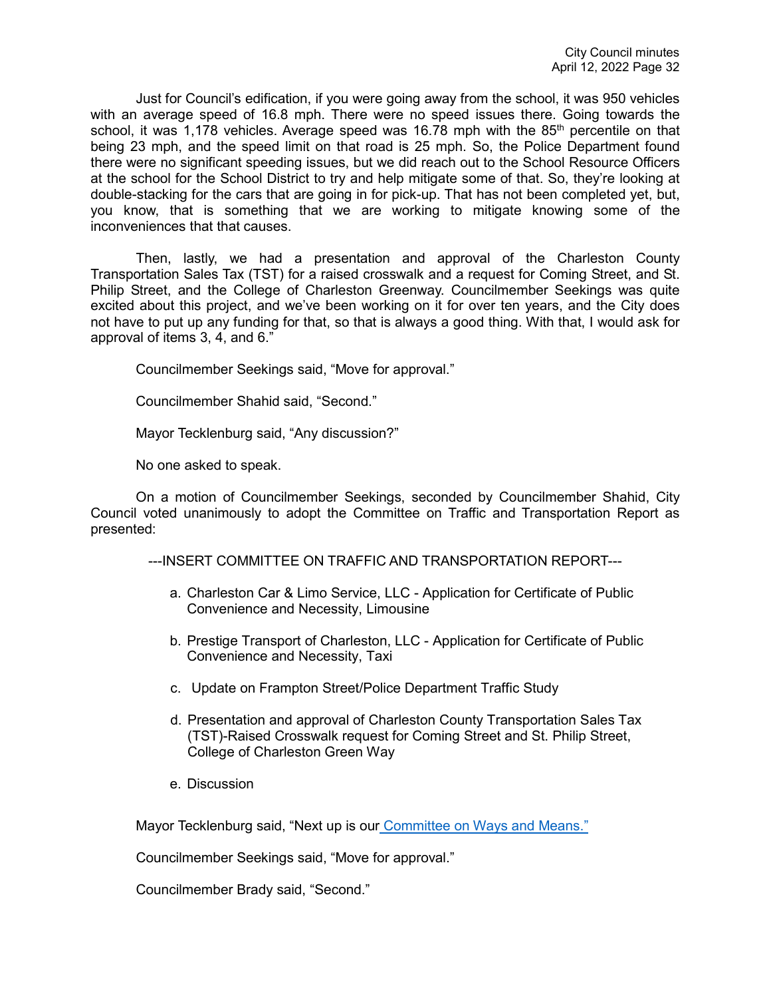Just for Council's edification, if you were going away from the school, it was 950 vehicles with an average speed of 16.8 mph. There were no speed issues there. Going towards the school, it was 1,178 vehicles. Average speed was 16.78 mph with the  $85<sup>th</sup>$  percentile on that being 23 mph, and the speed limit on that road is 25 mph. So, the Police Department found there were no significant speeding issues, but we did reach out to the School Resource Officers at the school for the School District to try and help mitigate some of that. So, they're looking at double-stacking for the cars that are going in for pick-up. That has not been completed yet, but, you know, that is something that we are working to mitigate knowing some of the inconveniences that that causes.

Then, lastly, we had a presentation and approval of the Charleston County Transportation Sales Tax (TST) for a raised crosswalk and a request for Coming Street, and St. Philip Street, and the College of Charleston Greenway. Councilmember Seekings was quite excited about this project, and we've been working on it for over ten years, and the City does not have to put up any funding for that, so that is always a good thing. With that, I would ask for approval of items 3, 4, and 6."

Councilmember Seekings said, "Move for approval."

Councilmember Shahid said, "Second."

Mayor Tecklenburg said, "Any discussion?"

No one asked to speak.

On a motion of Councilmember Seekings, seconded by Councilmember Shahid, City Council voted unanimously to adopt the Committee on Traffic and Transportation Report as presented:

---INSERT COMMITTEE ON TRAFFIC AND TRANSPORTATION REPORT---

- a. Charleston Car & Limo Service, LLC Application for Certificate of Public Convenience and Necessity, Limousine
- b. Prestige Transport of Charleston, LLC Application for Certificate of Public Convenience and Necessity, Taxi
- c. Update on Frampton Street/Police Department Traffic Study
- d. Presentation and approval of Charleston County Transportation Sales Tax (TST)-Raised Crosswalk request for Coming Street and St. Philip Street, College of Charleston Green Way
- e. Discussion

Mayor Tecklenburg said, "Next up is our [Committee on Ways and Means."](https://youtu.be/9vYkYTqz1Vc?t=6922)

Councilmember Seekings said, "Move for approval."

Councilmember Brady said, "Second."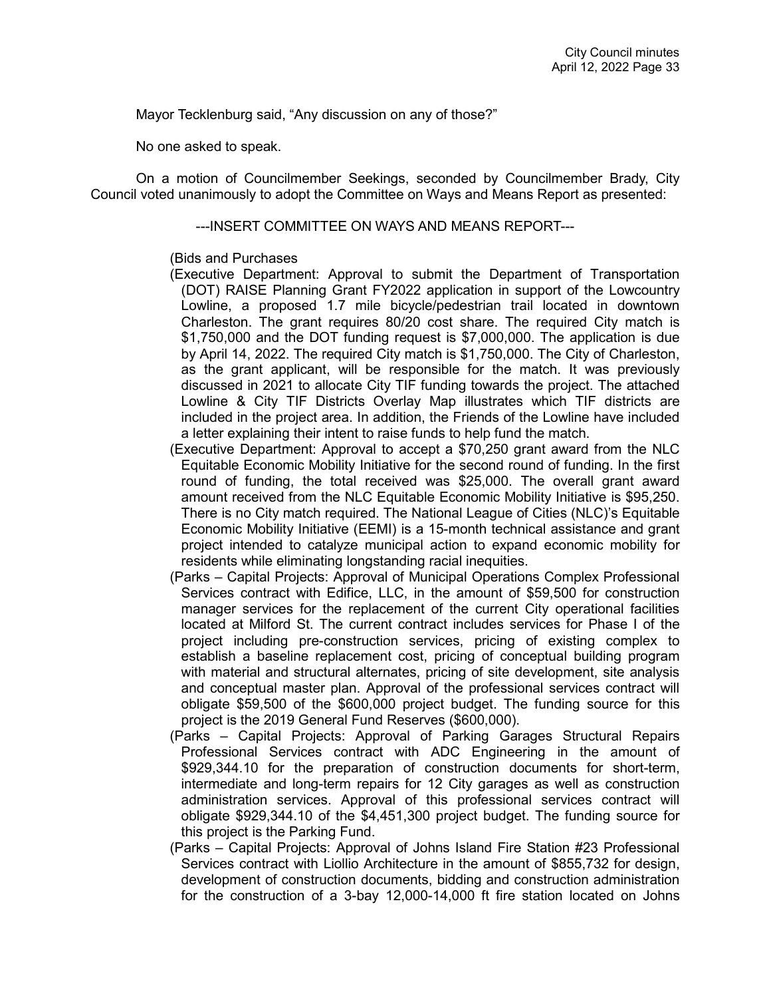Mayor Tecklenburg said, "Any discussion on any of those?"

No one asked to speak.

On a motion of Councilmember Seekings, seconded by Councilmember Brady, City Council voted unanimously to adopt the Committee on Ways and Means Report as presented:

### ---INSERT COMMITTEE ON WAYS AND MEANS REPORT---

### (Bids and Purchases

- (Executive Department: Approval to submit the Department of Transportation (DOT) RAISE Planning Grant FY2022 application in support of the Lowcountry Lowline, a proposed 1.7 mile bicycle/pedestrian trail located in downtown Charleston. The grant requires 80/20 cost share. The required City match is \$1,750,000 and the DOT funding request is \$7,000,000. The application is due by April 14, 2022. The required City match is \$1,750,000. The City of Charleston, as the grant applicant, will be responsible for the match. It was previously discussed in 2021 to allocate City TIF funding towards the project. The attached Lowline & City TIF Districts Overlay Map illustrates which TIF districts are included in the project area. In addition, the Friends of the Lowline have included a letter explaining their intent to raise funds to help fund the match.
- (Executive Department: Approval to accept a \$70,250 grant award from the NLC Equitable Economic Mobility Initiative for the second round of funding. In the first round of funding, the total received was \$25,000. The overall grant award amount received from the NLC Equitable Economic Mobility Initiative is \$95,250. There is no City match required. The National League of Cities (NLC)'s Equitable Economic Mobility Initiative (EEMI) is a 15-month technical assistance and grant project intended to catalyze municipal action to expand economic mobility for residents while eliminating longstanding racial inequities.
- (Parks Capital Projects: Approval of Municipal Operations Complex Professional Services contract with Edifice, LLC, in the amount of \$59,500 for construction manager services for the replacement of the current City operational facilities located at Milford St. The current contract includes services for Phase I of the project including pre-construction services, pricing of existing complex to establish a baseline replacement cost, pricing of conceptual building program with material and structural alternates, pricing of site development, site analysis and conceptual master plan. Approval of the professional services contract will obligate \$59,500 of the \$600,000 project budget. The funding source for this project is the 2019 General Fund Reserves (\$600,000).
- (Parks Capital Projects: Approval of Parking Garages Structural Repairs Professional Services contract with ADC Engineering in the amount of \$929,344.10 for the preparation of construction documents for short-term, intermediate and long-term repairs for 12 City garages as well as construction administration services. Approval of this professional services contract will obligate \$929,344.10 of the \$4,451,300 project budget. The funding source for this project is the Parking Fund.
- (Parks Capital Projects: Approval of Johns Island Fire Station #23 Professional Services contract with Liollio Architecture in the amount of \$855,732 for design, development of construction documents, bidding and construction administration for the construction of a 3-bay 12,000-14,000 ft fire station located on Johns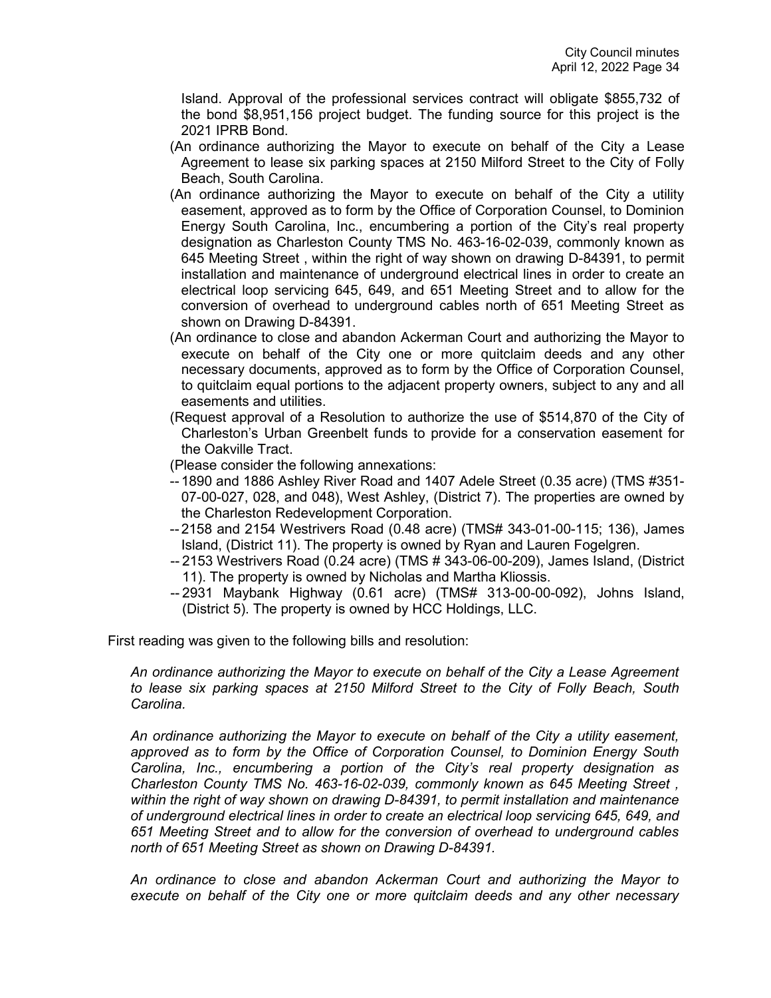Island. Approval of the professional services contract will obligate \$855,732 of the bond \$8,951,156 project budget. The funding source for this project is the 2021 IPRB Bond.

- (An ordinance authorizing the Mayor to execute on behalf of the City a Lease Agreement to lease six parking spaces at 2150 Milford Street to the City of Folly Beach, South Carolina.
- (An ordinance authorizing the Mayor to execute on behalf of the City a utility easement, approved as to form by the Office of Corporation Counsel, to Dominion Energy South Carolina, Inc., encumbering a portion of the City's real property designation as Charleston County TMS No. 463-16-02-039, commonly known as 645 Meeting Street , within the right of way shown on drawing D-84391, to permit installation and maintenance of underground electrical lines in order to create an electrical loop servicing 645, 649, and 651 Meeting Street and to allow for the conversion of overhead to underground cables north of 651 Meeting Street as shown on Drawing D-84391.
- (An ordinance to close and abandon Ackerman Court and authorizing the Mayor to execute on behalf of the City one or more quitclaim deeds and any other necessary documents, approved as to form by the Office of Corporation Counsel, to quitclaim equal portions to the adjacent property owners, subject to any and all easements and utilities.
- (Request approval of a Resolution to authorize the use of \$514,870 of the City of Charleston's Urban Greenbelt funds to provide for a conservation easement for the Oakville Tract.
- (Please consider the following annexations:
- -- 1890 and 1886 Ashley River Road and 1407 Adele Street (0.35 acre) (TMS #351- 07-00-027, 028, and 048), West Ashley, (District 7). The properties are owned by the Charleston Redevelopment Corporation.
- -- 2158 and 2154 Westrivers Road (0.48 acre) (TMS# 343-01-00-115; 136), James Island, (District 11). The property is owned by Ryan and Lauren Fogelgren.
- -- 2153 Westrivers Road (0.24 acre) (TMS # 343-06-00-209), James Island, (District 11). The property is owned by Nicholas and Martha Kliossis.
- -- 2931 Maybank Highway (0.61 acre) (TMS# 313-00-00-092), Johns Island, (District 5). The property is owned by HCC Holdings, LLC.

First reading was given to the following bills and resolution:

*An ordinance authorizing the Mayor to execute on behalf of the City a Lease Agreement to lease six parking spaces at 2150 Milford Street to the City of Folly Beach, South Carolina.*

*An ordinance authorizing the Mayor to execute on behalf of the City a utility easement, approved as to form by the Office of Corporation Counsel, to Dominion Energy South Carolina, Inc., encumbering a portion of the City's real property designation as Charleston County TMS No. 463-16-02-039, commonly known as 645 Meeting Street , within the right of way shown on drawing D-84391, to permit installation and maintenance of underground electrical lines in order to create an electrical loop servicing 645, 649, and 651 Meeting Street and to allow for the conversion of overhead to underground cables north of 651 Meeting Street as shown on Drawing D-84391.*

*An ordinance to close and abandon Ackerman Court and authorizing the Mayor to execute on behalf of the City one or more quitclaim deeds and any other necessary*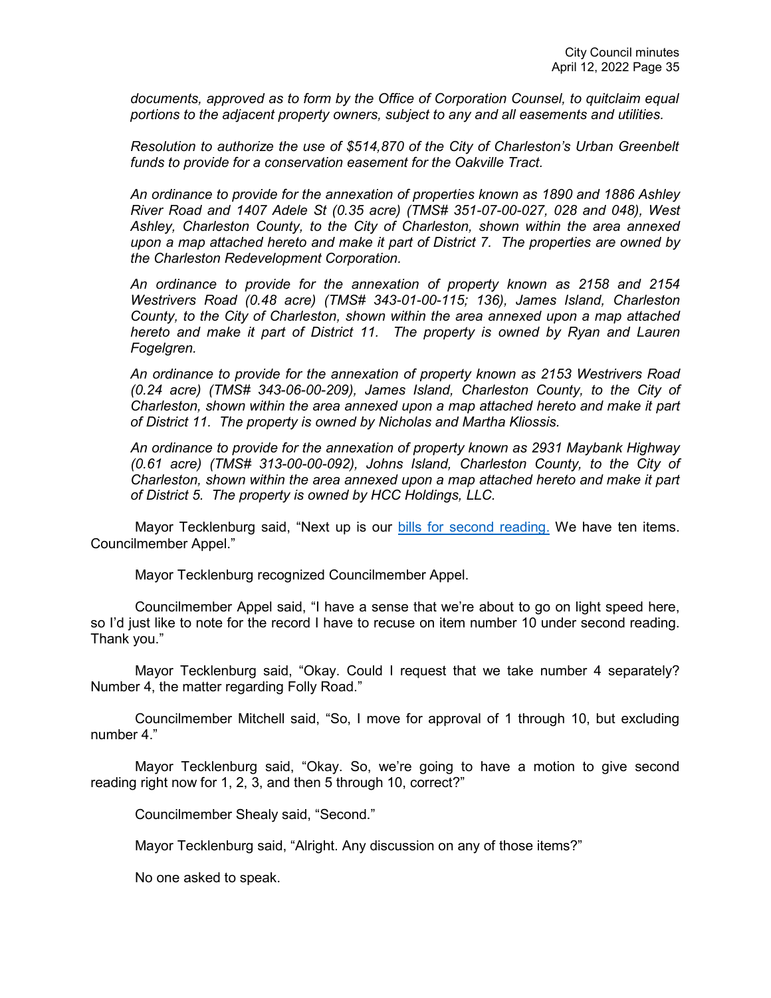*documents, approved as to form by the Office of Corporation Counsel, to quitclaim equal portions to the adjacent property owners, subject to any and all easements and utilities.*

*Resolution to authorize the use of \$514,870 of the City of Charleston's Urban Greenbelt funds to provide for a conservation easement for the Oakville Tract.*

*An ordinance to provide for the annexation of properties known as 1890 and 1886 Ashley River Road and 1407 Adele St (0.35 acre) (TMS# 351-07-00-027, 028 and 048), West Ashley, Charleston County, to the City of Charleston, shown within the area annexed upon a map attached hereto and make it part of District 7. The properties are owned by the Charleston Redevelopment Corporation.* 

*An ordinance to provide for the annexation of property known as 2158 and 2154 Westrivers Road (0.48 acre) (TMS# 343-01-00-115; 136), James Island, Charleston County, to the City of Charleston, shown within the area annexed upon a map attached hereto and make it part of District 11. The property is owned by Ryan and Lauren Fogelgren.* 

*An ordinance to provide for the annexation of property known as 2153 Westrivers Road (0.24 acre) (TMS# 343-06-00-209), James Island, Charleston County, to the City of Charleston, shown within the area annexed upon a map attached hereto and make it part of District 11. The property is owned by Nicholas and Martha Kliossis.* 

*An ordinance to provide for the annexation of property known as 2931 Maybank Highway (0.61 acre) (TMS# 313-00-00-092), Johns Island, Charleston County, to the City of Charleston, shown within the area annexed upon a map attached hereto and make it part of District 5. The property is owned by HCC Holdings, LLC.*

Mayor Tecklenburg said, "Next up is our [bills for second reading.](https://youtu.be/9vYkYTqz1Vc?t=6934) We have ten items. Councilmember Appel."

Mayor Tecklenburg recognized Councilmember Appel.

Councilmember Appel said, "I have a sense that we're about to go on light speed here, so I'd just like to note for the record I have to recuse on item number 10 under second reading. Thank you."

Mayor Tecklenburg said, "Okay. Could I request that we take number 4 separately? Number 4, the matter regarding Folly Road."

Councilmember Mitchell said, "So, I move for approval of 1 through 10, but excluding number 4."

Mayor Tecklenburg said, "Okay. So, we're going to have a motion to give second reading right now for 1, 2, 3, and then 5 through 10, correct?"

Councilmember Shealy said, "Second."

Mayor Tecklenburg said, "Alright. Any discussion on any of those items?"

No one asked to speak.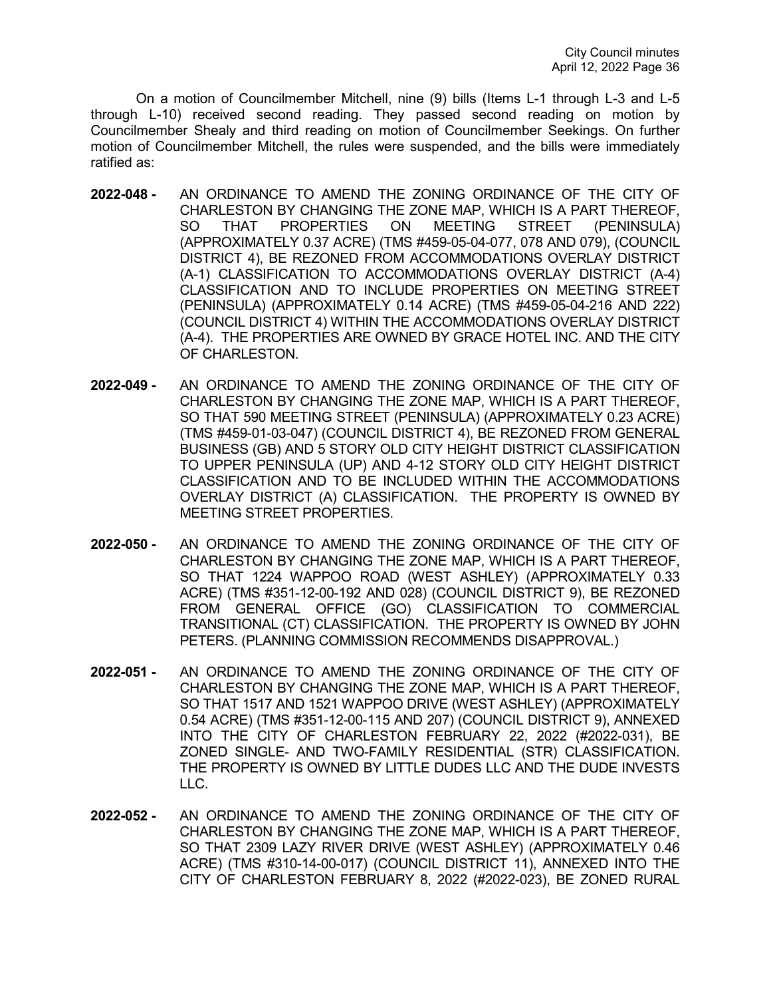On a motion of Councilmember Mitchell, nine (9) bills (Items L-1 through L-3 and L-5 through L-10) received second reading. They passed second reading on motion by Councilmember Shealy and third reading on motion of Councilmember Seekings. On further motion of Councilmember Mitchell, the rules were suspended, and the bills were immediately ratified as:

- **2022-048 -** AN ORDINANCE TO AMEND THE ZONING ORDINANCE OF THE CITY OF CHARLESTON BY CHANGING THE ZONE MAP, WHICH IS A PART THEREOF, SO THAT PROPERTIES ON MEETING STREET (PENINSULA) (APPROXIMATELY 0.37 ACRE) (TMS #459-05-04-077, 078 AND 079), (COUNCIL DISTRICT 4), BE REZONED FROM ACCOMMODATIONS OVERLAY DISTRICT (A-1) CLASSIFICATION TO ACCOMMODATIONS OVERLAY DISTRICT (A-4) CLASSIFICATION AND TO INCLUDE PROPERTIES ON MEETING STREET (PENINSULA) (APPROXIMATELY 0.14 ACRE) (TMS #459-05-04-216 AND 222) (COUNCIL DISTRICT 4) WITHIN THE ACCOMMODATIONS OVERLAY DISTRICT (A-4). THE PROPERTIES ARE OWNED BY GRACE HOTEL INC. AND THE CITY OF CHARLESTON.
- **2022-049 -** AN ORDINANCE TO AMEND THE ZONING ORDINANCE OF THE CITY OF CHARLESTON BY CHANGING THE ZONE MAP, WHICH IS A PART THEREOF, SO THAT 590 MEETING STREET (PENINSULA) (APPROXIMATELY 0.23 ACRE) (TMS #459-01-03-047) (COUNCIL DISTRICT 4), BE REZONED FROM GENERAL BUSINESS (GB) AND 5 STORY OLD CITY HEIGHT DISTRICT CLASSIFICATION TO UPPER PENINSULA (UP) AND 4-12 STORY OLD CITY HEIGHT DISTRICT CLASSIFICATION AND TO BE INCLUDED WITHIN THE ACCOMMODATIONS OVERLAY DISTRICT (A) CLASSIFICATION. THE PROPERTY IS OWNED BY MEETING STREET PROPERTIES.
- **2022-050 -** AN ORDINANCE TO AMEND THE ZONING ORDINANCE OF THE CITY OF CHARLESTON BY CHANGING THE ZONE MAP, WHICH IS A PART THEREOF, SO THAT 1224 WAPPOO ROAD (WEST ASHLEY) (APPROXIMATELY 0.33 ACRE) (TMS #351-12-00-192 AND 028) (COUNCIL DISTRICT 9), BE REZONED FROM GENERAL OFFICE (GO) CLASSIFICATION TO COMMERCIAL TRANSITIONAL (CT) CLASSIFICATION. THE PROPERTY IS OWNED BY JOHN PETERS. (PLANNING COMMISSION RECOMMENDS DISAPPROVAL.)
- **2022-051 -** AN ORDINANCE TO AMEND THE ZONING ORDINANCE OF THE CITY OF CHARLESTON BY CHANGING THE ZONE MAP, WHICH IS A PART THEREOF, SO THAT 1517 AND 1521 WAPPOO DRIVE (WEST ASHLEY) (APPROXIMATELY 0.54 ACRE) (TMS #351-12-00-115 AND 207) (COUNCIL DISTRICT 9), ANNEXED INTO THE CITY OF CHARLESTON FEBRUARY 22, 2022 (#2022-031), BE ZONED SINGLE- AND TWO-FAMILY RESIDENTIAL (STR) CLASSIFICATION. THE PROPERTY IS OWNED BY LITTLE DUDES LLC AND THE DUDE INVESTS LLC.
- **2022-052 -** AN ORDINANCE TO AMEND THE ZONING ORDINANCE OF THE CITY OF CHARLESTON BY CHANGING THE ZONE MAP, WHICH IS A PART THEREOF, SO THAT 2309 LAZY RIVER DRIVE (WEST ASHLEY) (APPROXIMATELY 0.46 ACRE) (TMS #310-14-00-017) (COUNCIL DISTRICT 11), ANNEXED INTO THE CITY OF CHARLESTON FEBRUARY 8, 2022 (#2022-023), BE ZONED RURAL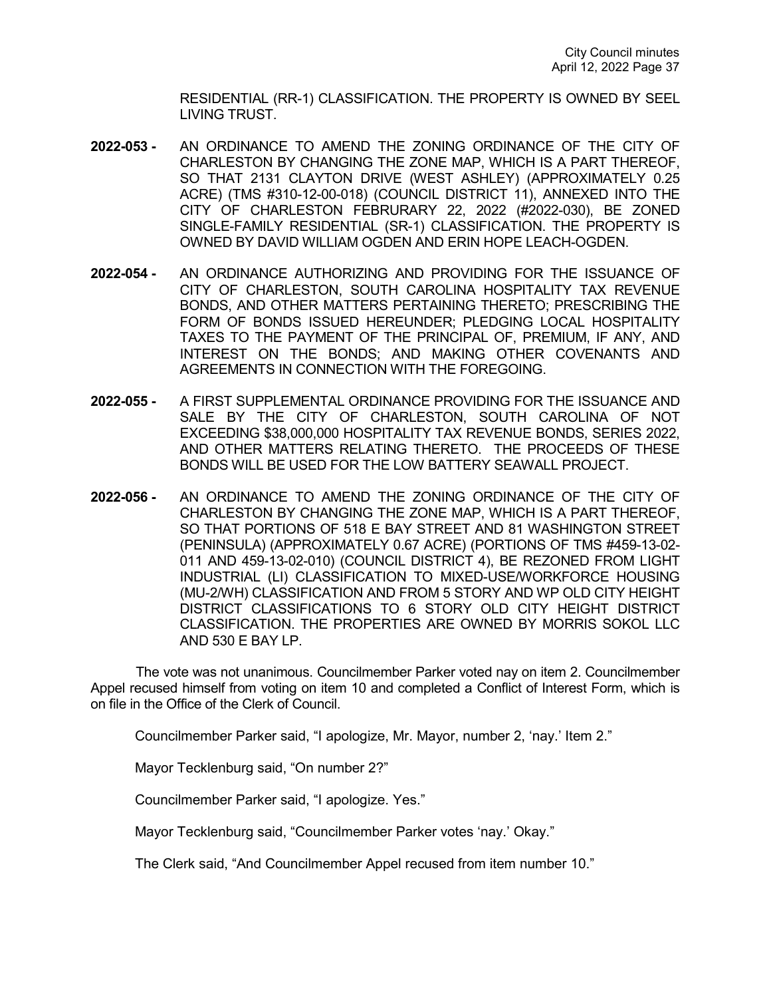RESIDENTIAL (RR-1) CLASSIFICATION. THE PROPERTY IS OWNED BY SEEL LIVING TRUST.

- **2022-053 -** AN ORDINANCE TO AMEND THE ZONING ORDINANCE OF THE CITY OF CHARLESTON BY CHANGING THE ZONE MAP, WHICH IS A PART THEREOF, SO THAT 2131 CLAYTON DRIVE (WEST ASHLEY) (APPROXIMATELY 0.25 ACRE) (TMS #310-12-00-018) (COUNCIL DISTRICT 11), ANNEXED INTO THE CITY OF CHARLESTON FEBRURARY 22, 2022 (#2022-030), BE ZONED SINGLE-FAMILY RESIDENTIAL (SR-1) CLASSIFICATION. THE PROPERTY IS OWNED BY DAVID WILLIAM OGDEN AND ERIN HOPE LEACH-OGDEN.
- **2022-054 -** AN ORDINANCE AUTHORIZING AND PROVIDING FOR THE ISSUANCE OF CITY OF CHARLESTON, SOUTH CAROLINA HOSPITALITY TAX REVENUE BONDS, AND OTHER MATTERS PERTAINING THERETO; PRESCRIBING THE FORM OF BONDS ISSUED HEREUNDER; PLEDGING LOCAL HOSPITALITY TAXES TO THE PAYMENT OF THE PRINCIPAL OF, PREMIUM, IF ANY, AND INTEREST ON THE BONDS; AND MAKING OTHER COVENANTS AND AGREEMENTS IN CONNECTION WITH THE FOREGOING.
- **2022-055 -** A FIRST SUPPLEMENTAL ORDINANCE PROVIDING FOR THE ISSUANCE AND SALE BY THE CITY OF CHARLESTON, SOUTH CAROLINA OF NOT EXCEEDING \$38,000,000 HOSPITALITY TAX REVENUE BONDS, SERIES 2022, AND OTHER MATTERS RELATING THERETO. THE PROCEEDS OF THESE BONDS WILL BE USED FOR THE LOW BATTERY SEAWALL PROJECT.
- **2022-056 -** AN ORDINANCE TO AMEND THE ZONING ORDINANCE OF THE CITY OF CHARLESTON BY CHANGING THE ZONE MAP, WHICH IS A PART THEREOF, SO THAT PORTIONS OF 518 E BAY STREET AND 81 WASHINGTON STREET (PENINSULA) (APPROXIMATELY 0.67 ACRE) (PORTIONS OF TMS #459-13-02- 011 AND 459-13-02-010) (COUNCIL DISTRICT 4), BE REZONED FROM LIGHT INDUSTRIAL (LI) CLASSIFICATION TO MIXED-USE/WORKFORCE HOUSING (MU-2/WH) CLASSIFICATION AND FROM 5 STORY AND WP OLD CITY HEIGHT DISTRICT CLASSIFICATIONS TO 6 STORY OLD CITY HEIGHT DISTRICT CLASSIFICATION. THE PROPERTIES ARE OWNED BY MORRIS SOKOL LLC AND 530 E BAY LP.

The vote was not unanimous. Councilmember Parker voted nay on item 2. Councilmember Appel recused himself from voting on item 10 and completed a Conflict of Interest Form, which is on file in the Office of the Clerk of Council.

Councilmember Parker said, "I apologize, Mr. Mayor, number 2, 'nay.' Item 2."

Mayor Tecklenburg said, "On number 2?"

Councilmember Parker said, "I apologize. Yes."

Mayor Tecklenburg said, "Councilmember Parker votes 'nay.' Okay."

The Clerk said, "And Councilmember Appel recused from item number 10."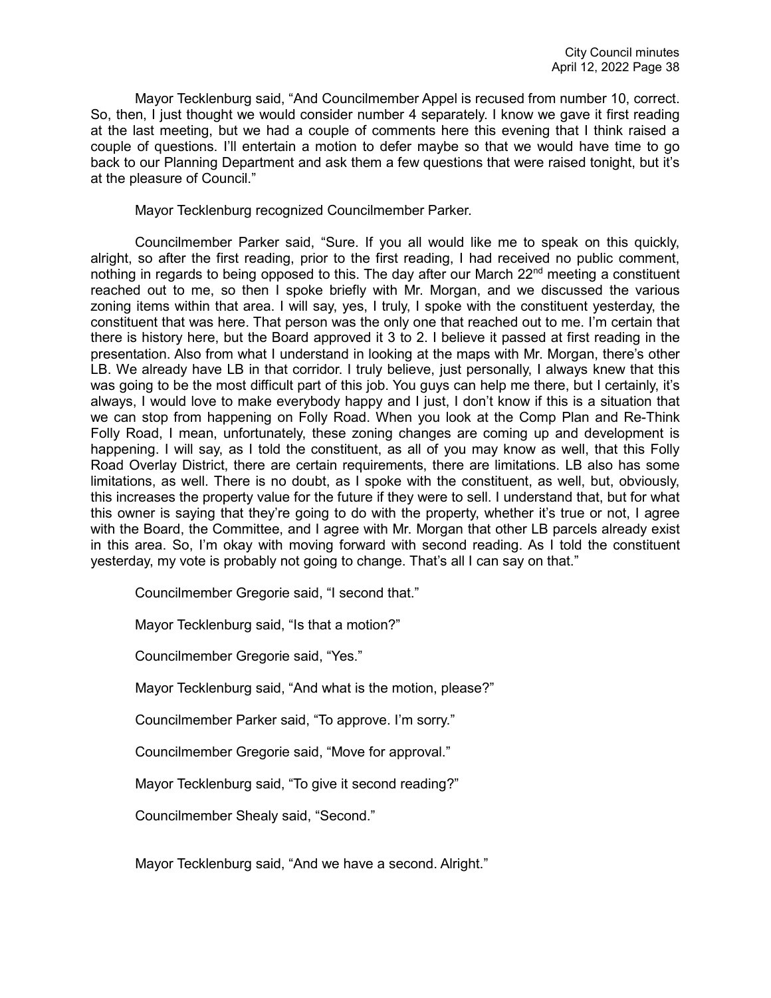Mayor Tecklenburg said, "And Councilmember Appel is recused from number 10, correct. So, then, I just thought we would consider number 4 separately. I know we gave it first reading at the last meeting, but we had a couple of comments here this evening that I think raised a couple of questions. I'll entertain a motion to defer maybe so that we would have time to go back to our Planning Department and ask them a few questions that were raised tonight, but it's at the pleasure of Council."

Mayor Tecklenburg recognized Councilmember Parker.

Councilmember Parker said, "Sure. If you all would like me to speak on this quickly, alright, so after the first reading, prior to the first reading, I had received no public comment, nothing in regards to being opposed to this. The day after our March  $22<sup>nd</sup>$  meeting a constituent reached out to me, so then I spoke briefly with Mr. Morgan, and we discussed the various zoning items within that area. I will say, yes, I truly, I spoke with the constituent yesterday, the constituent that was here. That person was the only one that reached out to me. I'm certain that there is history here, but the Board approved it 3 to 2. I believe it passed at first reading in the presentation. Also from what I understand in looking at the maps with Mr. Morgan, there's other LB. We already have LB in that corridor. I truly believe, just personally, I always knew that this was going to be the most difficult part of this job. You guys can help me there, but I certainly, it's always, I would love to make everybody happy and I just, I don't know if this is a situation that we can stop from happening on Folly Road. When you look at the Comp Plan and Re-Think Folly Road, I mean, unfortunately, these zoning changes are coming up and development is happening. I will say, as I told the constituent, as all of you may know as well, that this Folly Road Overlay District, there are certain requirements, there are limitations. LB also has some limitations, as well. There is no doubt, as I spoke with the constituent, as well, but, obviously, this increases the property value for the future if they were to sell. I understand that, but for what this owner is saying that they're going to do with the property, whether it's true or not, I agree with the Board, the Committee, and I agree with Mr. Morgan that other LB parcels already exist in this area. So, I'm okay with moving forward with second reading. As I told the constituent yesterday, my vote is probably not going to change. That's all I can say on that."

Councilmember Gregorie said, "I second that."

Mayor Tecklenburg said, "Is that a motion?"

Councilmember Gregorie said, "Yes."

Mayor Tecklenburg said, "And what is the motion, please?"

Councilmember Parker said, "To approve. I'm sorry."

Councilmember Gregorie said, "Move for approval."

Mayor Tecklenburg said, "To give it second reading?"

Councilmember Shealy said, "Second."

Mayor Tecklenburg said, "And we have a second. Alright."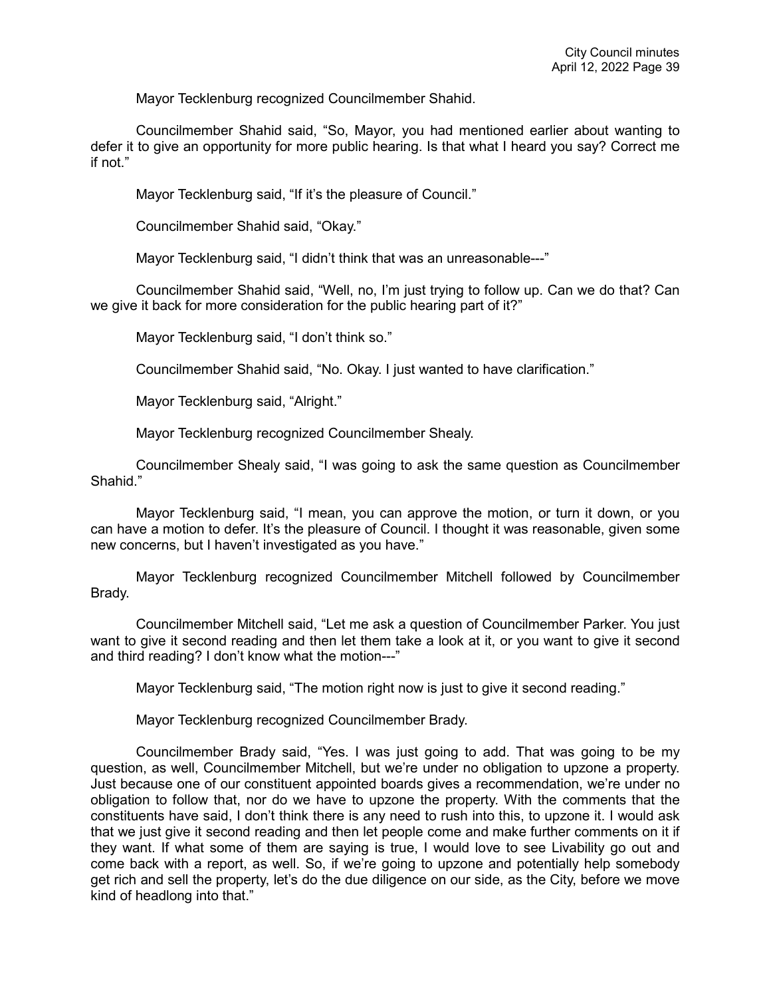Mayor Tecklenburg recognized Councilmember Shahid.

Councilmember Shahid said, "So, Mayor, you had mentioned earlier about wanting to defer it to give an opportunity for more public hearing. Is that what I heard you say? Correct me if not."

Mayor Tecklenburg said, "If it's the pleasure of Council."

Councilmember Shahid said, "Okay."

Mayor Tecklenburg said, "I didn't think that was an unreasonable---"

Councilmember Shahid said, "Well, no, I'm just trying to follow up. Can we do that? Can we give it back for more consideration for the public hearing part of it?"

Mayor Tecklenburg said, "I don't think so."

Councilmember Shahid said, "No. Okay. I just wanted to have clarification."

Mayor Tecklenburg said, "Alright."

Mayor Tecklenburg recognized Councilmember Shealy.

Councilmember Shealy said, "I was going to ask the same question as Councilmember Shahid."

Mayor Tecklenburg said, "I mean, you can approve the motion, or turn it down, or you can have a motion to defer. It's the pleasure of Council. I thought it was reasonable, given some new concerns, but I haven't investigated as you have."

Mayor Tecklenburg recognized Councilmember Mitchell followed by Councilmember Brady.

Councilmember Mitchell said, "Let me ask a question of Councilmember Parker. You just want to give it second reading and then let them take a look at it, or you want to give it second and third reading? I don't know what the motion---"

Mayor Tecklenburg said, "The motion right now is just to give it second reading."

Mayor Tecklenburg recognized Councilmember Brady.

Councilmember Brady said, "Yes. I was just going to add. That was going to be my question, as well, Councilmember Mitchell, but we're under no obligation to upzone a property. Just because one of our constituent appointed boards gives a recommendation, we're under no obligation to follow that, nor do we have to upzone the property. With the comments that the constituents have said, I don't think there is any need to rush into this, to upzone it. I would ask that we just give it second reading and then let people come and make further comments on it if they want. If what some of them are saying is true, I would love to see Livability go out and come back with a report, as well. So, if we're going to upzone and potentially help somebody get rich and sell the property, let's do the due diligence on our side, as the City, before we move kind of headlong into that."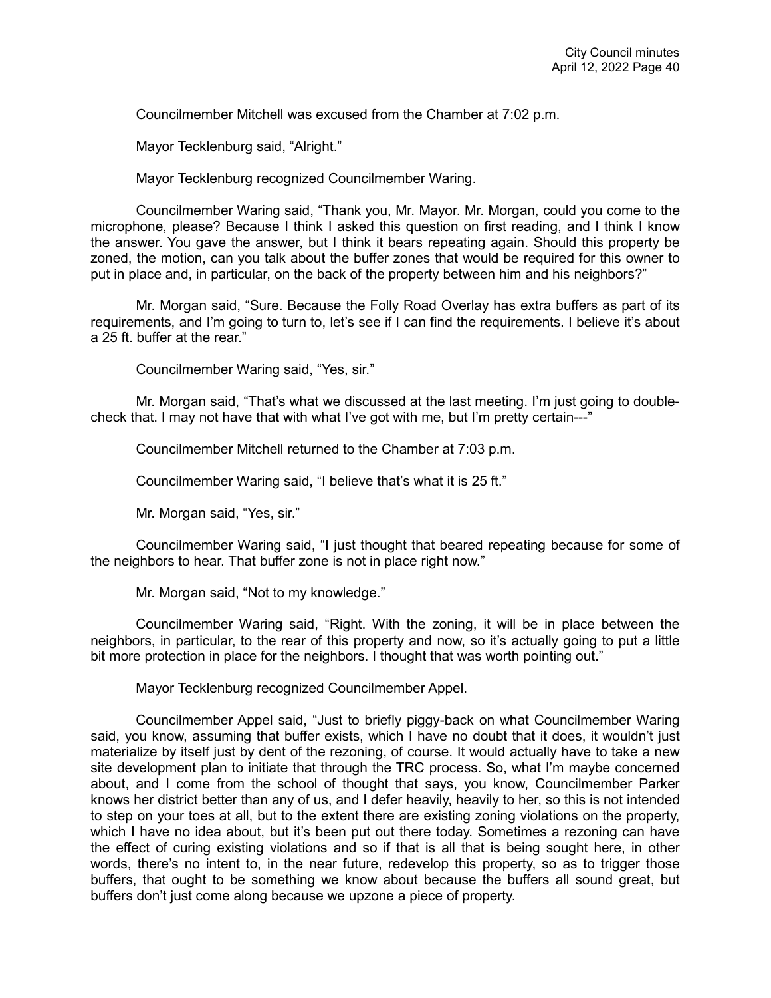Councilmember Mitchell was excused from the Chamber at 7:02 p.m.

Mayor Tecklenburg said, "Alright."

Mayor Tecklenburg recognized Councilmember Waring.

Councilmember Waring said, "Thank you, Mr. Mayor. Mr. Morgan, could you come to the microphone, please? Because I think I asked this question on first reading, and I think I know the answer. You gave the answer, but I think it bears repeating again. Should this property be zoned, the motion, can you talk about the buffer zones that would be required for this owner to put in place and, in particular, on the back of the property between him and his neighbors?"

Mr. Morgan said, "Sure. Because the Folly Road Overlay has extra buffers as part of its requirements, and I'm going to turn to, let's see if I can find the requirements. I believe it's about a 25 ft. buffer at the rear."

Councilmember Waring said, "Yes, sir."

Mr. Morgan said, "That's what we discussed at the last meeting. I'm just going to doublecheck that. I may not have that with what I've got with me, but I'm pretty certain---"

Councilmember Mitchell returned to the Chamber at 7:03 p.m.

Councilmember Waring said, "I believe that's what it is 25 ft."

Mr. Morgan said, "Yes, sir."

Councilmember Waring said, "I just thought that beared repeating because for some of the neighbors to hear. That buffer zone is not in place right now."

Mr. Morgan said, "Not to my knowledge."

Councilmember Waring said, "Right. With the zoning, it will be in place between the neighbors, in particular, to the rear of this property and now, so it's actually going to put a little bit more protection in place for the neighbors. I thought that was worth pointing out."

Mayor Tecklenburg recognized Councilmember Appel.

Councilmember Appel said, "Just to briefly piggy-back on what Councilmember Waring said, you know, assuming that buffer exists, which I have no doubt that it does, it wouldn't just materialize by itself just by dent of the rezoning, of course. It would actually have to take a new site development plan to initiate that through the TRC process. So, what I'm maybe concerned about, and I come from the school of thought that says, you know, Councilmember Parker knows her district better than any of us, and I defer heavily, heavily to her, so this is not intended to step on your toes at all, but to the extent there are existing zoning violations on the property, which I have no idea about, but it's been put out there today. Sometimes a rezoning can have the effect of curing existing violations and so if that is all that is being sought here, in other words, there's no intent to, in the near future, redevelop this property, so as to trigger those buffers, that ought to be something we know about because the buffers all sound great, but buffers don't just come along because we upzone a piece of property.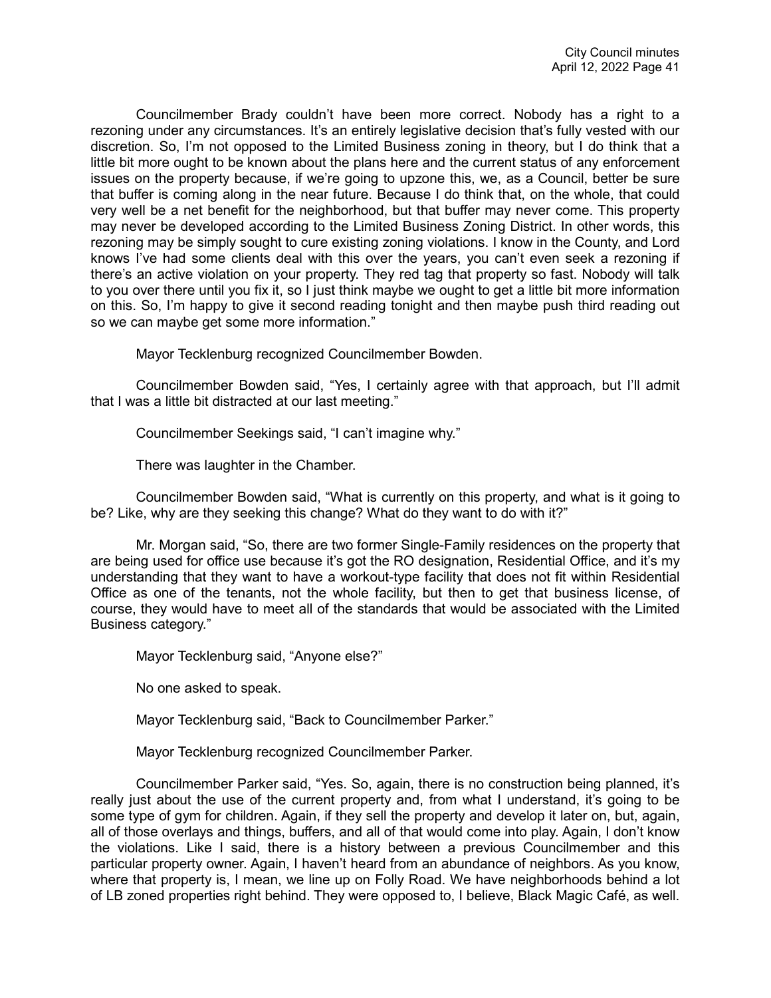Councilmember Brady couldn't have been more correct. Nobody has a right to a rezoning under any circumstances. It's an entirely legislative decision that's fully vested with our discretion. So, I'm not opposed to the Limited Business zoning in theory, but I do think that a little bit more ought to be known about the plans here and the current status of any enforcement issues on the property because, if we're going to upzone this, we, as a Council, better be sure that buffer is coming along in the near future. Because I do think that, on the whole, that could very well be a net benefit for the neighborhood, but that buffer may never come. This property may never be developed according to the Limited Business Zoning District. In other words, this rezoning may be simply sought to cure existing zoning violations. I know in the County, and Lord knows I've had some clients deal with this over the years, you can't even seek a rezoning if there's an active violation on your property. They red tag that property so fast. Nobody will talk to you over there until you fix it, so I just think maybe we ought to get a little bit more information on this. So, I'm happy to give it second reading tonight and then maybe push third reading out so we can maybe get some more information."

Mayor Tecklenburg recognized Councilmember Bowden.

Councilmember Bowden said, "Yes, I certainly agree with that approach, but I'll admit that I was a little bit distracted at our last meeting."

Councilmember Seekings said, "I can't imagine why."

There was laughter in the Chamber.

Councilmember Bowden said, "What is currently on this property, and what is it going to be? Like, why are they seeking this change? What do they want to do with it?"

Mr. Morgan said, "So, there are two former Single-Family residences on the property that are being used for office use because it's got the RO designation, Residential Office, and it's my understanding that they want to have a workout-type facility that does not fit within Residential Office as one of the tenants, not the whole facility, but then to get that business license, of course, they would have to meet all of the standards that would be associated with the Limited Business category."

Mayor Tecklenburg said, "Anyone else?"

No one asked to speak.

Mayor Tecklenburg said, "Back to Councilmember Parker."

Mayor Tecklenburg recognized Councilmember Parker.

Councilmember Parker said, "Yes. So, again, there is no construction being planned, it's really just about the use of the current property and, from what I understand, it's going to be some type of gym for children. Again, if they sell the property and develop it later on, but, again, all of those overlays and things, buffers, and all of that would come into play. Again, I don't know the violations. Like I said, there is a history between a previous Councilmember and this particular property owner. Again, I haven't heard from an abundance of neighbors. As you know, where that property is, I mean, we line up on Folly Road. We have neighborhoods behind a lot of LB zoned properties right behind. They were opposed to, I believe, Black Magic Café, as well.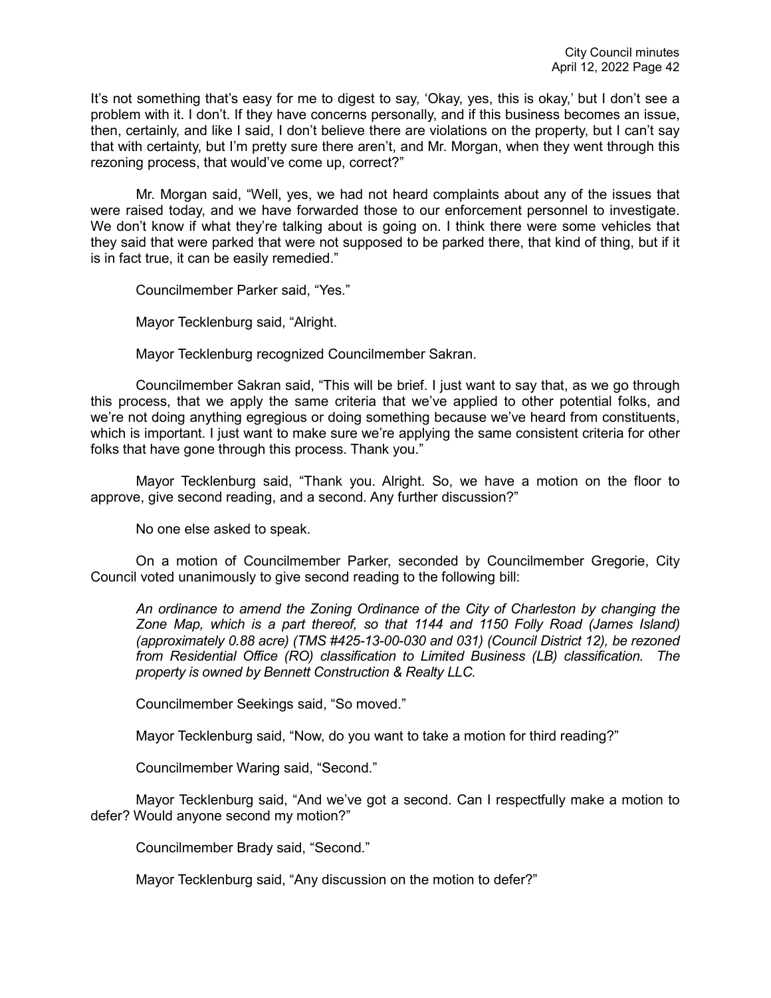It's not something that's easy for me to digest to say, 'Okay, yes, this is okay,' but I don't see a problem with it. I don't. If they have concerns personally, and if this business becomes an issue, then, certainly, and like I said, I don't believe there are violations on the property, but I can't say that with certainty, but I'm pretty sure there aren't, and Mr. Morgan, when they went through this rezoning process, that would've come up, correct?"

Mr. Morgan said, "Well, yes, we had not heard complaints about any of the issues that were raised today, and we have forwarded those to our enforcement personnel to investigate. We don't know if what they're talking about is going on. I think there were some vehicles that they said that were parked that were not supposed to be parked there, that kind of thing, but if it is in fact true, it can be easily remedied."

Councilmember Parker said, "Yes."

Mayor Tecklenburg said, "Alright.

Mayor Tecklenburg recognized Councilmember Sakran.

Councilmember Sakran said, "This will be brief. I just want to say that, as we go through this process, that we apply the same criteria that we've applied to other potential folks, and we're not doing anything egregious or doing something because we've heard from constituents, which is important. I just want to make sure we're applying the same consistent criteria for other folks that have gone through this process. Thank you."

Mayor Tecklenburg said, "Thank you. Alright. So, we have a motion on the floor to approve, give second reading, and a second. Any further discussion?"

No one else asked to speak.

On a motion of Councilmember Parker, seconded by Councilmember Gregorie, City Council voted unanimously to give second reading to the following bill:

*An ordinance to amend the Zoning Ordinance of the City of Charleston by changing the Zone Map, which is a part thereof, so that 1144 and 1150 Folly Road (James Island) (approximately 0.88 acre) (TMS #425-13-00-030 and 031) (Council District 12), be rezoned from Residential Office (RO) classification to Limited Business (LB) classification. The property is owned by Bennett Construction & Realty LLC.*

Councilmember Seekings said, "So moved."

Mayor Tecklenburg said, "Now, do you want to take a motion for third reading?"

Councilmember Waring said, "Second."

Mayor Tecklenburg said, "And we've got a second. Can I respectfully make a motion to defer? Would anyone second my motion?"

Councilmember Brady said, "Second."

Mayor Tecklenburg said, "Any discussion on the motion to defer?"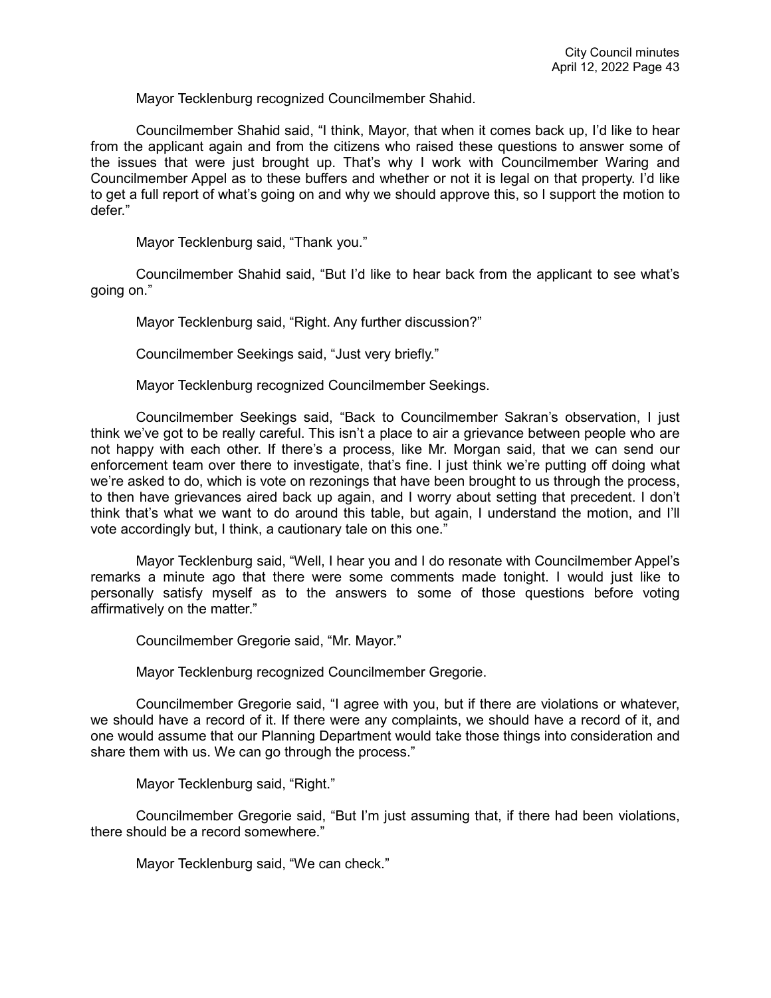Mayor Tecklenburg recognized Councilmember Shahid.

Councilmember Shahid said, "I think, Mayor, that when it comes back up, I'd like to hear from the applicant again and from the citizens who raised these questions to answer some of the issues that were just brought up. That's why I work with Councilmember Waring and Councilmember Appel as to these buffers and whether or not it is legal on that property. I'd like to get a full report of what's going on and why we should approve this, so I support the motion to defer."

Mayor Tecklenburg said, "Thank you."

Councilmember Shahid said, "But I'd like to hear back from the applicant to see what's going on."

Mayor Tecklenburg said, "Right. Any further discussion?"

Councilmember Seekings said, "Just very briefly."

Mayor Tecklenburg recognized Councilmember Seekings.

Councilmember Seekings said, "Back to Councilmember Sakran's observation, I just think we've got to be really careful. This isn't a place to air a grievance between people who are not happy with each other. If there's a process, like Mr. Morgan said, that we can send our enforcement team over there to investigate, that's fine. I just think we're putting off doing what we're asked to do, which is vote on rezonings that have been brought to us through the process, to then have grievances aired back up again, and I worry about setting that precedent. I don't think that's what we want to do around this table, but again, I understand the motion, and I'll vote accordingly but, I think, a cautionary tale on this one."

Mayor Tecklenburg said, "Well, I hear you and I do resonate with Councilmember Appel's remarks a minute ago that there were some comments made tonight. I would just like to personally satisfy myself as to the answers to some of those questions before voting affirmatively on the matter."

Councilmember Gregorie said, "Mr. Mayor."

Mayor Tecklenburg recognized Councilmember Gregorie.

Councilmember Gregorie said, "I agree with you, but if there are violations or whatever, we should have a record of it. If there were any complaints, we should have a record of it, and one would assume that our Planning Department would take those things into consideration and share them with us. We can go through the process."

Mayor Tecklenburg said, "Right."

Councilmember Gregorie said, "But I'm just assuming that, if there had been violations, there should be a record somewhere."

Mayor Tecklenburg said, "We can check."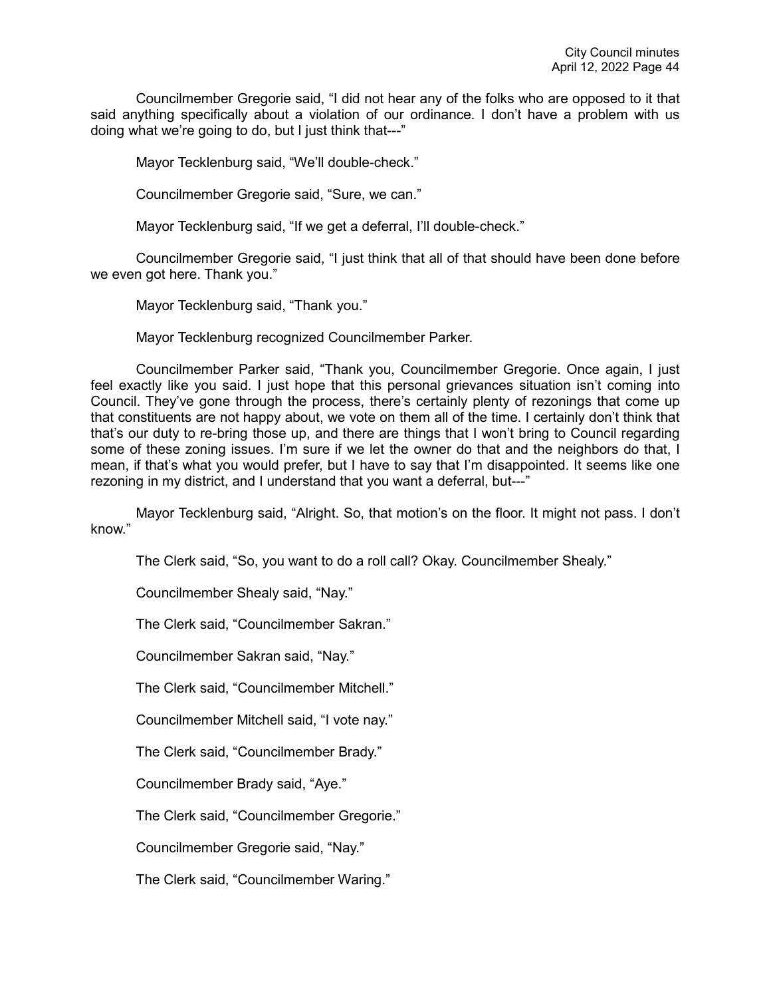Councilmember Gregorie said, "I did not hear any of the folks who are opposed to it that said anything specifically about a violation of our ordinance. I don't have a problem with us doing what we're going to do, but I just think that---"

Mayor Tecklenburg said, "We'll double-check."

Councilmember Gregorie said, "Sure, we can."

Mayor Tecklenburg said, "If we get a deferral, I'll double-check."

Councilmember Gregorie said, "I just think that all of that should have been done before we even got here. Thank you."

Mayor Tecklenburg said, "Thank you."

Mayor Tecklenburg recognized Councilmember Parker.

Councilmember Parker said, "Thank you, Councilmember Gregorie. Once again, I just feel exactly like you said. I just hope that this personal grievances situation isn't coming into Council. They've gone through the process, there's certainly plenty of rezonings that come up that constituents are not happy about, we vote on them all of the time. I certainly don't think that that's our duty to re-bring those up, and there are things that I won't bring to Council regarding some of these zoning issues. I'm sure if we let the owner do that and the neighbors do that, I mean, if that's what you would prefer, but I have to say that I'm disappointed. It seems like one rezoning in my district, and I understand that you want a deferral, but---"

Mayor Tecklenburg said, "Alright. So, that motion's on the floor. It might not pass. I don't know."

The Clerk said, "So, you want to do a roll call? Okay. Councilmember Shealy."

Councilmember Shealy said, "Nay."

The Clerk said, "Councilmember Sakran."

Councilmember Sakran said, "Nay."

The Clerk said, "Councilmember Mitchell."

Councilmember Mitchell said, "I vote nay."

The Clerk said, "Councilmember Brady."

Councilmember Brady said, "Aye."

The Clerk said, "Councilmember Gregorie."

Councilmember Gregorie said, "Nay."

The Clerk said, "Councilmember Waring."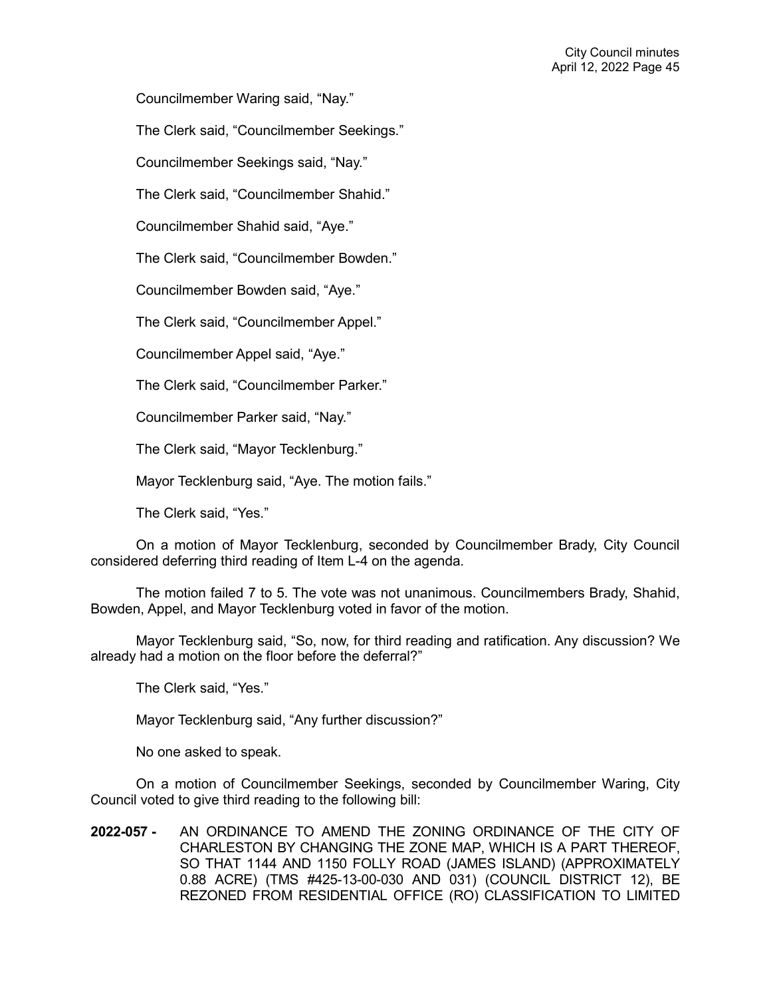Councilmember Waring said, "Nay."

The Clerk said, "Councilmember Seekings."

Councilmember Seekings said, "Nay."

The Clerk said, "Councilmember Shahid."

Councilmember Shahid said, "Aye."

The Clerk said, "Councilmember Bowden."

Councilmember Bowden said, "Aye."

The Clerk said, "Councilmember Appel."

Councilmember Appel said, "Aye."

The Clerk said, "Councilmember Parker."

Councilmember Parker said, "Nay."

The Clerk said, "Mayor Tecklenburg."

Mayor Tecklenburg said, "Aye. The motion fails."

The Clerk said, "Yes."

On a motion of Mayor Tecklenburg, seconded by Councilmember Brady, City Council considered deferring third reading of Item L-4 on the agenda.

The motion failed 7 to 5. The vote was not unanimous. Councilmembers Brady, Shahid, Bowden, Appel, and Mayor Tecklenburg voted in favor of the motion.

Mayor Tecklenburg said, "So, now, for third reading and ratification. Any discussion? We already had a motion on the floor before the deferral?"

The Clerk said, "Yes."

Mayor Tecklenburg said, "Any further discussion?"

No one asked to speak.

On a motion of Councilmember Seekings, seconded by Councilmember Waring, City Council voted to give third reading to the following bill:

**2022-057 -** AN ORDINANCE TO AMEND THE ZONING ORDINANCE OF THE CITY OF CHARLESTON BY CHANGING THE ZONE MAP, WHICH IS A PART THEREOF, SO THAT 1144 AND 1150 FOLLY ROAD (JAMES ISLAND) (APPROXIMATELY 0.88 ACRE) (TMS #425-13-00-030 AND 031) (COUNCIL DISTRICT 12), BE REZONED FROM RESIDENTIAL OFFICE (RO) CLASSIFICATION TO LIMITED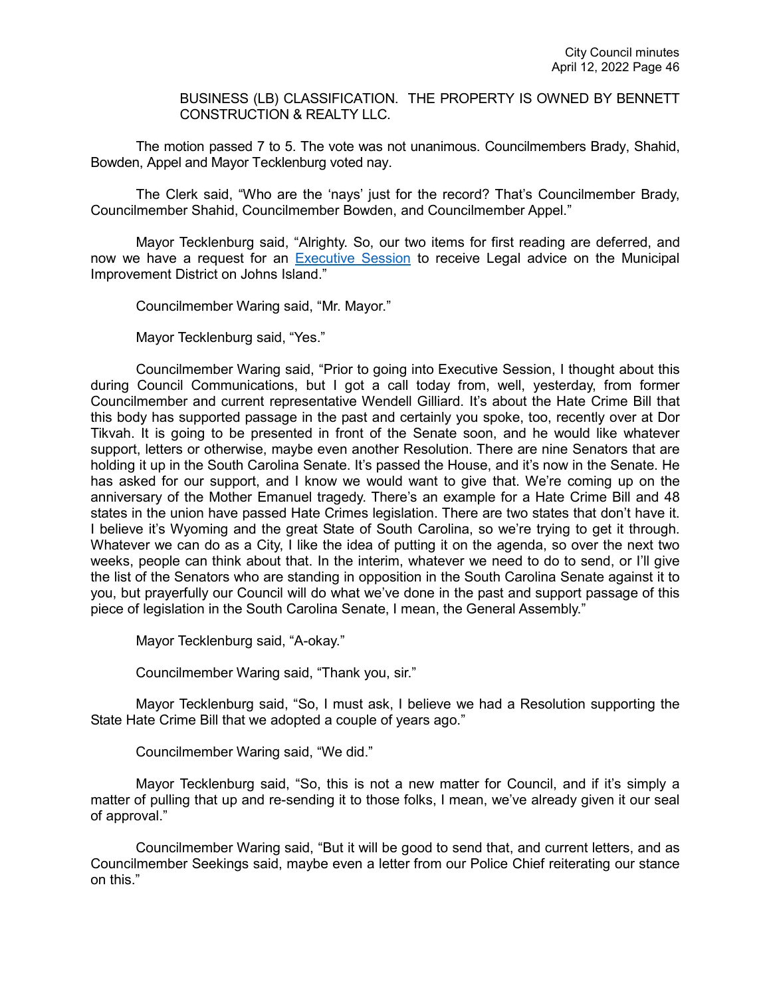BUSINESS (LB) CLASSIFICATION. THE PROPERTY IS OWNED BY BENNETT CONSTRUCTION & REALTY LLC.

The motion passed 7 to 5. The vote was not unanimous. Councilmembers Brady, Shahid, Bowden, Appel and Mayor Tecklenburg voted nay.

The Clerk said, "Who are the 'nays' just for the record? That's Councilmember Brady, Councilmember Shahid, Councilmember Bowden, and Councilmember Appel."

Mayor Tecklenburg said, "Alrighty. So, our two items for first reading are deferred, and now we have a request for an [Executive Session](https://youtu.be/9vYkYTqz1Vc?t=8119) to receive Legal advice on the Municipal Improvement District on Johns Island."

Councilmember Waring said, "Mr. Mayor."

Mayor Tecklenburg said, "Yes."

Councilmember Waring said, "Prior to going into Executive Session, I thought about this during Council Communications, but I got a call today from, well, yesterday, from former Councilmember and current representative Wendell Gilliard. It's about the Hate Crime Bill that this body has supported passage in the past and certainly you spoke, too, recently over at Dor Tikvah. It is going to be presented in front of the Senate soon, and he would like whatever support, letters or otherwise, maybe even another Resolution. There are nine Senators that are holding it up in the South Carolina Senate. It's passed the House, and it's now in the Senate. He has asked for our support, and I know we would want to give that. We're coming up on the anniversary of the Mother Emanuel tragedy. There's an example for a Hate Crime Bill and 48 states in the union have passed Hate Crimes legislation. There are two states that don't have it. I believe it's Wyoming and the great State of South Carolina, so we're trying to get it through. Whatever we can do as a City, I like the idea of putting it on the agenda, so over the next two weeks, people can think about that. In the interim, whatever we need to do to send, or I'll give the list of the Senators who are standing in opposition in the South Carolina Senate against it to you, but prayerfully our Council will do what we've done in the past and support passage of this piece of legislation in the South Carolina Senate, I mean, the General Assembly."

Mayor Tecklenburg said, "A-okay."

Councilmember Waring said, "Thank you, sir."

Mayor Tecklenburg said, "So, I must ask, I believe we had a Resolution supporting the State Hate Crime Bill that we adopted a couple of years ago."

Councilmember Waring said, "We did."

Mayor Tecklenburg said, "So, this is not a new matter for Council, and if it's simply a matter of pulling that up and re-sending it to those folks, I mean, we've already given it our seal of approval."

Councilmember Waring said, "But it will be good to send that, and current letters, and as Councilmember Seekings said, maybe even a letter from our Police Chief reiterating our stance on this."